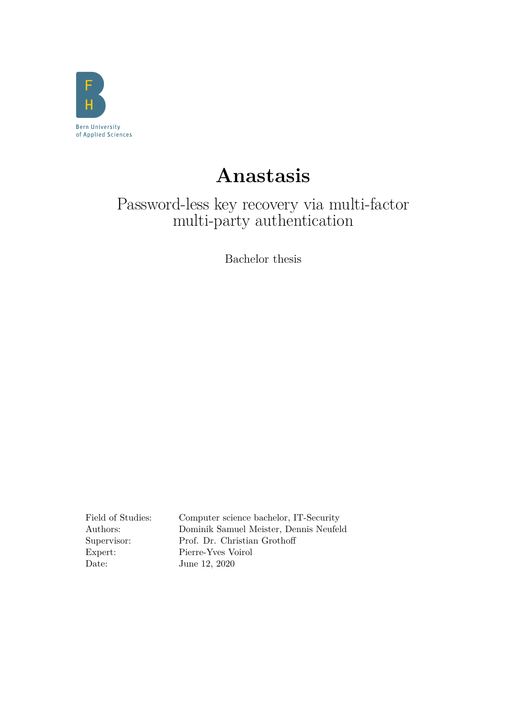

# **Anastasis**

## Password-less key recovery via multi-factor multi-party authentication

Bachelor thesis

Date: June 12, 2020

Field of Studies: Computer science bachelor, IT-Security Authors: Dominik Samuel Meister, Dennis Neufeld Supervisor: Prof. Dr. Christian Grothoff Expert: Pierre-Yves Voirol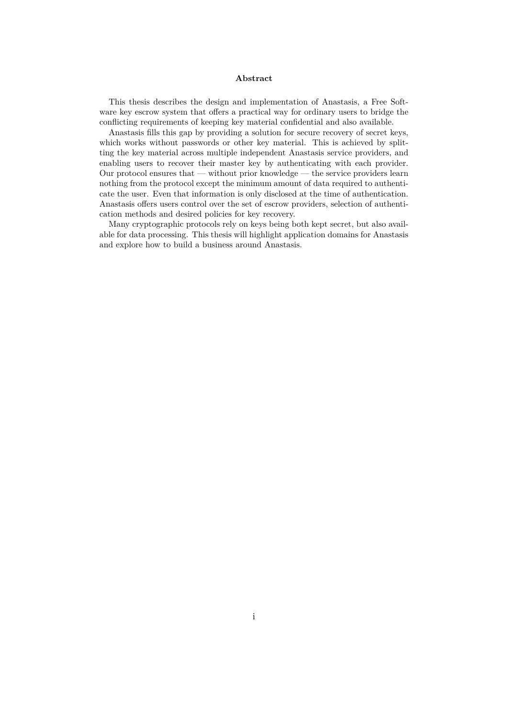#### **Abstract**

This thesis describes the design and implementation of Anastasis, a Free Software key escrow system that offers a practical way for ordinary users to bridge the conflicting requirements of keeping key material confidential and also available.

Anastasis fills this gap by providing a solution for secure recovery of secret keys, which works without passwords or other key material. This is achieved by splitting the key material across multiple independent Anastasis service providers, and enabling users to recover their master key by authenticating with each provider. Our protocol ensures that — without prior knowledge — the service providers learn nothing from the protocol except the minimum amount of data required to authenticate the user. Even that information is only disclosed at the time of authentication. Anastasis offers users control over the set of escrow providers, selection of authentication methods and desired policies for key recovery.

Many cryptographic protocols rely on keys being both kept secret, but also available for data processing. This thesis will highlight application domains for Anastasis and explore how to build a business around Anastasis.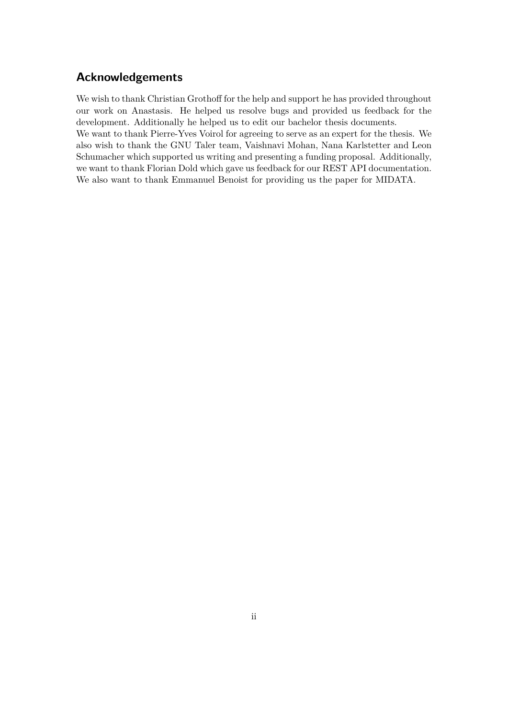## **Acknowledgements**

We wish to thank Christian Grothoff for the help and support he has provided throughout our work on Anastasis. He helped us resolve bugs and provided us feedback for the development. Additionally he helped us to edit our bachelor thesis documents. We want to thank Pierre-Yves Voirol for agreeing to serve as an expert for the thesis. We also wish to thank the GNU Taler team, Vaishnavi Mohan, Nana Karlstetter and Leon Schumacher which supported us writing and presenting a funding proposal. Additionally, we want to thank Florian Dold which gave us feedback for our REST API documentation. We also want to thank Emmanuel Benoist for providing us the paper for MIDATA.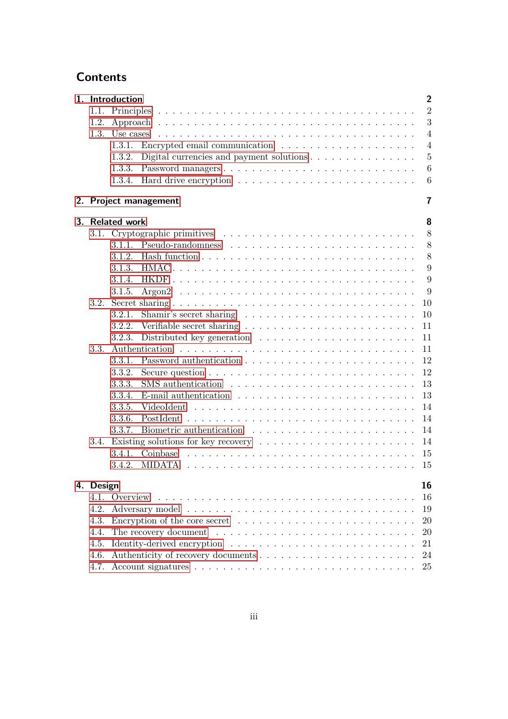## **Contents**

|  | $\overline{2}$<br>1. Introduction |                                                                                       |                                                                                         |                         |  |  |  |  |  |
|--|-----------------------------------|---------------------------------------------------------------------------------------|-----------------------------------------------------------------------------------------|-------------------------|--|--|--|--|--|
|  |                                   |                                                                                       |                                                                                         | $\overline{2}$          |  |  |  |  |  |
|  | 1.2.                              |                                                                                       |                                                                                         | 3                       |  |  |  |  |  |
|  |                                   |                                                                                       |                                                                                         | $\overline{4}$          |  |  |  |  |  |
|  |                                   | 1.3.1.                                                                                |                                                                                         | $\overline{4}$          |  |  |  |  |  |
|  |                                   | 1.3.2.                                                                                | Digital currencies and payment solutions $\dots \dots \dots \dots \dots$                | $\overline{5}$          |  |  |  |  |  |
|  |                                   | 1.3.3.                                                                                | Password managers                                                                       | 6                       |  |  |  |  |  |
|  |                                   |                                                                                       |                                                                                         | 6                       |  |  |  |  |  |
|  |                                   |                                                                                       | 2. Project management                                                                   | $\overline{\mathbf{r}}$ |  |  |  |  |  |
|  | 8<br>3. Related work              |                                                                                       |                                                                                         |                         |  |  |  |  |  |
|  |                                   |                                                                                       |                                                                                         | 8                       |  |  |  |  |  |
|  |                                   | $3.1.1$ .                                                                             |                                                                                         | 8                       |  |  |  |  |  |
|  |                                   |                                                                                       |                                                                                         | 8                       |  |  |  |  |  |
|  |                                   |                                                                                       |                                                                                         | 9                       |  |  |  |  |  |
|  |                                   | 3.1.4.                                                                                |                                                                                         | 9                       |  |  |  |  |  |
|  |                                   | 3.1.5.                                                                                |                                                                                         | 9                       |  |  |  |  |  |
|  | 3.2.                              |                                                                                       |                                                                                         | 10                      |  |  |  |  |  |
|  |                                   | 3.2.1.                                                                                |                                                                                         | 10                      |  |  |  |  |  |
|  |                                   | 3.2.2.                                                                                |                                                                                         | 11                      |  |  |  |  |  |
|  |                                   | 3.2.3.                                                                                | Distributed key generation $\ldots \ldots \ldots \ldots \ldots \ldots \ldots$           | 11                      |  |  |  |  |  |
|  | 3.3.                              |                                                                                       |                                                                                         | 11                      |  |  |  |  |  |
|  |                                   | 3.3.1.                                                                                |                                                                                         | 12                      |  |  |  |  |  |
|  |                                   | 3.3.2.                                                                                | Secure question $\ldots \ldots \ldots \ldots \ldots \ldots \ldots \ldots \ldots \ldots$ | 12                      |  |  |  |  |  |
|  |                                   | 3.3.3.                                                                                | SMS authentication $\ldots \ldots \ldots \ldots \ldots \ldots \ldots \ldots$            | 13                      |  |  |  |  |  |
|  |                                   | 3.3.4.                                                                                | E-mail authentication $\ldots \ldots \ldots \ldots \ldots \ldots \ldots \ldots$         | 13                      |  |  |  |  |  |
|  |                                   | 3.3.5.                                                                                |                                                                                         | 14                      |  |  |  |  |  |
|  |                                   | 3.3.6.                                                                                |                                                                                         | 14                      |  |  |  |  |  |
|  |                                   | 3.3.7.                                                                                |                                                                                         | 14                      |  |  |  |  |  |
|  |                                   |                                                                                       | 3.4. Existing solutions for key recovery                                                | 14                      |  |  |  |  |  |
|  |                                   | 3.4.1.                                                                                |                                                                                         | 15                      |  |  |  |  |  |
|  |                                   | 3.4.2.                                                                                |                                                                                         | 15                      |  |  |  |  |  |
|  | 4. Design                         |                                                                                       |                                                                                         | 16                      |  |  |  |  |  |
|  |                                   | 4.1. Overview                                                                         |                                                                                         | 16                      |  |  |  |  |  |
|  | 4.2.                              |                                                                                       |                                                                                         |                         |  |  |  |  |  |
|  | 4.3.                              | Encryption of the core secret $\dots \dots \dots \dots \dots \dots \dots \dots \dots$ |                                                                                         |                         |  |  |  |  |  |
|  | 4.4.                              | 20                                                                                    |                                                                                         |                         |  |  |  |  |  |
|  | 4.5.                              |                                                                                       |                                                                                         | 21                      |  |  |  |  |  |
|  | 4.6.                              |                                                                                       |                                                                                         | 24                      |  |  |  |  |  |
|  | 4.7.                              |                                                                                       |                                                                                         | 25                      |  |  |  |  |  |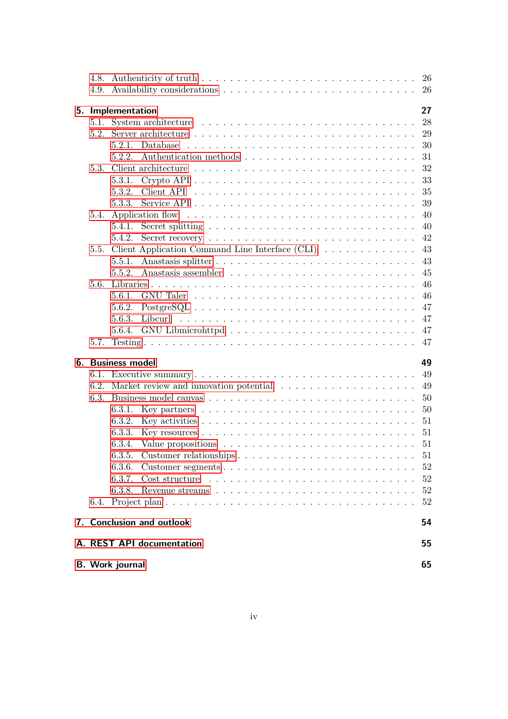| <b>B.</b> Work journal          |                   |                                                                                                    |          |  |  |  |  |
|---------------------------------|-------------------|----------------------------------------------------------------------------------------------------|----------|--|--|--|--|
| A. REST API documentation<br>55 |                   |                                                                                                    |          |  |  |  |  |
|                                 |                   | 7. Conclusion and outlook                                                                          | 54       |  |  |  |  |
|                                 |                   |                                                                                                    | 52       |  |  |  |  |
|                                 |                   | 6.3.8.                                                                                             | 52       |  |  |  |  |
|                                 |                   | 6.3.7.                                                                                             | 52       |  |  |  |  |
|                                 |                   | 6.3.6.                                                                                             | 52       |  |  |  |  |
|                                 |                   |                                                                                                    | 51       |  |  |  |  |
|                                 |                   | 6.3.4.<br>Value propositions $\dots \dots \dots \dots \dots \dots \dots \dots \dots \dots$         | 51       |  |  |  |  |
|                                 |                   | 6.3.3.                                                                                             | 51       |  |  |  |  |
|                                 |                   | 6.3.2.                                                                                             | 51       |  |  |  |  |
|                                 |                   | Key partners $\dots \dots \dots \dots \dots \dots \dots \dots \dots \dots \dots$<br>6.3.1.         | 50       |  |  |  |  |
|                                 | 6.3.              |                                                                                                    | 50       |  |  |  |  |
|                                 | 6.2.              | Market review and innovation potential                                                             | 49       |  |  |  |  |
|                                 | 6.1.              |                                                                                                    | 49<br>49 |  |  |  |  |
|                                 | 6. Business model |                                                                                                    |          |  |  |  |  |
|                                 | 5.7.              |                                                                                                    | 47       |  |  |  |  |
|                                 |                   | 5.6.4.                                                                                             | 47       |  |  |  |  |
|                                 |                   | 5.6.3.                                                                                             | 47       |  |  |  |  |
|                                 |                   | 5.6.2.                                                                                             | 47       |  |  |  |  |
|                                 |                   | 5.6.1.                                                                                             | 46       |  |  |  |  |
|                                 | 5.6.              |                                                                                                    | 46       |  |  |  |  |
|                                 |                   | 5.5.2.                                                                                             | 45       |  |  |  |  |
|                                 |                   | 5.5.1.                                                                                             | 43       |  |  |  |  |
|                                 | 5.5.              | Client Application Command Line Interface (CLI)                                                    | 43       |  |  |  |  |
|                                 |                   | 5.4.2.<br>Secret recovery $\ldots \ldots \ldots \ldots \ldots \ldots \ldots \ldots \ldots \ldots$  | 42       |  |  |  |  |
|                                 |                   | Secret splitting $\ldots \ldots \ldots \ldots \ldots \ldots \ldots \ldots \ldots \ldots$<br>5.4.1. | 40       |  |  |  |  |
|                                 | 5.4.              |                                                                                                    | 40       |  |  |  |  |
|                                 |                   | 5.3.3.                                                                                             | 39       |  |  |  |  |
|                                 |                   | 5.3.2.                                                                                             | 35       |  |  |  |  |
|                                 | 5.3.              | 5.3.1.                                                                                             | 32<br>33 |  |  |  |  |
|                                 |                   | 5.2.2.                                                                                             | 31       |  |  |  |  |
|                                 |                   | 5.2.1.                                                                                             | 30       |  |  |  |  |
|                                 | 52                |                                                                                                    | 29       |  |  |  |  |
|                                 | 5.1.              |                                                                                                    | 28       |  |  |  |  |
|                                 |                   | 5. Implementation<br>27                                                                            |          |  |  |  |  |
|                                 |                   |                                                                                                    |          |  |  |  |  |
|                                 |                   |                                                                                                    | 26       |  |  |  |  |
|                                 |                   |                                                                                                    | 26       |  |  |  |  |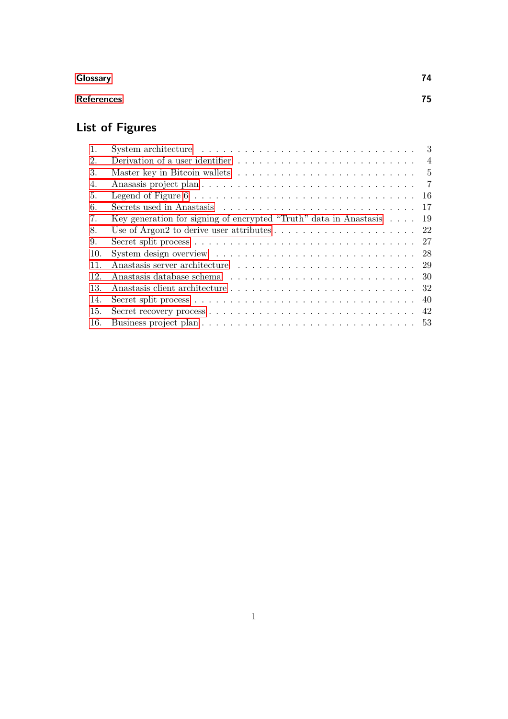## **[Glossary](#page-78-0) 74**

## **[References](#page-79-0) 75**

## **List of Figures**

| 1.  |                                                                                            | 3              |
|-----|--------------------------------------------------------------------------------------------|----------------|
| 2.  | Derivation of a user identifier $\dots \dots \dots \dots \dots \dots \dots \dots \dots$    | $\overline{4}$ |
| 3.  |                                                                                            | - 5            |
| 4.  |                                                                                            | $\overline{7}$ |
| 5.  | Legend of Figure $6 \ldots \ldots \ldots \ldots \ldots \ldots \ldots \ldots \ldots \ldots$ | -16            |
| 6.  |                                                                                            | 17             |
| 7.  | Key generation for signing of encrypted "Truth" data in Anastasis                          | -19            |
| 8.  |                                                                                            |                |
| 9.  |                                                                                            | 27             |
| 10. | System design overview $\ldots \ldots \ldots \ldots \ldots \ldots \ldots \ldots \ldots$    | 28             |
| 11. |                                                                                            |                |
| 12. |                                                                                            |                |
| 13. |                                                                                            | 32             |
| 14. |                                                                                            | 40             |
| 15. |                                                                                            | 42             |
| 16. |                                                                                            |                |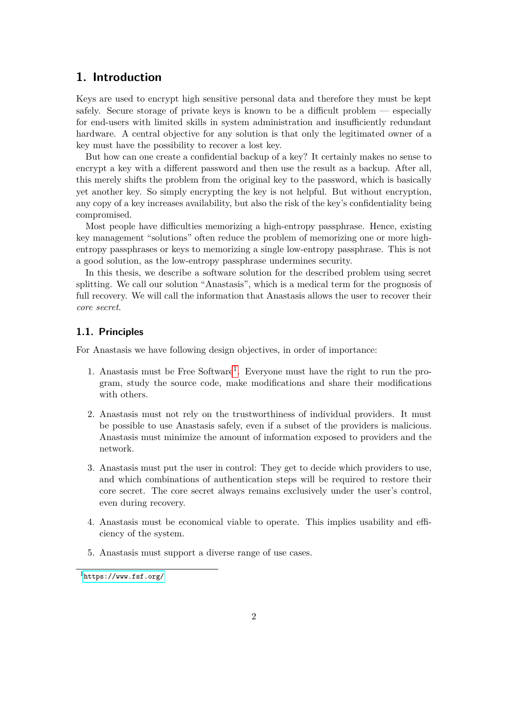## <span id="page-6-0"></span>**1. Introduction**

Keys are used to encrypt high sensitive personal data and therefore they must be kept safely. Secure storage of private keys is known to be a difficult problem — especially for end-users with limited skills in system administration and insufficiently redundant hardware. A central objective for any solution is that only the legitimated owner of a key must have the possibility to recover a lost key.

But how can one create a confidential backup of a key? It certainly makes no sense to encrypt a key with a different password and then use the result as a backup. After all, this merely shifts the problem from the original key to the password, which is basically yet another key. So simply encrypting the key is not helpful. But without encryption, any copy of a key increases availability, but also the risk of the key's confidentiality being compromised.

Most people have difficulties memorizing a high-entropy passphrase. Hence, existing key management "solutions" often reduce the problem of memorizing one or more highentropy passphrases or keys to memorizing a single low-entropy passphrase. This is not a good solution, as the low-entropy passphrase undermines security.

In this thesis, we describe a software solution for the described problem using secret splitting. We call our solution "Anastasis", which is a medical term for the prognosis of full recovery. We will call the information that Anastasis allows the user to recover their *core secret*.

#### <span id="page-6-1"></span>**1.1. Principles**

For Anastasis we have following design objectives, in order of importance:

- [1](#page-6-2). Anastasis must be Free Software<sup>1</sup>. Everyone must have the right to run the program, study the source code, make modifications and share their modifications with others.
- 2. Anastasis must not rely on the trustworthiness of individual providers. It must be possible to use Anastasis safely, even if a subset of the providers is malicious. Anastasis must minimize the amount of information exposed to providers and the network.
- 3. Anastasis must put the user in control: They get to decide which providers to use, and which combinations of authentication steps will be required to restore their core secret. The core secret always remains exclusively under the user's control, even during recovery.
- 4. Anastasis must be economical viable to operate. This implies usability and efficiency of the system.
- 5. Anastasis must support a diverse range of use cases.

<span id="page-6-2"></span> $1$ <https://www.fsf.org/>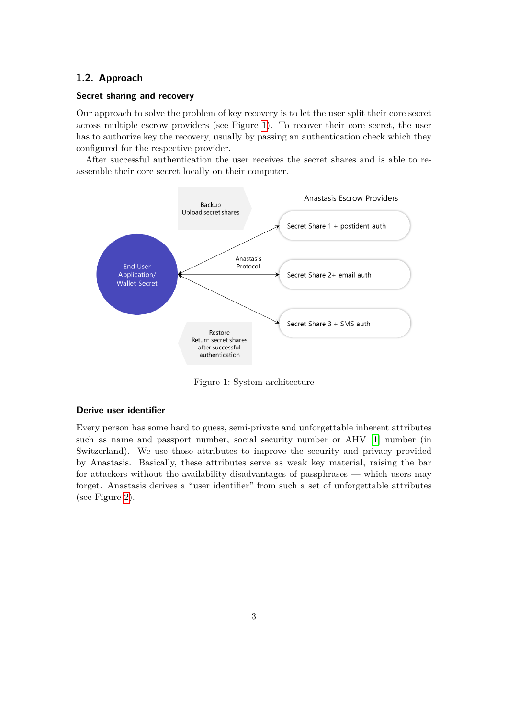#### <span id="page-7-0"></span>**1.2. Approach**

#### **Secret sharing and recovery**

Our approach to solve the problem of key recovery is to let the user split their core secret across multiple escrow providers (see Figure [1\)](#page-7-1). To recover their core secret, the user has to authorize key the recovery, usually by passing an authentication check which they configured for the respective provider.

After successful authentication the user receives the secret shares and is able to reassemble their core secret locally on their computer.



<span id="page-7-1"></span>Figure 1: System architecture

#### **Derive user identifier**

Every person has some hard to guess, semi-private and unforgettable inherent attributes such as name and passport number, social security number or AHV [\[1\]](#page-79-1) number (in Switzerland). We use those attributes to improve the security and privacy provided by Anastasis. Basically, these attributes serve as weak key material, raising the bar for attackers without the availability disadvantages of passphrases — which users may forget. Anastasis derives a "user identifier" from such a set of unforgettable attributes (see Figure [2\)](#page-8-2).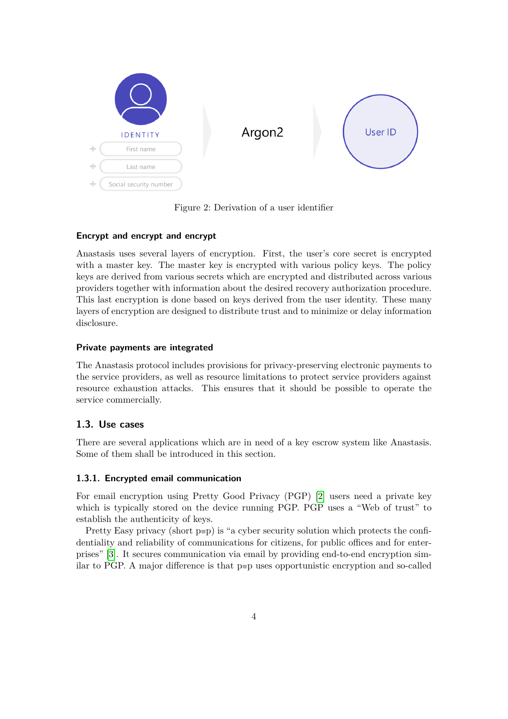

Figure 2: Derivation of a user identifier

### <span id="page-8-2"></span>**Encrypt and encrypt and encrypt**

Anastasis uses several layers of encryption. First, the user's core secret is encrypted with a master key. The master key is encrypted with various policy keys. The policy keys are derived from various secrets which are encrypted and distributed across various providers together with information about the desired recovery authorization procedure. This last encryption is done based on keys derived from the user identity. These many layers of encryption are designed to distribute trust and to minimize or delay information disclosure.

### **Private payments are integrated**

The Anastasis protocol includes provisions for privacy-preserving electronic payments to the service providers, as well as resource limitations to protect service providers against resource exhaustion attacks. This ensures that it should be possible to operate the service commercially.

## <span id="page-8-0"></span>**1.3. Use cases**

There are several applications which are in need of a key escrow system like Anastasis. Some of them shall be introduced in this section.

#### <span id="page-8-1"></span>**1.3.1. Encrypted email communication**

For email encryption using Pretty Good Privacy (PGP) [\[2\]](#page-79-2) users need a private key which is typically stored on the device running PGP. PGP uses a "Web of trust" to establish the authenticity of keys.

Pretty Easy privacy (short p≡p) is "a cyber security solution which protects the confidentiality and reliability of communications for citizens, for public offices and for enterprises" [\[3\]](#page-79-3). It secures communication via email by providing end-to-end encryption similar to PGP. A major difference is that p≡p uses opportunistic encryption and so-called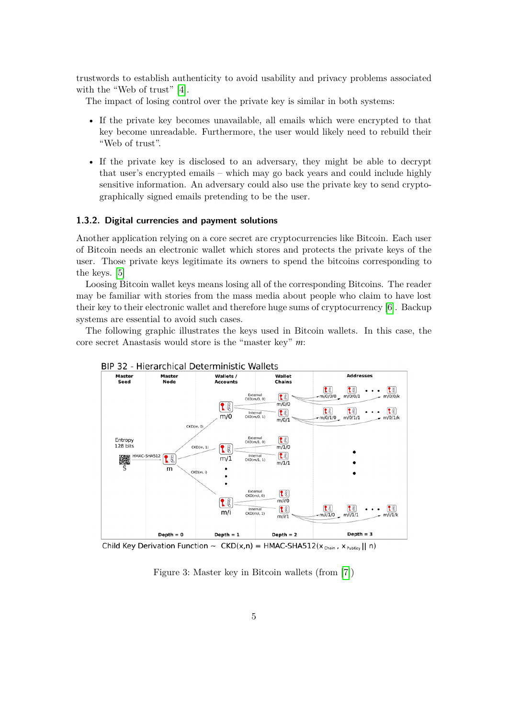trustwords to establish authenticity to avoid usability and privacy problems associated with the "Web of trust" [\[4\]](#page-79-4).

The impact of losing control over the private key is similar in both systems:

- If the private key becomes unavailable, all emails which were encrypted to that key become unreadable. Furthermore, the user would likely need to rebuild their "Web of trust".
- If the private key is disclosed to an adversary, they might be able to decrypt that user's encrypted emails – which may go back years and could include highly sensitive information. An adversary could also use the private key to send cryptographically signed emails pretending to be the user.

#### <span id="page-9-0"></span>**1.3.2. Digital currencies and payment solutions**

Another application relying on a core secret are cryptocurrencies like Bitcoin. Each user of Bitcoin needs an electronic wallet which stores and protects the private keys of the user. Those private keys legitimate its owners to spend the bitcoins corresponding to the keys. [\[5\]](#page-79-5)

Loosing Bitcoin wallet keys means losing all of the corresponding Bitcoins. The reader may be familiar with stories from the mass media about people who claim to have lost their key to their electronic wallet and therefore huge sums of cryptocurrency [\[6\]](#page-79-6). Backup systems are essential to avoid such cases.

The following graphic illustrates the keys used in Bitcoin wallets. In this case, the core secret Anastasis would store is the "master key" *m*:



Child Key Derivation Function ~  $CKD(x,n) = HMAC-SHA512(x_{chain}, x_{PutKey} || n)$ 

<span id="page-9-1"></span>Figure 3: Master key in Bitcoin wallets (from [\[7\]](#page-79-7))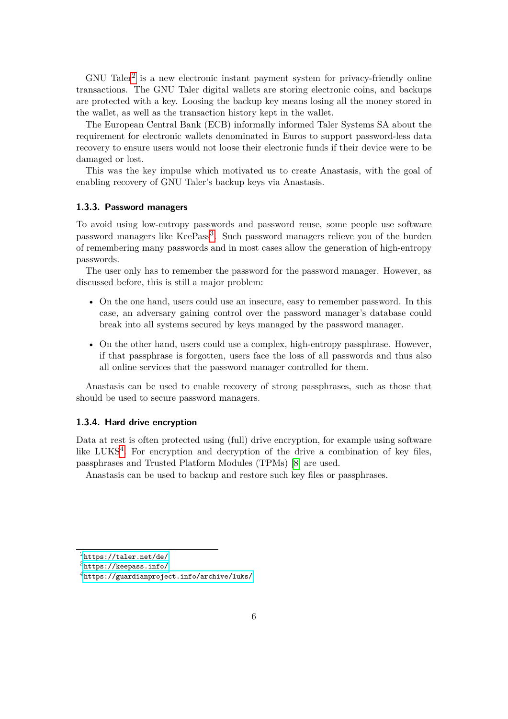$GNU$  Taler<sup>[2](#page-10-2)</sup> is a new electronic instant payment system for privacy-friendly online transactions. The GNU Taler digital wallets are storing electronic coins, and backups are protected with a key. Loosing the backup key means losing all the money stored in the wallet, as well as the transaction history kept in the wallet.

The European Central Bank (ECB) informally informed Taler Systems SA about the requirement for electronic wallets denominated in Euros to support password-less data recovery to ensure users would not loose their electronic funds if their device were to be damaged or lost.

This was the key impulse which motivated us to create Anastasis, with the goal of enabling recovery of GNU Taler's backup keys via Anastasis.

#### <span id="page-10-0"></span>**1.3.3. Password managers**

To avoid using low-entropy passwords and password reuse, some people use software password managers like KeePass<sup>[3](#page-10-3)</sup>. Such password managers relieve you of the burden of remembering many passwords and in most cases allow the generation of high-entropy passwords.

The user only has to remember the password for the password manager. However, as discussed before, this is still a major problem:

- On the one hand, users could use an insecure, easy to remember password. In this case, an adversary gaining control over the password manager's database could break into all systems secured by keys managed by the password manager.
- On the other hand, users could use a complex, high-entropy passphrase. However, if that passphrase is forgotten, users face the loss of all passwords and thus also all online services that the password manager controlled for them.

Anastasis can be used to enable recovery of strong passphrases, such as those that should be used to secure password managers.

#### <span id="page-10-1"></span>**1.3.4. Hard drive encryption**

Data at rest is often protected using (full) drive encryption, for example using software like LUKS<sup>[4](#page-10-4)</sup>. For encryption and decryption of the drive a combination of key files, passphrases and Trusted Platform Modules (TPMs) [\[8\]](#page-79-8) are used.

Anastasis can be used to backup and restore such key files or passphrases.

<span id="page-10-2"></span> $^{2}$ <https://taler.net/de/>

<span id="page-10-3"></span> $3$ <https://keepass.info/>

<span id="page-10-4"></span><sup>4</sup><https://guardianproject.info/archive/luks/>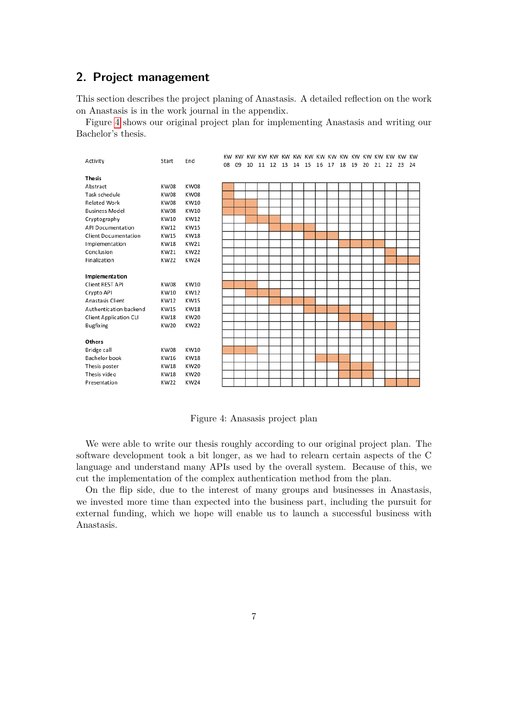## <span id="page-11-0"></span>**2. Project management**

This section describes the project planing of Anastasis. A detailed reflection on the work on Anastasis is in the work journal in the appendix.

Figure [4](#page-11-1) shows our original project plan for implementing Anastasis and writing our Bachelor's thesis.



<span id="page-11-1"></span>Figure 4: Anasasis project plan

We were able to write our thesis roughly according to our original project plan. The software development took a bit longer, as we had to relearn certain aspects of the C language and understand many APIs used by the overall system. Because of this, we cut the implementation of the complex authentication method from the plan.

On the flip side, due to the interest of many groups and businesses in Anastasis, we invested more time than expected into the business part, including the pursuit for external funding, which we hope will enable us to launch a successful business with Anastasis.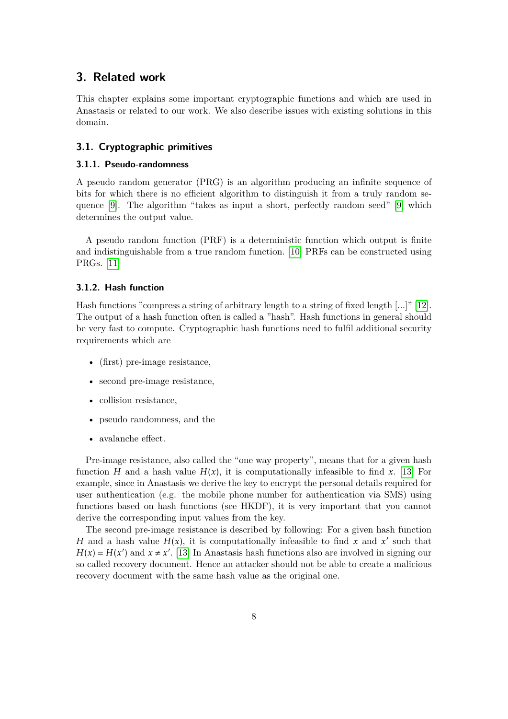## <span id="page-12-0"></span>**3. Related work**

This chapter explains some important cryptographic functions and which are used in Anastasis or related to our work. We also describe issues with existing solutions in this domain.

#### <span id="page-12-1"></span>**3.1. Cryptographic primitives**

#### <span id="page-12-2"></span>**3.1.1. Pseudo-randomness**

A pseudo random generator (PRG) is an algorithm producing an infinite sequence of bits for which there is no efficient algorithm to distinguish it from a truly random sequence [\[9\]](#page-79-9). The algorithm "takes as input a short, perfectly random seed" [\[9\]](#page-79-9) which determines the output value.

A pseudo random function (PRF) is a deterministic function which output is finite and indistinguishable from a true random function. [\[10\]](#page-79-10) PRFs can be constructed using PRGs. [\[11\]](#page-79-11)

#### <span id="page-12-3"></span>**3.1.2. Hash function**

Hash functions "compress a string of arbitrary length to a string of fixed length [...]" [\[12\]](#page-79-12). The output of a hash function often is called a "hash". Hash functions in general should be very fast to compute. Cryptographic hash functions need to fulfil additional security requirements which are

- (first) pre-image resistance,
- second pre-image resistance,
- collision resistance,
- pseudo randomness, and the
- avalanche effect.

Pre-image resistance, also called the "one way property", means that for a given hash function *H* and a hash value  $H(x)$ , it is computationally infeasible to find x. [\[13\]](#page-79-13) For example, since in Anastasis we derive the key to encrypt the personal details required for user authentication (e.g. the mobile phone number for authentication via SMS) using functions based on hash functions (see HKDF), it is very important that you cannot derive the corresponding input values from the key.

The second pre-image resistance is described by following: For a given hash function *H* and a hash value  $H(x)$ , it is computationally infeasible to find x and x' such that  $H(x) = H(x')$  and  $x \neq x'$ . [\[13\]](#page-79-13) In Anastasis hash functions also are involved in signing our so called recovery document. Hence an attacker should not be able to create a malicious recovery document with the same hash value as the original one.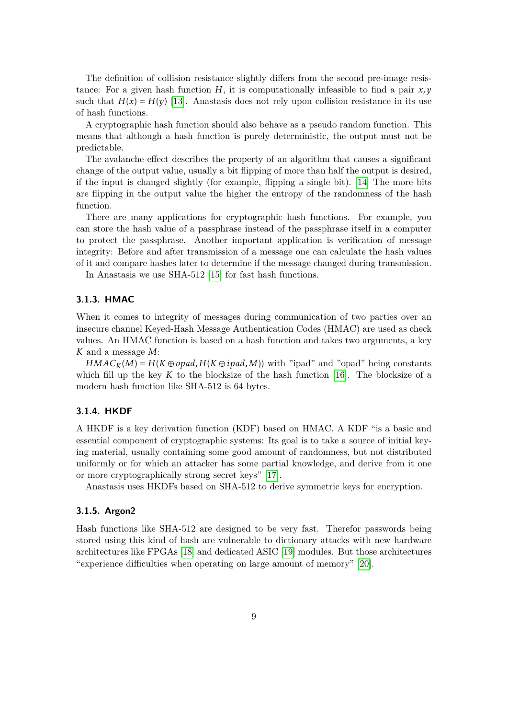The definition of collision resistance slightly differs from the second pre-image resistance: For a given hash function  $H$ , it is computationally infeasible to find a pair  $x, y$ such that  $H(x) = H(y)$  [\[13\]](#page-79-13). Anastasis does not rely upon collision resistance in its use of hash functions.

A cryptographic hash function should also behave as a pseudo random function. This means that although a hash function is purely deterministic, the output must not be predictable.

The avalanche effect describes the property of an algorithm that causes a significant change of the output value, usually a bit flipping of more than half the output is desired, if the input is changed slightly (for example, flipping a single bit). [\[14\]](#page-80-0) The more bits are flipping in the output value the higher the entropy of the randomness of the hash function.

There are many applications for cryptographic hash functions. For example, you can store the hash value of a passphrase instead of the passphrase itself in a computer to protect the passphrase. Another important application is verification of message integrity: Before and after transmission of a message one can calculate the hash values of it and compare hashes later to determine if the message changed during transmission.

In Anastasis we use SHA-512 [\[15\]](#page-80-1) for fast hash functions.

#### <span id="page-13-0"></span>**3.1.3. HMAC**

When it comes to integrity of messages during communication of two parties over an insecure channel Keyed-Hash Message Authentication Codes (HMAC) are used as check values. An HMAC function is based on a hash function and takes two arguments, a key *K* and a message *M*:

 $HMAC<sub>K</sub>(M) = H(K \oplus opad, H(K \oplus ipad, M))$  with "ipad" and "opad" being constants which fill up the key  $K$  to the blocksize of the hash function  $[16]$ . The blocksize of a modern hash function like SHA-512 is 64 bytes.

#### <span id="page-13-1"></span>**3.1.4. HKDF**

A HKDF is a key derivation function (KDF) based on HMAC. A KDF "is a basic and essential component of cryptographic systems: Its goal is to take a source of initial keying material, usually containing some good amount of randomness, but not distributed uniformly or for which an attacker has some partial knowledge, and derive from it one or more cryptographically strong secret keys" [\[17\]](#page-80-3).

Anastasis uses HKDFs based on SHA-512 to derive symmetric keys for encryption.

#### <span id="page-13-2"></span>**3.1.5. Argon2**

Hash functions like SHA-512 are designed to be very fast. Therefor passwords being stored using this kind of hash are vulnerable to dictionary attacks with new hardware architectures like FPGAs [\[18\]](#page-80-4) and dedicated ASIC [\[19\]](#page-80-5) modules. But those architectures "experience difficulties when operating on large amount of memory" [\[20\]](#page-80-6).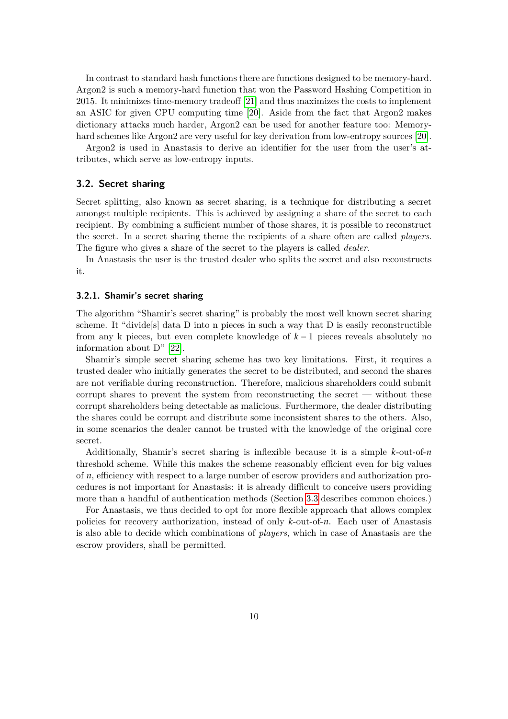In contrast to standard hash functions there are functions designed to be memory-hard. Argon2 is such a memory-hard function that won the Password Hashing Competition in 2015. It minimizes time-memory tradeoff [\[21\]](#page-80-7) and thus maximizes the costs to implement an ASIC for given CPU computing time [\[20\]](#page-80-6). Aside from the fact that Argon2 makes dictionary attacks much harder, Argon2 can be used for another feature too: Memoryhard schemes like Argon2 are very useful for key derivation from low-entropy sources [\[20\]](#page-80-6).

Argon2 is used in Anastasis to derive an identifier for the user from the user's attributes, which serve as low-entropy inputs.

#### <span id="page-14-0"></span>**3.2. Secret sharing**

Secret splitting, also known as secret sharing, is a technique for distributing a secret amongst multiple recipients. This is achieved by assigning a share of the secret to each recipient. By combining a sufficient number of those shares, it is possible to reconstruct the secret. In a secret sharing theme the recipients of a share often are called *players*. The figure who gives a share of the secret to the players is called *dealer*.

In Anastasis the user is the trusted dealer who splits the secret and also reconstructs it.

#### <span id="page-14-1"></span>**3.2.1. Shamir's secret sharing**

The algorithm "Shamir's secret sharing" is probably the most well known secret sharing scheme. It "divide[s] data D into n pieces in such a way that D is easily reconstructible from any k pieces, but even complete knowledge of *k* − 1 pieces reveals absolutely no information about D" [\[22\]](#page-80-8).

Shamir's simple secret sharing scheme has two key limitations. First, it requires a trusted dealer who initially generates the secret to be distributed, and second the shares are not verifiable during reconstruction. Therefore, malicious shareholders could submit corrupt shares to prevent the system from reconstructing the secret — without these corrupt shareholders being detectable as malicious. Furthermore, the dealer distributing the shares could be corrupt and distribute some inconsistent shares to the others. Also, in some scenarios the dealer cannot be trusted with the knowledge of the original core secret.

Additionally, Shamir's secret sharing is inflexible because it is a simple *k*-out-of-*n* threshold scheme. While this makes the scheme reasonably efficient even for big values of *n*, efficiency with respect to a large number of escrow providers and authorization procedures is not important for Anastasis: it is already difficult to conceive users providing more than a handful of authentication methods (Section [3.3](#page-15-2) describes common choices.)

For Anastasis, we thus decided to opt for more flexible approach that allows complex policies for recovery authorization, instead of only *k*-out-of-*n*. Each user of Anastasis is also able to decide which combinations of *players*, which in case of Anastasis are the escrow providers, shall be permitted.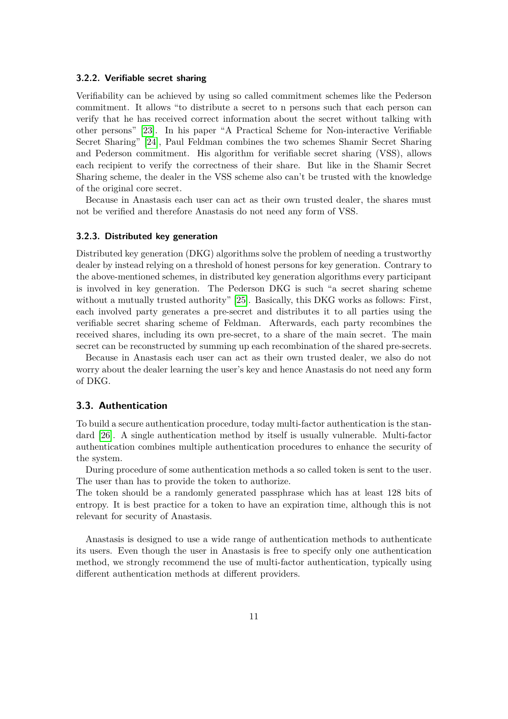#### <span id="page-15-0"></span>**3.2.2. Verifiable secret sharing**

Verifiability can be achieved by using so called commitment schemes like the Pederson commitment. It allows "to distribute a secret to n persons such that each person can verify that he has received correct information about the secret without talking with other persons" [\[23\]](#page-80-9). In his paper "A Practical Scheme for Non-interactive Verifiable Secret Sharing" [\[24\]](#page-80-10), Paul Feldman combines the two schemes Shamir Secret Sharing and Pederson commitment. His algorithm for verifiable secret sharing (VSS), allows each recipient to verify the correctness of their share. But like in the Shamir Secret Sharing scheme, the dealer in the VSS scheme also can't be trusted with the knowledge of the original core secret.

Because in Anastasis each user can act as their own trusted dealer, the shares must not be verified and therefore Anastasis do not need any form of VSS.

#### <span id="page-15-1"></span>**3.2.3. Distributed key generation**

Distributed key generation (DKG) algorithms solve the problem of needing a trustworthy dealer by instead relying on a threshold of honest persons for key generation. Contrary to the above-mentioned schemes, in distributed key generation algorithms every participant is involved in key generation. The Pederson DKG is such "a secret sharing scheme without a mutually trusted authority" [\[25\]](#page-80-11). Basically, this DKG works as follows: First, each involved party generates a pre-secret and distributes it to all parties using the verifiable secret sharing scheme of Feldman. Afterwards, each party recombines the received shares, including its own pre-secret, to a share of the main secret. The main secret can be reconstructed by summing up each recombination of the shared pre-secrets.

Because in Anastasis each user can act as their own trusted dealer, we also do not worry about the dealer learning the user's key and hence Anastasis do not need any form of DKG.

#### <span id="page-15-2"></span>**3.3. Authentication**

To build a secure authentication procedure, today multi-factor authentication is the standard [\[26\]](#page-80-12). A single authentication method by itself is usually vulnerable. Multi-factor authentication combines multiple authentication procedures to enhance the security of the system.

During procedure of some authentication methods a so called token is sent to the user. The user than has to provide the token to authorize.

The token should be a randomly generated passphrase which has at least 128 bits of entropy. It is best practice for a token to have an expiration time, although this is not relevant for security of Anastasis.

Anastasis is designed to use a wide range of authentication methods to authenticate its users. Even though the user in Anastasis is free to specify only one authentication method, we strongly recommend the use of multi-factor authentication, typically using different authentication methods at different providers.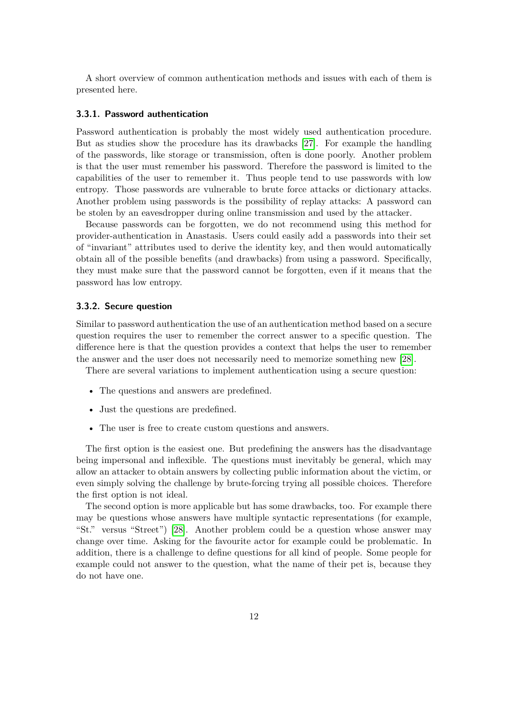A short overview of common authentication methods and issues with each of them is presented here.

#### <span id="page-16-0"></span>**3.3.1. Password authentication**

Password authentication is probably the most widely used authentication procedure. But as studies show the procedure has its drawbacks [\[27\]](#page-80-13). For example the handling of the passwords, like storage or transmission, often is done poorly. Another problem is that the user must remember his password. Therefore the password is limited to the capabilities of the user to remember it. Thus people tend to use passwords with low entropy. Those passwords are vulnerable to brute force attacks or dictionary attacks. Another problem using passwords is the possibility of replay attacks: A password can be stolen by an eavesdropper during online transmission and used by the attacker.

Because passwords can be forgotten, we do not recommend using this method for provider-authentication in Anastasis. Users could easily add a passwords into their set of "invariant" attributes used to derive the identity key, and then would automatically obtain all of the possible benefits (and drawbacks) from using a password. Specifically, they must make sure that the password cannot be forgotten, even if it means that the password has low entropy.

#### <span id="page-16-1"></span>**3.3.2. Secure question**

Similar to password authentication the use of an authentication method based on a secure question requires the user to remember the correct answer to a specific question. The difference here is that the question provides a context that helps the user to remember the answer and the user does not necessarily need to memorize something new [\[28\]](#page-80-14).

There are several variations to implement authentication using a secure question:

- The questions and answers are predefined.
- Just the questions are predefined.
- The user is free to create custom questions and answers.

The first option is the easiest one. But predefining the answers has the disadvantage being impersonal and inflexible. The questions must inevitably be general, which may allow an attacker to obtain answers by collecting public information about the victim, or even simply solving the challenge by brute-forcing trying all possible choices. Therefore the first option is not ideal.

The second option is more applicable but has some drawbacks, too. For example there may be questions whose answers have multiple syntactic representations (for example, "St." versus "Street") [\[28\]](#page-80-14). Another problem could be a question whose answer may change over time. Asking for the favourite actor for example could be problematic. In addition, there is a challenge to define questions for all kind of people. Some people for example could not answer to the question, what the name of their pet is, because they do not have one.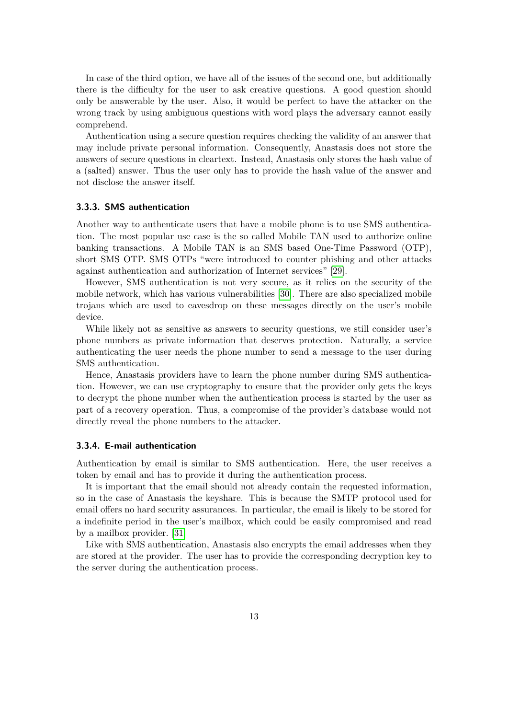In case of the third option, we have all of the issues of the second one, but additionally there is the difficulty for the user to ask creative questions. A good question should only be answerable by the user. Also, it would be perfect to have the attacker on the wrong track by using ambiguous questions with word plays the adversary cannot easily comprehend.

Authentication using a secure question requires checking the validity of an answer that may include private personal information. Consequently, Anastasis does not store the answers of secure questions in cleartext. Instead, Anastasis only stores the hash value of a (salted) answer. Thus the user only has to provide the hash value of the answer and not disclose the answer itself.

#### <span id="page-17-0"></span>**3.3.3. SMS authentication**

Another way to authenticate users that have a mobile phone is to use SMS authentication. The most popular use case is the so called Mobile TAN used to authorize online banking transactions. A Mobile TAN is an SMS based One-Time Password (OTP), short SMS OTP. SMS OTPs "were introduced to counter phishing and other attacks against authentication and authorization of Internet services" [\[29\]](#page-81-0).

However, SMS authentication is not very secure, as it relies on the security of the mobile network, which has various vulnerabilities [\[30\]](#page-81-1). There are also specialized mobile trojans which are used to eavesdrop on these messages directly on the user's mobile device.

While likely not as sensitive as answers to security questions, we still consider user's phone numbers as private information that deserves protection. Naturally, a service authenticating the user needs the phone number to send a message to the user during SMS authentication.

Hence, Anastasis providers have to learn the phone number during SMS authentication. However, we can use cryptography to ensure that the provider only gets the keys to decrypt the phone number when the authentication process is started by the user as part of a recovery operation. Thus, a compromise of the provider's database would not directly reveal the phone numbers to the attacker.

#### <span id="page-17-1"></span>**3.3.4. E-mail authentication**

Authentication by email is similar to SMS authentication. Here, the user receives a token by email and has to provide it during the authentication process.

It is important that the email should not already contain the requested information, so in the case of Anastasis the keyshare. This is because the SMTP protocol used for email offers no hard security assurances. In particular, the email is likely to be stored for a indefinite period in the user's mailbox, which could be easily compromised and read by a mailbox provider. [\[31\]](#page-81-2)

Like with SMS authentication, Anastasis also encrypts the email addresses when they are stored at the provider. The user has to provide the corresponding decryption key to the server during the authentication process.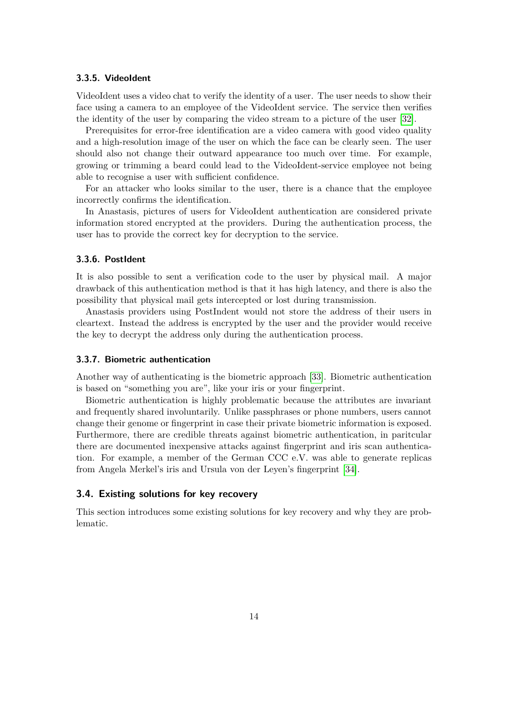#### <span id="page-18-0"></span>**3.3.5. VideoIdent**

VideoIdent uses a video chat to verify the identity of a user. The user needs to show their face using a camera to an employee of the VideoIdent service. The service then verifies the identity of the user by comparing the video stream to a picture of the user [\[32\]](#page-81-3).

Prerequisites for error-free identification are a video camera with good video quality and a high-resolution image of the user on which the face can be clearly seen. The user should also not change their outward appearance too much over time. For example, growing or trimming a beard could lead to the VideoIdent-service employee not being able to recognise a user with sufficient confidence.

For an attacker who looks similar to the user, there is a chance that the employee incorrectly confirms the identification.

In Anastasis, pictures of users for VideoIdent authentication are considered private information stored encrypted at the providers. During the authentication process, the user has to provide the correct key for decryption to the service.

#### <span id="page-18-1"></span>**3.3.6. PostIdent**

It is also possible to sent a verification code to the user by physical mail. A major drawback of this authentication method is that it has high latency, and there is also the possibility that physical mail gets intercepted or lost during transmission.

Anastasis providers using PostIndent would not store the address of their users in cleartext. Instead the address is encrypted by the user and the provider would receive the key to decrypt the address only during the authentication process.

#### <span id="page-18-2"></span>**3.3.7. Biometric authentication**

Another way of authenticating is the biometric approach [\[33\]](#page-81-4). Biometric authentication is based on "something you are", like your iris or your fingerprint.

Biometric authentication is highly problematic because the attributes are invariant and frequently shared involuntarily. Unlike passphrases or phone numbers, users cannot change their genome or fingerprint in case their private biometric information is exposed. Furthermore, there are credible threats against biometric authentication, in paritcular there are documented inexpensive attacks against fingerprint and iris scan authentication. For example, a member of the German CCC e.V. was able to generate replicas from Angela Merkel's iris and Ursula von der Leyen's fingerprint [\[34\]](#page-81-5).

#### <span id="page-18-3"></span>**3.4. Existing solutions for key recovery**

This section introduces some existing solutions for key recovery and why they are problematic.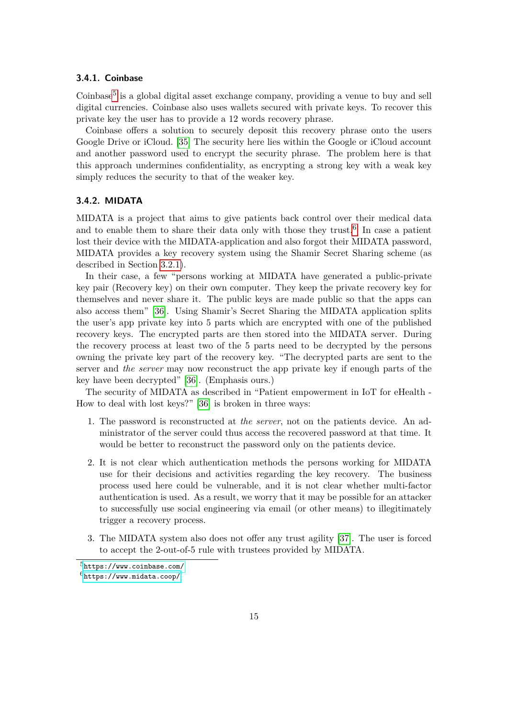#### <span id="page-19-0"></span>**3.4.1. Coinbase**

Coinbase<sup>[5](#page-19-2)</sup> is a global digital asset exchange company, providing a venue to buy and sell digital currencies. Coinbase also uses wallets secured with private keys. To recover this private key the user has to provide a 12 words recovery phrase.

Coinbase offers a solution to securely deposit this recovery phrase onto the users Google Drive or iCloud. [\[35\]](#page-81-6) The security here lies within the Google or iCloud account and another password used to encrypt the security phrase. The problem here is that this approach undermines confidentiality, as encrypting a strong key with a weak key simply reduces the security to that of the weaker key.

#### <span id="page-19-1"></span>**3.4.2. MIDATA**

MIDATA is a project that aims to give patients back control over their medical data and to enable them to share their data only with those they trust.<sup>[6](#page-19-3)</sup> In case a patient lost their device with the MIDATA-application and also forgot their MIDATA password, MIDATA provides a key recovery system using the Shamir Secret Sharing scheme (as described in Section [3.2.1\)](#page-14-1).

In their case, a few "persons working at MIDATA have generated a public-private key pair (Recovery key) on their own computer. They keep the private recovery key for themselves and never share it. The public keys are made public so that the apps can also access them" [\[36\]](#page-81-7). Using Shamir's Secret Sharing the MIDATA application splits the user's app private key into 5 parts which are encrypted with one of the published recovery keys. The encrypted parts are then stored into the MIDATA server. During the recovery process at least two of the 5 parts need to be decrypted by the persons owning the private key part of the recovery key. "The decrypted parts are sent to the server and *the server* may now reconstruct the app private key if enough parts of the key have been decrypted" [\[36\]](#page-81-7). (Emphasis ours.)

The security of MIDATA as described in "Patient empowerment in IoT for eHealth - How to deal with lost keys?" [\[36\]](#page-81-7) is broken in three ways:

- 1. The password is reconstructed at *the server*, not on the patients device. An administrator of the server could thus access the recovered password at that time. It would be better to reconstruct the password only on the patients device.
- 2. It is not clear which authentication methods the persons working for MIDATA use for their decisions and activities regarding the key recovery. The business process used here could be vulnerable, and it is not clear whether multi-factor authentication is used. As a result, we worry that it may be possible for an attacker to successfully use social engineering via email (or other means) to illegitimately trigger a recovery process.
- 3. The MIDATA system also does not offer any trust agility [\[37\]](#page-81-8). The user is forced to accept the 2-out-of-5 rule with trustees provided by MIDATA.

<span id="page-19-3"></span><span id="page-19-2"></span> $5$ <https://www.coinbase.com/>  $6$ <https://www.midata.coop/>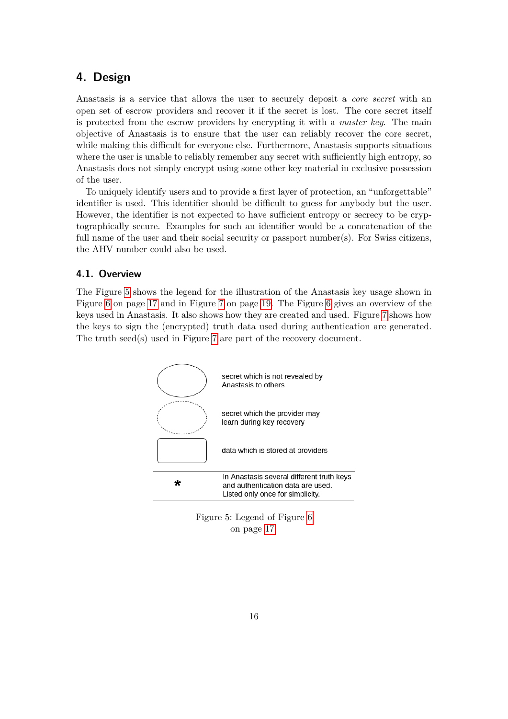## <span id="page-20-0"></span>**4. Design**

Anastasis is a service that allows the user to securely deposit a *core secret* with an open set of escrow providers and recover it if the secret is lost. The core secret itself is protected from the escrow providers by encrypting it with a *master key*. The main objective of Anastasis is to ensure that the user can reliably recover the core secret, while making this difficult for everyone else. Furthermore, Anastasis supports situations where the user is unable to reliably remember any secret with sufficiently high entropy, so Anastasis does not simply encrypt using some other key material in exclusive possession of the user.

To uniquely identify users and to provide a first layer of protection, an "unforgettable" identifier is used. This identifier should be difficult to guess for anybody but the user. However, the identifier is not expected to have sufficient entropy or secrecy to be cryptographically secure. Examples for such an identifier would be a concatenation of the full name of the user and their social security or passport number(s). For Swiss citizens, the AHV number could also be used.

#### <span id="page-20-1"></span>**4.1. Overview**

The Figure [5](#page-20-2) shows the legend for the illustration of the Anastasis key usage shown in Figure [6](#page-21-0) on page [17](#page-21-0) and in Figure [7](#page-23-1) on page [19.](#page-23-1) The Figure [6](#page-21-0) gives an overview of the keys used in Anastasis. It also shows how they are created and used. Figure [7](#page-23-1) shows how the keys to sign the (encrypted) truth data used during authentication are generated. The truth seed(s) used in Figure [7](#page-23-1) are part of the recovery document.



<span id="page-20-2"></span>Figure 5: Legend of Figure [6](#page-21-0) on page [17](#page-21-0)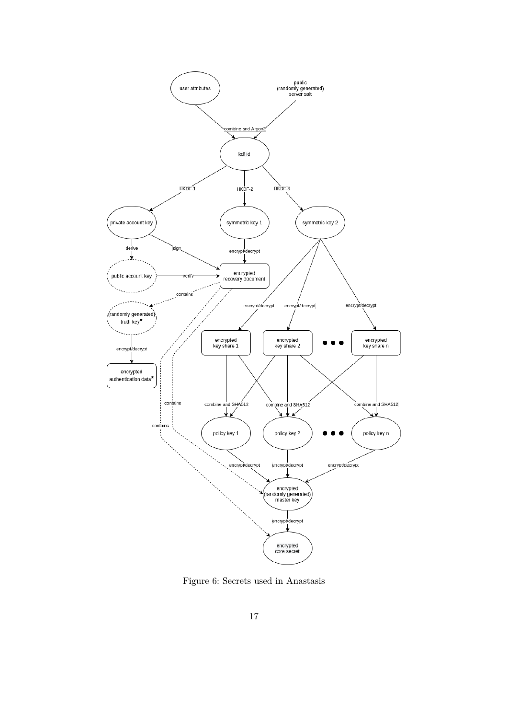

<span id="page-21-0"></span>Figure 6: Secrets used in Anastasis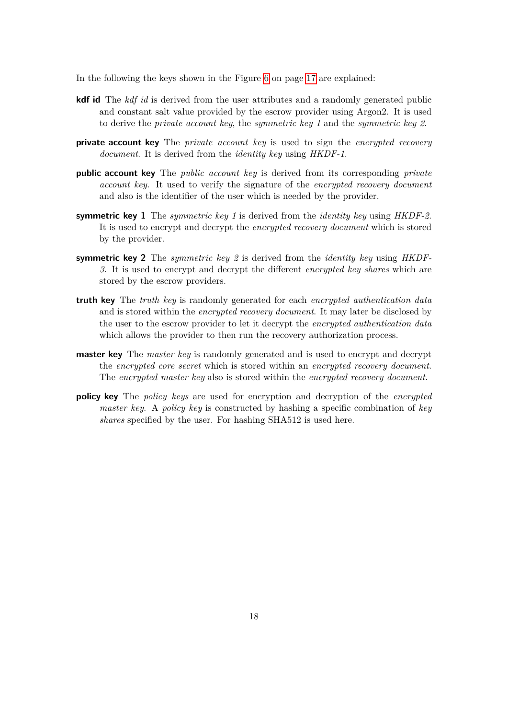In the following the keys shown in the Figure [6](#page-21-0) on page [17](#page-21-0) are explained:

- **kdf id** The *kdf id* is derived from the user attributes and a randomly generated public and constant salt value provided by the escrow provider using Argon2. It is used to derive the *private account key*, the *symmetric key 1* and the *symmetric key 2*.
- **private account key** The *private account key* is used to sign the *encrypted recovery document*. It is derived from the *identity key* using *HKDF-1*.
- **public account key** The *public account key* is derived from its corresponding *private account key*. It used to verify the signature of the *encrypted recovery document* and also is the identifier of the user which is needed by the provider.
- **symmetric key 1** The *symmetric key 1* is derived from the *identity key* using *HKDF-2*. It is used to encrypt and decrypt the *encrypted recovery document* which is stored by the provider.
- **symmetric key 2** The *symmetric key 2* is derived from the *identity key* using *HKDF-3*. It is used to encrypt and decrypt the different *encrypted key shares* which are stored by the escrow providers.
- **truth key** The *truth key* is randomly generated for each *encrypted authentication data* and is stored within the *encrypted recovery document*. It may later be disclosed by the user to the escrow provider to let it decrypt the *encrypted authentication data* which allows the provider to then run the recovery authorization process.
- **master key** The *master key* is randomly generated and is used to encrypt and decrypt the *encrypted core secret* which is stored within an *encrypted recovery document*. The *encrypted master key* also is stored within the *encrypted recovery document*.
- **policy key** The *policy keys* are used for encryption and decryption of the *encrypted master key*. A *policy key* is constructed by hashing a specific combination of *key shares* specified by the user. For hashing SHA512 is used here.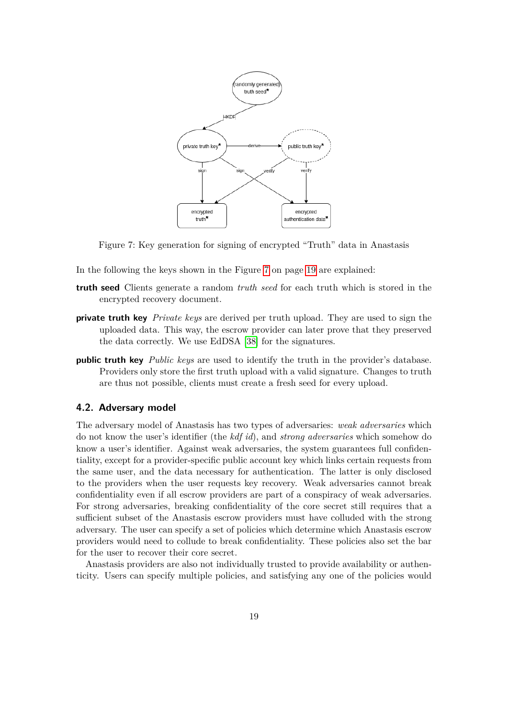![](_page_23_Figure_0.jpeg)

<span id="page-23-1"></span>Figure 7: Key generation for signing of encrypted "Truth" data in Anastasis

- In the following the keys shown in the Figure [7](#page-23-1) on page [19](#page-23-1) are explained:
- **truth seed** Clients generate a random *truth seed* for each truth which is stored in the encrypted recovery document.
- **private truth key** *Private keys* are derived per truth upload. They are used to sign the uploaded data. This way, the escrow provider can later prove that they preserved the data correctly. We use EdDSA [\[38\]](#page-81-9) for the signatures.
- **public truth key** *Public keys* are used to identify the truth in the provider's database. Providers only store the first truth upload with a valid signature. Changes to truth are thus not possible, clients must create a fresh seed for every upload.

#### <span id="page-23-0"></span>**4.2. Adversary model**

The adversary model of Anastasis has two types of adversaries: *weak adversaries* which do not know the user's identifier (the *kdf id*), and *strong adversaries* which somehow do know a user's identifier. Against weak adversaries, the system guarantees full confidentiality, except for a provider-specific public account key which links certain requests from the same user, and the data necessary for authentication. The latter is only disclosed to the providers when the user requests key recovery. Weak adversaries cannot break confidentiality even if all escrow providers are part of a conspiracy of weak adversaries. For strong adversaries, breaking confidentiality of the core secret still requires that a sufficient subset of the Anastasis escrow providers must have colluded with the strong adversary. The user can specify a set of policies which determine which Anastasis escrow providers would need to collude to break confidentiality. These policies also set the bar for the user to recover their core secret.

Anastasis providers are also not individually trusted to provide availability or authenticity. Users can specify multiple policies, and satisfying any one of the policies would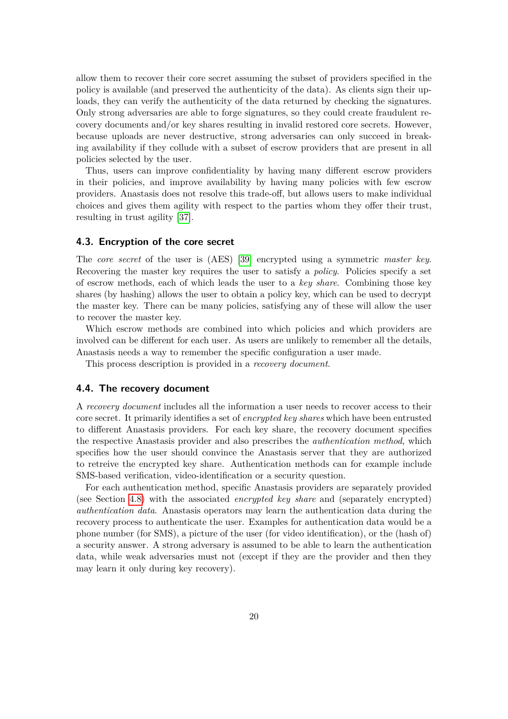allow them to recover their core secret assuming the subset of providers specified in the policy is available (and preserved the authenticity of the data). As clients sign their uploads, they can verify the authenticity of the data returned by checking the signatures. Only strong adversaries are able to forge signatures, so they could create fraudulent recovery documents and/or key shares resulting in invalid restored core secrets. However, because uploads are never destructive, strong adversaries can only succeed in breaking availability if they collude with a subset of escrow providers that are present in all policies selected by the user.

Thus, users can improve confidentiality by having many different escrow providers in their policies, and improve availability by having many policies with few escrow providers. Anastasis does not resolve this trade-off, but allows users to make individual choices and gives them agility with respect to the parties whom they offer their trust, resulting in trust agility [\[37\]](#page-81-8).

#### <span id="page-24-0"></span>**4.3. Encryption of the core secret**

The *core secret* of the user is (AES) [\[39\]](#page-81-10) encrypted using a symmetric *master key*. Recovering the master key requires the user to satisfy a *policy*. Policies specify a set of escrow methods, each of which leads the user to a *key share*. Combining those key shares (by hashing) allows the user to obtain a policy key, which can be used to decrypt the master key. There can be many policies, satisfying any of these will allow the user to recover the master key.

Which escrow methods are combined into which policies and which providers are involved can be different for each user. As users are unlikely to remember all the details, Anastasis needs a way to remember the specific configuration a user made.

This process description is provided in a *recovery document*.

#### <span id="page-24-1"></span>**4.4. The recovery document**

A *recovery document* includes all the information a user needs to recover access to their core secret. It primarily identifies a set of *encrypted key shares* which have been entrusted to different Anastasis providers. For each key share, the recovery document specifies the respective Anastasis provider and also prescribes the *authentication method*, which specifies how the user should convince the Anastasis server that they are authorized to retreive the encrypted key share. Authentication methods can for example include SMS-based verification, video-identification or a security question.

For each authentication method, specific Anastasis providers are separately provided (see Section [4.8\)](#page-30-0) with the associated *encrypted key share* and (separately encrypted) *authentication data*. Anastasis operators may learn the authentication data during the recovery process to authenticate the user. Examples for authentication data would be a phone number (for SMS), a picture of the user (for video identification), or the (hash of) a security answer. A strong adversary is assumed to be able to learn the authentication data, while weak adversaries must not (except if they are the provider and then they may learn it only during key recovery).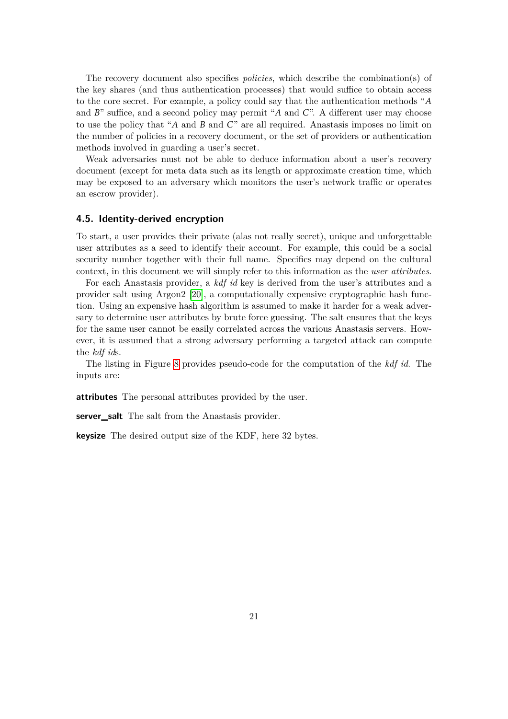The recovery document also specifies *policies*, which describe the combination(s) of the key shares (and thus authentication processes) that would suffice to obtain access to the core secret. For example, a policy could say that the authentication methods "*A* and *B*" suffice, and a second policy may permit "*A* and *C*". A different user may choose to use the policy that "*A* and *B* and *C*" are all required. Anastasis imposes no limit on the number of policies in a recovery document, or the set of providers or authentication methods involved in guarding a user's secret.

Weak adversaries must not be able to deduce information about a user's recovery document (except for meta data such as its length or approximate creation time, which may be exposed to an adversary which monitors the user's network traffic or operates an escrow provider).

### <span id="page-25-0"></span>**4.5. Identity-derived encryption**

To start, a user provides their private (alas not really secret), unique and unforgettable user attributes as a seed to identify their account. For example, this could be a social security number together with their full name. Specifics may depend on the cultural context, in this document we will simply refer to this information as the *user attributes*.

For each Anastasis provider, a *kdf id* key is derived from the user's attributes and a provider salt using Argon2 [\[20\]](#page-80-6), a computationally expensive cryptographic hash function. Using an expensive hash algorithm is assumed to make it harder for a weak adversary to determine user attributes by brute force guessing. The salt ensures that the keys for the same user cannot be easily correlated across the various Anastasis servers. However, it is assumed that a strong adversary performing a targeted attack can compute the *kdf id*s.

The listing in Figure [8](#page-26-0) provides pseudo-code for the computation of the *kdf id*. The inputs are:

**attributes** The personal attributes provided by the user.

**server** salt The salt from the Anastasis provider.

**keysize** The desired output size of the KDF, here 32 bytes.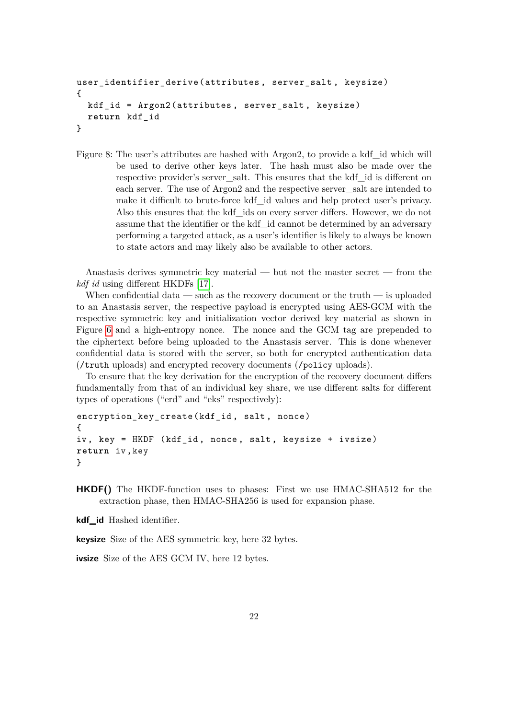```
user_identifier_derive (attributes , server_salt , keysize)
{
 kdf_id = Argon2(attributes , server_salt , keysize)
 return kdf_id
}
```
<span id="page-26-0"></span>Figure 8: The user's attributes are hashed with Argon2, to provide a kdf\_id which will be used to derive other keys later. The hash must also be made over the respective provider's server\_salt. This ensures that the kdf\_id is different on each server. The use of Argon2 and the respective server\_salt are intended to make it difficult to brute-force kdf\_id values and help protect user's privacy. Also this ensures that the kdf\_ids on every server differs. However, we do not assume that the identifier or the kdf\_id cannot be determined by an adversary performing a targeted attack, as a user's identifier is likely to always be known to state actors and may likely also be available to other actors.

Anastasis derives symmetric key material — but not the master secret — from the *kdf id* using different HKDFs [\[17\]](#page-80-3).

When confidential data — such as the recovery document or the truth — is uploaded to an Anastasis server, the respective payload is encrypted using AES-GCM with the respective symmetric key and initialization vector derived key material as shown in Figure [6](#page-21-0) and a high-entropy nonce. The nonce and the GCM tag are prepended to the ciphertext before being uploaded to the Anastasis server. This is done whenever confidential data is stored with the server, so both for encrypted authentication data (/truth uploads) and encrypted recovery documents (/policy uploads).

To ensure that the key derivation for the encryption of the recovery document differs fundamentally from that of an individual key share, we use different salts for different types of operations ("erd" and "eks" respectively):

```
encryption_key_create (kdf_id , salt , nonce)
{
iv, key = HKDF (kdf_id, nonce, salt, keysize + ivsize)
return iv ,key
}
```
**HKDF()** The HKDF-function uses to phases: First we use HMAC-SHA512 for the extraction phase, then HMAC-SHA256 is used for expansion phase.

**kdf\_id** Hashed identifier.

**keysize** Size of the AES symmetric key, here 32 bytes.

**ivsize** Size of the AES GCM IV, here 12 bytes.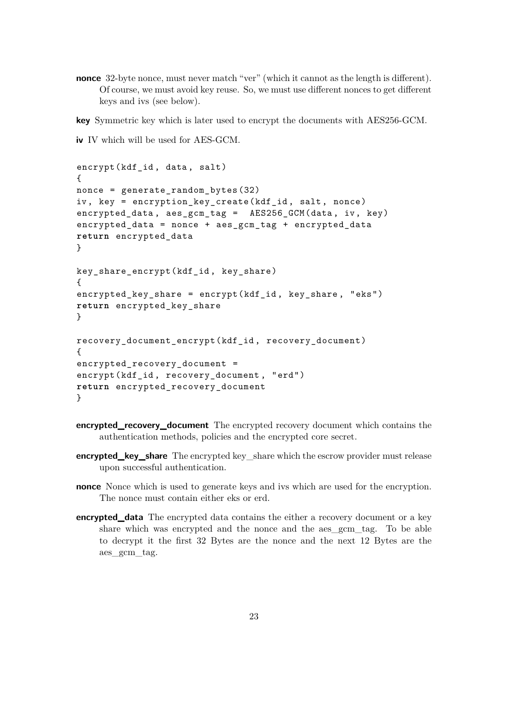**nonce** 32-byte nonce, must never match "ver" (which it cannot as the length is different). Of course, we must avoid key reuse. So, we must use different nonces to get different keys and ivs (see below).

**key** Symmetric key which is later used to encrypt the documents with AES256-GCM.

**iv** IV which will be used for AES-GCM.

```
encrypt(kdf_id, data, salt)
{
nonce = generate_random_bytes (32)
iv, key = encryption key create (kdf id, salt, nonce)
encrypted data, aes gcm tag = AES256 GCM (data, iv, key)
encrypted_data = nonce + aes_gcm_tag + encrypted_data
return encrypted_data
}
key_share_encrypt (kdf_id , key_share )
{
encrypted_key_share = encrypt(kdf_id , key_share , "eks")
return encrypted_key_share
}
recovery_document_encrypt (kdf_id , recovery_document )
{
encrypted_recovery_document =
encrypt(kdf_id , recovery_document , "erd")
return encrypted_recovery_document
}
```
- **encrypted\_recovery\_document** The encrypted recovery document which contains the authentication methods, policies and the encrypted core secret.
- **encrypted\_key\_share** The encrypted key\_share which the escrow provider must release upon successful authentication.
- **nonce** Nonce which is used to generate keys and ivs which are used for the encryption. The nonce must contain either eks or erd.
- **encrypted\_data** The encrypted data contains the either a recovery document or a key share which was encrypted and the nonce and the aes\_gcm\_tag. To be able to decrypt it the first 32 Bytes are the nonce and the next 12 Bytes are the aes\_gcm\_tag.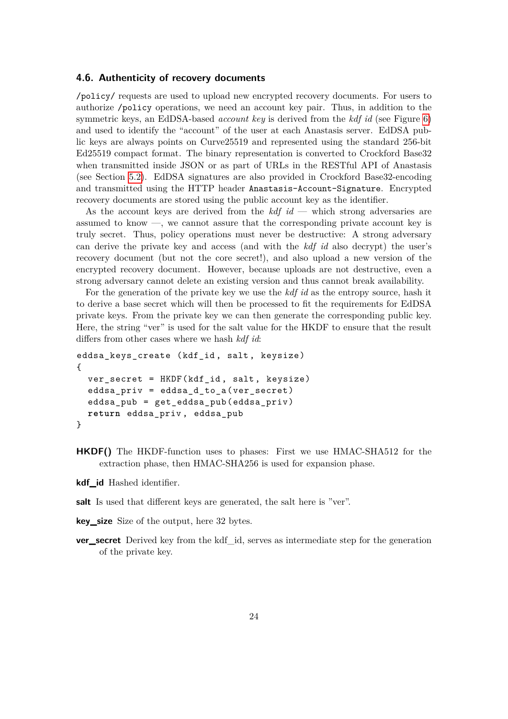#### <span id="page-28-0"></span>**4.6. Authenticity of recovery documents**

/policy/ requests are used to upload new encrypted recovery documents. For users to authorize /policy operations, we need an account key pair. Thus, in addition to the symmetric keys, an EdDSA-based *account key* is derived from the *kdf id* (see Figure [6\)](#page-21-0) and used to identify the "account" of the user at each Anastasis server. EdDSA public keys are always points on Curve25519 and represented using the standard 256-bit Ed25519 compact format. The binary representation is converted to Crockford Base32 when transmitted inside JSON or as part of URLs in the RESTful API of Anastasis (see Section [5.2\)](#page-33-0). EdDSA signatures are also provided in Crockford Base32-encoding and transmitted using the HTTP header Anastasis-Account-Signature. Encrypted recovery documents are stored using the public account key as the identifier.

As the account keys are derived from the *kdf id* — which strong adversaries are assumed to know —, we cannot assure that the corresponding private account key is truly secret. Thus, policy operations must never be destructive: A strong adversary can derive the private key and access (and with the *kdf id* also decrypt) the user's recovery document (but not the core secret!), and also upload a new version of the encrypted recovery document. However, because uploads are not destructive, even a strong adversary cannot delete an existing version and thus cannot break availability.

For the generation of the private key we use the *kdf id* as the entropy source, hash it to derive a base secret which will then be processed to fit the requirements for EdDSA private keys. From the private key we can then generate the corresponding public key. Here, the string "ver" is used for the salt value for the HKDF to ensure that the result differs from other cases where we hash *kdf id*:

```
eddsa_keys_create (kdf_id , salt , keysize)
{
  ver_secret = HKDF(kdf_id , salt , keysize)
  eddsa_priv = eddsa_d_to_a ( ver_secret )
  eddsa_pub = get_eddsa_pub ( eddsa_priv )
  return eddsa_priv , eddsa_pub
}
```
- **HKDF()** The HKDF-function uses to phases: First we use HMAC-SHA512 for the extraction phase, then HMAC-SHA256 is used for expansion phase.
- **kdf\_id** Hashed identifier.
- salt Is used that different keys are generated, the salt here is "ver".
- **key\_size** Size of the output, here 32 bytes.
- **ver\_secret** Derived key from the kdf\_id, serves as intermediate step for the generation of the private key.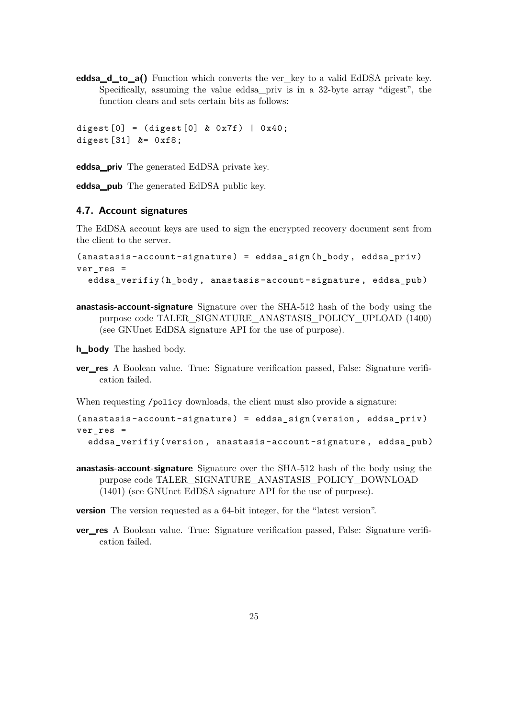**eddsa\_d\_to\_a()** Function which converts the ver\_key to a valid EdDSA private key. Specifically, assuming the value eddsa\_priv is in a 32-byte array "digest", the function clears and sets certain bits as follows:

```
digest [0] = (digest [0] & 0x7f) | 0x40;digest [31] &= 0xf8;
```
**eddsa\_priv** The generated EdDSA private key.

**eddsa\_pub** The generated EdDSA public key.

#### <span id="page-29-0"></span>**4.7. Account signatures**

The EdDSA account keys are used to sign the encrypted recovery document sent from the client to the server.

```
(anastasis -account - signature ) = eddsa_sign (h_body , eddsa_priv )
ver res =eddsa_verifiy (h_body, anastasis-account-signature, eddsa_pub)
```
**anastasis-account-signature** Signature over the SHA-512 hash of the body using the purpose code TALER\_SIGNATURE\_ANASTASIS\_POLICY\_UPLOAD (1400) (see GNUnet EdDSA signature API for the use of purpose).

**h\_body** The hashed body.

**ver\_res** A Boolean value. True: Signature verification passed, False: Signature verification failed.

When requesting /policy downloads, the client must also provide a signature:

```
(anastasis -account - signature ) = eddsa_sign (version , eddsa_priv )
ver res =eddsa_verifiy (version , anastasis -account -signature , eddsa_pub )
```
**anastasis-account-signature** Signature over the SHA-512 hash of the body using the purpose code TALER\_SIGNATURE\_ANASTASIS\_POLICY\_DOWNLOAD (1401) (see GNUnet EdDSA signature API for the use of purpose).

**version** The version requested as a 64-bit integer, for the "latest version".

**ver\_res** A Boolean value. True: Signature verification passed, False: Signature verification failed.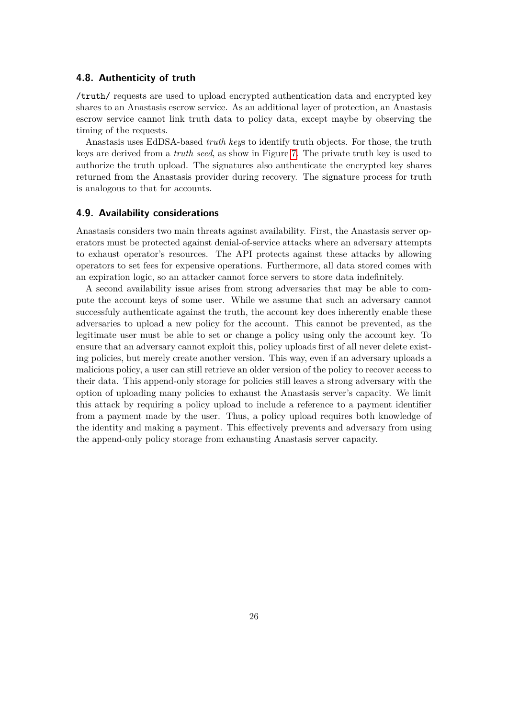#### <span id="page-30-0"></span>**4.8. Authenticity of truth**

/truth/ requests are used to upload encrypted authentication data and encrypted key shares to an Anastasis escrow service. As an additional layer of protection, an Anastasis escrow service cannot link truth data to policy data, except maybe by observing the timing of the requests.

Anastasis uses EdDSA-based *truth key*s to identify truth objects. For those, the truth keys are derived from a *truth seed*, as show in Figure [7.](#page-23-1) The private truth key is used to authorize the truth upload. The signatures also authenticate the encrypted key shares returned from the Anastasis provider during recovery. The signature process for truth is analogous to that for accounts.

#### <span id="page-30-1"></span>**4.9. Availability considerations**

Anastasis considers two main threats against availability. First, the Anastasis server operators must be protected against denial-of-service attacks where an adversary attempts to exhaust operator's resources. The API protects against these attacks by allowing operators to set fees for expensive operations. Furthermore, all data stored comes with an expiration logic, so an attacker cannot force servers to store data indefinitely.

A second availability issue arises from strong adversaries that may be able to compute the account keys of some user. While we assume that such an adversary cannot successfuly authenticate against the truth, the account key does inherently enable these adversaries to upload a new policy for the account. This cannot be prevented, as the legitimate user must be able to set or change a policy using only the account key. To ensure that an adversary cannot exploit this, policy uploads first of all never delete existing policies, but merely create another version. This way, even if an adversary uploads a malicious policy, a user can still retrieve an older version of the policy to recover access to their data. This append-only storage for policies still leaves a strong adversary with the option of uploading many policies to exhaust the Anastasis server's capacity. We limit this attack by requiring a policy upload to include a reference to a payment identifier from a payment made by the user. Thus, a policy upload requires both knowledge of the identity and making a payment. This effectively prevents and adversary from using the append-only policy storage from exhausting Anastasis server capacity.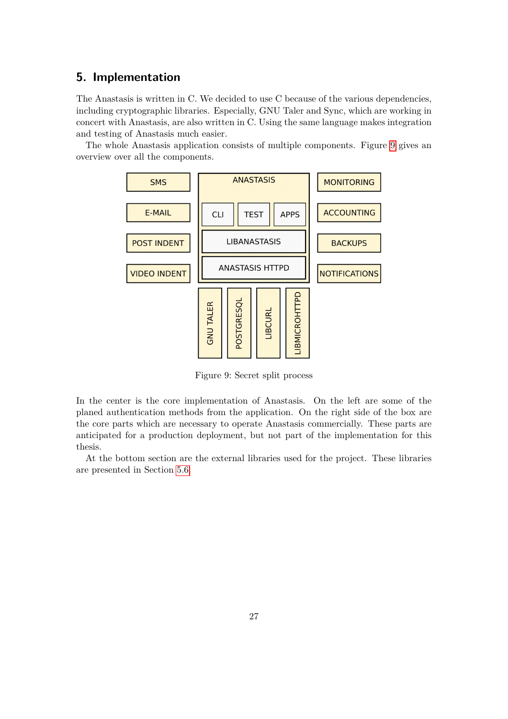## <span id="page-31-0"></span>**5. Implementation**

The Anastasis is written in C. We decided to use C because of the various dependencies, including cryptographic libraries. Especially, GNU Taler and Sync, which are working in concert with Anastasis, are also written in C. Using the same language makes integration and testing of Anastasis much easier.

The whole Anastasis application consists of multiple components. Figure [9](#page-31-1) gives an overview over all the components.

![](_page_31_Figure_3.jpeg)

<span id="page-31-1"></span>Figure 9: Secret split process

In the center is the core implementation of Anastasis. On the left are some of the planed authentication methods from the application. On the right side of the box are the core parts which are necessary to operate Anastasis commercially. These parts are anticipated for a production deployment, but not part of the implementation for this thesis.

At the bottom section are the external libraries used for the project. These libraries are presented in Section [5.6.](#page-50-0)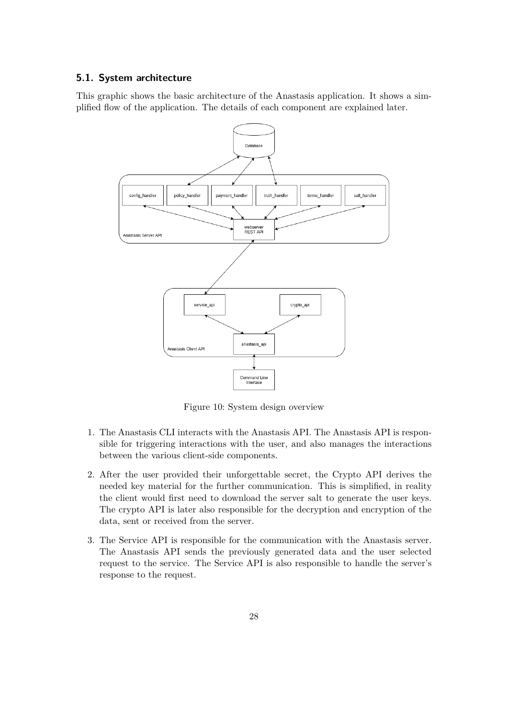#### <span id="page-32-0"></span>**5.1. System architecture**

This graphic shows the basic architecture of the Anastasis application. It shows a simplified flow of the application. The details of each component are explained later.

![](_page_32_Figure_2.jpeg)

<span id="page-32-1"></span>Figure 10: System design overview

- 1. The Anastasis CLI interacts with the Anastasis API. The Anastasis API is responsible for triggering interactions with the user, and also manages the interactions between the various client-side components.
- 2. After the user provided their unforgettable secret, the Crypto API derives the needed key material for the further communication. This is simplified, in reality the client would first need to download the server salt to generate the user keys. The crypto API is later also responsible for the decryption and encryption of the data, sent or received from the server.
- 3. The Service API is responsible for the communication with the Anastasis server. The Anastasis API sends the previously generated data and the user selected request to the service. The Service API is also responsible to handle the server's response to the request.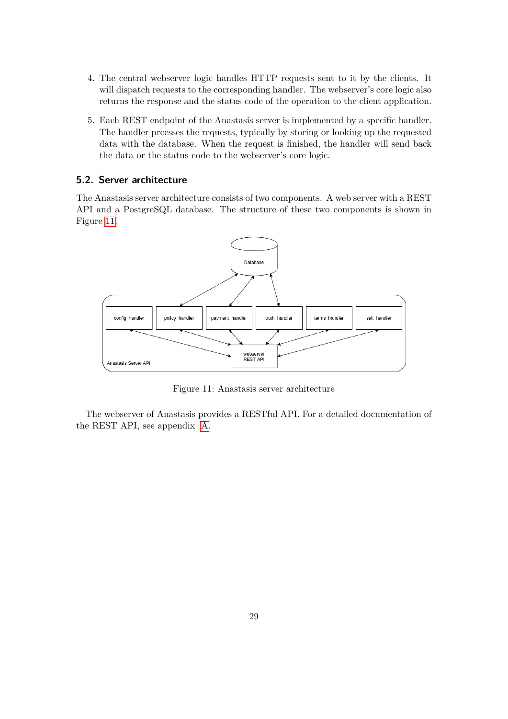- 4. The central webserver logic handles HTTP requests sent to it by the clients. It will dispatch requests to the corresponding handler. The webserver's core logic also returns the response and the status code of the operation to the client application.
- 5. Each REST endpoint of the Anastasis server is implemented by a specific handler. The handler prcesses the requests, typically by storing or looking up the requested data with the database. When the request is finished, the handler will send back the data or the status code to the webserver's core logic.

#### <span id="page-33-0"></span>**5.2. Server architecture**

The Anastasis server architecture consists of two components. A web server with a REST API and a PostgreSQL database. The structure of these two components is shown in Figure [11.](#page-33-1)

![](_page_33_Figure_4.jpeg)

<span id="page-33-1"></span>Figure 11: Anastasis server architecture

The webserver of Anastasis provides a RESTful API. For a detailed documentation of the REST API, see appendix [A.](#page-59-0)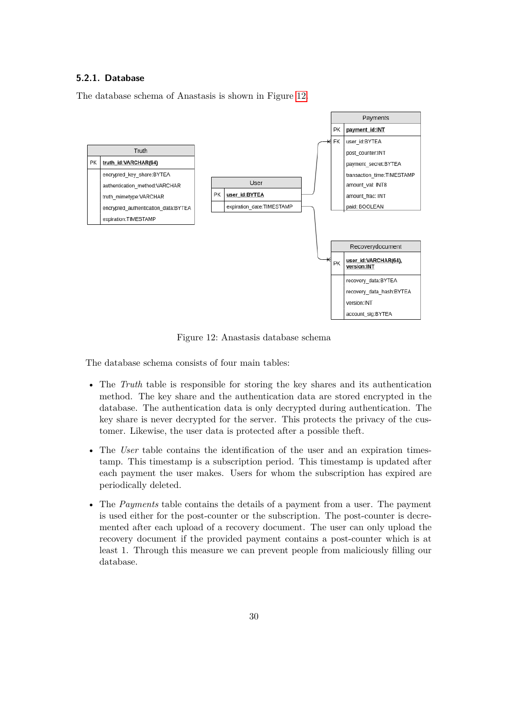#### <span id="page-34-0"></span>**5.2.1. Database**

The database schema of Anastasis is shown in Figure [12.](#page-34-1)

![](_page_34_Figure_2.jpeg)

<span id="page-34-1"></span>Figure 12: Anastasis database schema

The database schema consists of four main tables:

- The *Truth* table is responsible for storing the key shares and its authentication method. The key share and the authentication data are stored encrypted in the database. The authentication data is only decrypted during authentication. The key share is never decrypted for the server. This protects the privacy of the customer. Likewise, the user data is protected after a possible theft.
- The *User* table contains the identification of the user and an expiration timestamp. This timestamp is a subscription period. This timestamp is updated after each payment the user makes. Users for whom the subscription has expired are periodically deleted.
- The *Payments* table contains the details of a payment from a user. The payment is used either for the post-counter or the subscription. The post-counter is decremented after each upload of a recovery document. The user can only upload the recovery document if the provided payment contains a post-counter which is at least 1. Through this measure we can prevent people from maliciously filling our database.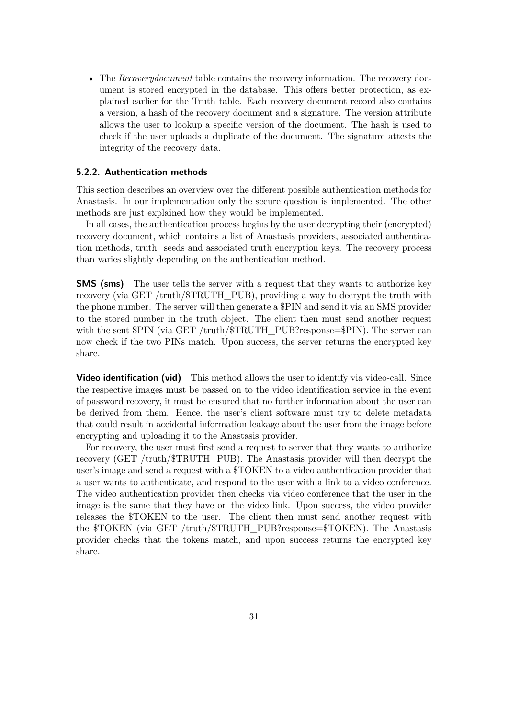• The *Recoverydocument* table contains the recovery information. The recovery document is stored encrypted in the database. This offers better protection, as explained earlier for the Truth table. Each recovery document record also contains a version, a hash of the recovery document and a signature. The version attribute allows the user to lookup a specific version of the document. The hash is used to check if the user uploads a duplicate of the document. The signature attests the integrity of the recovery data.

#### <span id="page-35-0"></span>**5.2.2. Authentication methods**

This section describes an overview over the different possible authentication methods for Anastasis. In our implementation only the secure question is implemented. The other methods are just explained how they would be implemented.

In all cases, the authentication process begins by the user decrypting their (encrypted) recovery document, which contains a list of Anastasis providers, associated authentication methods, truth\_seeds and associated truth encryption keys. The recovery process than varies slightly depending on the authentication method.

**SMS (sms)** The user tells the server with a request that they wants to authorize key recovery (via GET /truth/\$TRUTH\_PUB), providing a way to decrypt the truth with the phone number. The server will then generate a \$PIN and send it via an SMS provider to the stored number in the truth object. The client then must send another request with the sent \$PIN (via GET /truth/\$TRUTH\_PUB?response=\$PIN). The server can now check if the two PINs match. Upon success, the server returns the encrypted key share.

**Video identification (vid)** This method allows the user to identify via video-call. Since the respective images must be passed on to the video identification service in the event of password recovery, it must be ensured that no further information about the user can be derived from them. Hence, the user's client software must try to delete metadata that could result in accidental information leakage about the user from the image before encrypting and uploading it to the Anastasis provider.

For recovery, the user must first send a request to server that they wants to authorize recovery (GET /truth/\$TRUTH\_PUB). The Anastasis provider will then decrypt the user's image and send a request with a \$TOKEN to a video authentication provider that a user wants to authenticate, and respond to the user with a link to a video conference. The video authentication provider then checks via video conference that the user in the image is the same that they have on the video link. Upon success, the video provider releases the \$TOKEN to the user. The client then must send another request with the \$TOKEN (via GET /truth/\$TRUTH\_PUB?response=\$TOKEN). The Anastasis provider checks that the tokens match, and upon success returns the encrypted key share.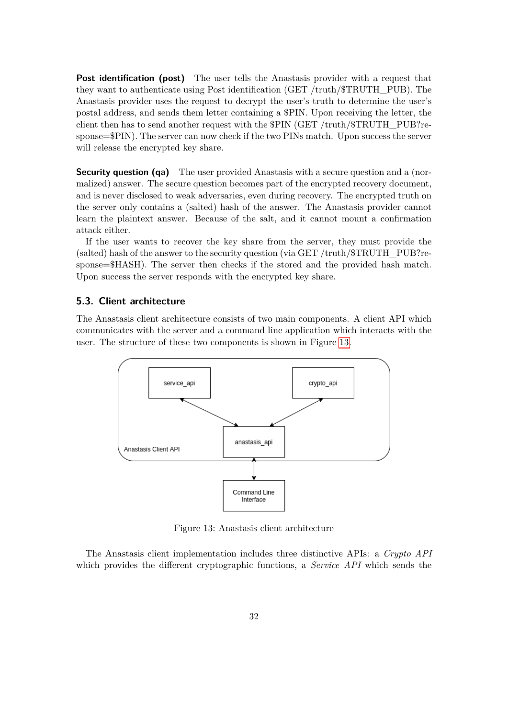**Post identification (post)** The user tells the Anastasis provider with a request that they want to authenticate using Post identification (GET /truth/\$TRUTH\_PUB). The Anastasis provider uses the request to decrypt the user's truth to determine the user's postal address, and sends them letter containing a \$PIN. Upon receiving the letter, the client then has to send another request with the \$PIN (GET /truth/\$TRUTH\_PUB?response=\$PIN). The server can now check if the two PINs match. Upon success the server will release the encrypted key share.

**Security question (qa)** The user provided Anastasis with a secure question and a (normalized) answer. The secure question becomes part of the encrypted recovery document, and is never disclosed to weak adversaries, even during recovery. The encrypted truth on the server only contains a (salted) hash of the answer. The Anastasis provider cannot learn the plaintext answer. Because of the salt, and it cannot mount a confirmation attack either.

If the user wants to recover the key share from the server, they must provide the (salted) hash of the answer to the security question (via GET /truth/\$TRUTH\_PUB?response=\$HASH). The server then checks if the stored and the provided hash match. Upon success the server responds with the encrypted key share.

#### **5.3. Client architecture**

The Anastasis client architecture consists of two main components. A client API which communicates with the server and a command line application which interacts with the user. The structure of these two components is shown in Figure [13.](#page-36-0)



<span id="page-36-0"></span>Figure 13: Anastasis client architecture

The Anastasis client implementation includes three distinctive APIs: a *Crypto API* which provides the different cryptographic functions, a *Service API* which sends the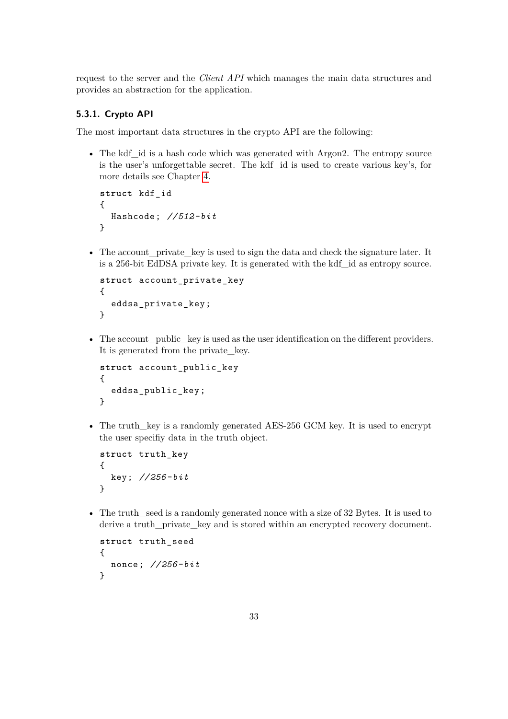request to the server and the *Client API* which manages the main data structures and provides an abstraction for the application.

### **5.3.1. Crypto API**

The most important data structures in the crypto API are the following:

• The kdf id is a hash code which was generated with Argon2. The entropy source is the user's unforgettable secret. The kdf\_id is used to create various key's, for more details see Chapter [4.](#page-20-0)

```
struct kdf_id
{
  Hashcode; //512- bit
}
```
• The account private key is used to sign the data and check the signature later. It is a 256-bit EdDSA private key. It is generated with the kdf\_id as entropy source.

```
struct account private key
{
  eddsa_private_key ;
}
```
• The account public key is used as the user identification on the different providers. It is generated from the private\_key.

```
struct account_public_key
{
  eddsa public key;
}
```
• The truth key is a randomly generated AES-256 GCM key. It is used to encrypt the user specifiy data in the truth object.

```
struct truth_key
{
  key; //256- bit
}
```
• The truth seed is a randomly generated nonce with a size of 32 Bytes. It is used to derive a truth\_private\_key and is stored within an encrypted recovery document.

```
struct truth_seed
{
  nonce; //256- bit
}
```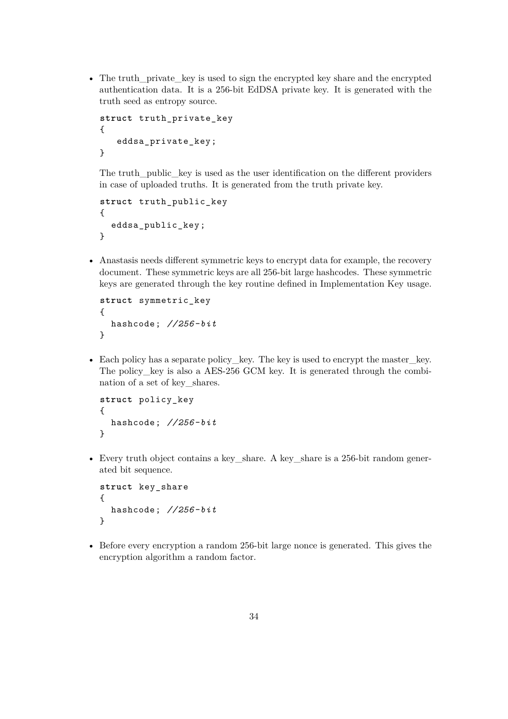• The truth private key is used to sign the encrypted key share and the encrypted authentication data. It is a 256-bit EdDSA private key. It is generated with the truth seed as entropy source.

```
struct truth_private_key
{
   eddsa_private_key ;
}
```
The truth public key is used as the user identification on the different providers in case of uploaded truths. It is generated from the truth private key.

```
struct truth public key
{
  eddsa_public_key ;
}
```
• Anastasis needs different symmetric keys to encrypt data for example, the recovery document. These symmetric keys are all 256-bit large hashcodes. These symmetric keys are generated through the key routine defined in Implementation Key usage.

```
struct symmetric_key
{
  hashcode; //256- bit
}
```
• Each policy has a separate policy\_key. The key is used to encrypt the master key. The policy key is also a AES-256 GCM key. It is generated through the combination of a set of key\_shares.

```
struct policy_key
{
  hashcode; //256- bit
}
```
• Every truth object contains a key\_share. A key\_share is a 256-bit random generated bit sequence.

```
struct key_share
{
  hashcode; //256- bit
}
```
• Before every encryption a random 256-bit large nonce is generated. This gives the encryption algorithm a random factor.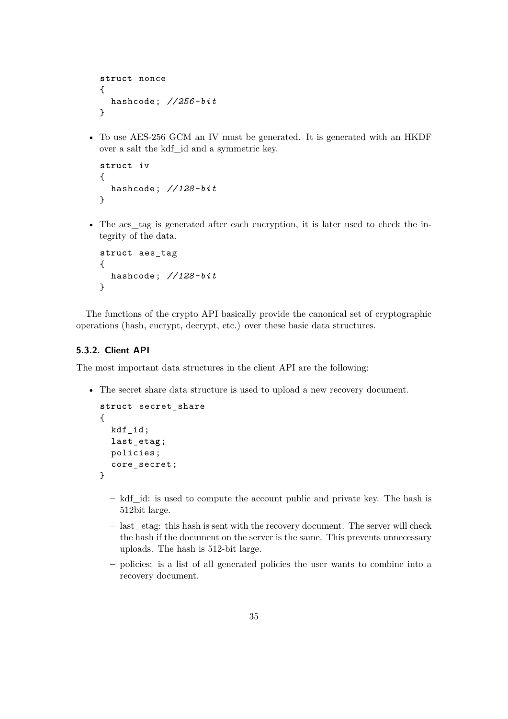```
struct nonce
{
  hashcode; //256- bit
}
```
• To use AES-256 GCM an IV must be generated. It is generated with an HKDF over a salt the kdf\_id and a symmetric key.

```
struct iv
{
  hashcode; //128- bit
}
```
• The aes tag is generated after each encryption, it is later used to check the integrity of the data.

```
struct aes_tag
{
  hashcode; //128- bit
}
```
The functions of the crypto API basically provide the canonical set of cryptographic operations (hash, encrypt, decrypt, etc.) over these basic data structures.

### **5.3.2. Client API**

The most important data structures in the client API are the following:

• The secret share data structure is used to upload a new recovery document.

```
struct secret_share
{
  kdf_id;
  last_etag ;
  policies;
  core_secret ;
}
```
- **–** kdf\_id: is used to compute the account public and private key. The hash is 512bit large.
- **–** last\_etag: this hash is sent with the recovery document. The server will check the hash if the document on the server is the same. This prevents unnecessary uploads. The hash is 512-bit large.
- **–** policies: is a list of all generated policies the user wants to combine into a recovery document.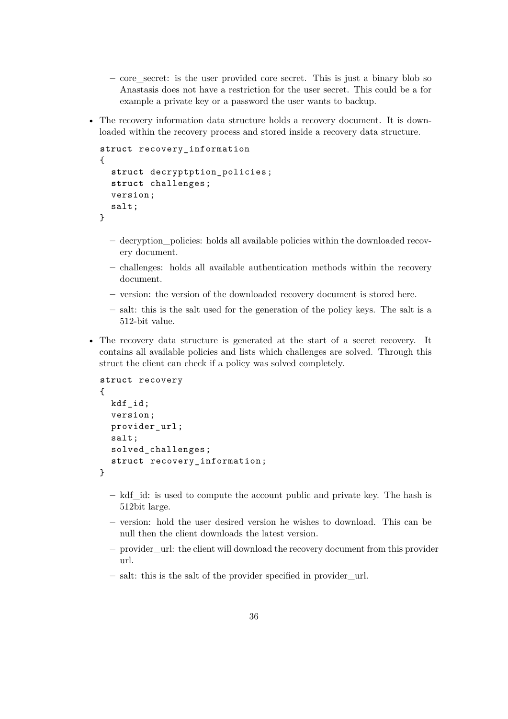- **–** core\_secret: is the user provided core secret. This is just a binary blob so Anastasis does not have a restriction for the user secret. This could be a for example a private key or a password the user wants to backup.
- The recovery information data structure holds a recovery document. It is downloaded within the recovery process and stored inside a recovery data structure.

```
struct recovery_information
{
  struct decryptption_policies ;
  struct challenges ;
  version;
  salt;
}
```
- **–** decryption\_policies: holds all available policies within the downloaded recovery document.
- **–** challenges: holds all available authentication methods within the recovery document.
- **–** version: the version of the downloaded recovery document is stored here.
- **–** salt: this is the salt used for the generation of the policy keys. The salt is a 512-bit value.
- The recovery data structure is generated at the start of a secret recovery. It contains all available policies and lists which challenges are solved. Through this struct the client can check if a policy was solved completely.

```
struct recovery
{
  kdf_id;
  version;
  provider url:
  salt;
  solved_challenges ;
  struct recovery_information ;
}
```
- **–** kdf\_id: is used to compute the account public and private key. The hash is 512bit large.
- **–** version: hold the user desired version he wishes to download. This can be null then the client downloads the latest version.
- **–** provider\_url: the client will download the recovery document from this provider url.
- **–** salt: this is the salt of the provider specified in provider\_url.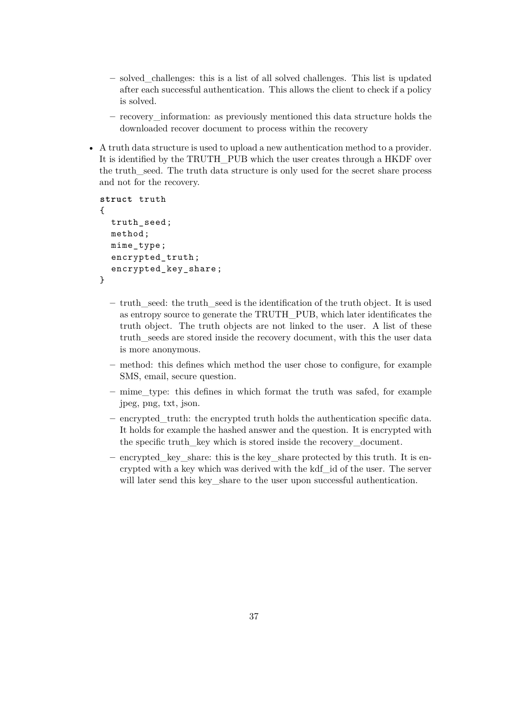- **–** solved\_challenges: this is a list of all solved challenges. This list is updated after each successful authentication. This allows the client to check if a policy is solved.
- **–** recovery\_information: as previously mentioned this data structure holds the downloaded recover document to process within the recovery
- A truth data structure is used to upload a new authentication method to a provider. It is identified by the TRUTH\_PUB which the user creates through a HKDF over the truth\_seed. The truth data structure is only used for the secret share process and not for the recovery.

```
struct truth
{
  truth_seed ;
  method;
  mime_type ;
  encrypted_truth ;
  encrypted_key_share ;
}
```
- **–** truth\_seed: the truth\_seed is the identification of the truth object. It is used as entropy source to generate the TRUTH\_PUB, which later identificates the truth object. The truth objects are not linked to the user. A list of these truth\_seeds are stored inside the recovery document, with this the user data is more anonymous.
- **–** method: this defines which method the user chose to configure, for example SMS, email, secure question.
- **–** mime\_type: this defines in which format the truth was safed, for example jpeg, png, txt, json.
- **–** encrypted\_truth: the encrypted truth holds the authentication specific data. It holds for example the hashed answer and the question. It is encrypted with the specific truth\_key which is stored inside the recovery\_document.
- **–** encrypted\_key\_share: this is the key\_share protected by this truth. It is encrypted with a key which was derived with the kdf\_id of the user. The server will later send this key share to the user upon successful authentication.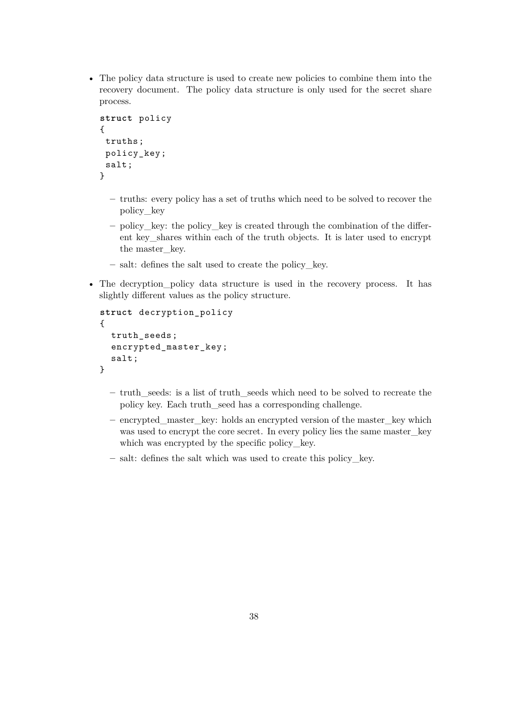• The policy data structure is used to create new policies to combine them into the recovery document. The policy data structure is only used for the secret share process.

```
struct policy
{
 truths;
 policy_key ;
 salt;
}
```
- **–** truths: every policy has a set of truths which need to be solved to recover the policy\_key
- **–** policy\_key: the policy\_key is created through the combination of the different key\_shares within each of the truth objects. It is later used to encrypt the master key.
- **–** salt: defines the salt used to create the policy\_key.
- The decryption\_policy data structure is used in the recovery process. It has slightly different values as the policy structure.

```
struct decryption_policy
{
  truth_seeds ;
  encrypted_master_key ;
  salt;
}
```
- **–** truth\_seeds: is a list of truth\_seeds which need to be solved to recreate the policy key. Each truth\_seed has a corresponding challenge.
- **–** encrypted\_master\_key: holds an encrypted version of the master\_key which was used to encrypt the core secret. In every policy lies the same master\_key which was encrypted by the specific policy\_key.
- **–** salt: defines the salt which was used to create this policy\_key.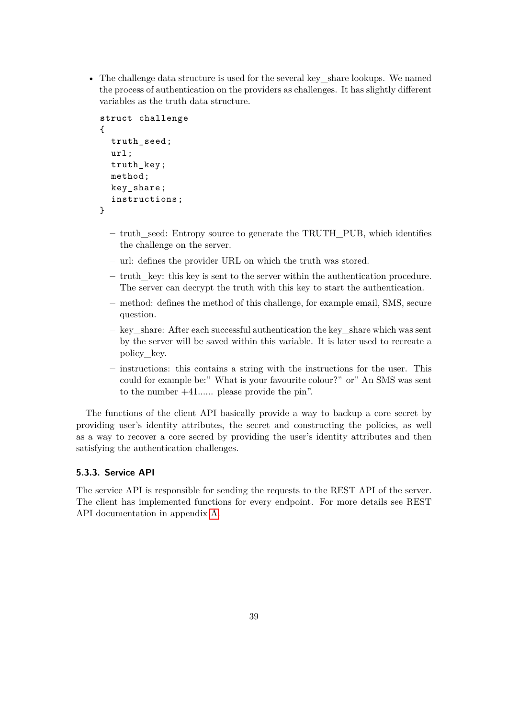• The challenge data structure is used for the several key—share lookups. We named the process of authentication on the providers as challenges. It has slightly different variables as the truth data structure.

```
struct challenge
{
  truth seed;
  url;
  truth_key ;
  method;
  key_share ;
  instructions ;
}
```
- **–** truth\_seed: Entropy source to generate the TRUTH\_PUB, which identifies the challenge on the server.
- **–** url: defines the provider URL on which the truth was stored.
- **–** truth\_key: this key is sent to the server within the authentication procedure. The server can decrypt the truth with this key to start the authentication.
- **–** method: defines the method of this challenge, for example email, SMS, secure question.
- **–** key\_share: After each successful authentication the key\_share which was sent by the server will be saved within this variable. It is later used to recreate a policy\_key.
- **–** instructions: this contains a string with the instructions for the user. This could for example be:" What is your favourite colour?" or" An SMS was sent to the number +41...... please provide the pin".

The functions of the client API basically provide a way to backup a core secret by providing user's identity attributes, the secret and constructing the policies, as well as a way to recover a core secred by providing the user's identity attributes and then satisfying the authentication challenges.

## **5.3.3. Service API**

The service API is responsible for sending the requests to the REST API of the server. The client has implemented functions for every endpoint. For more details see REST API documentation in appendix [A.](#page-59-0)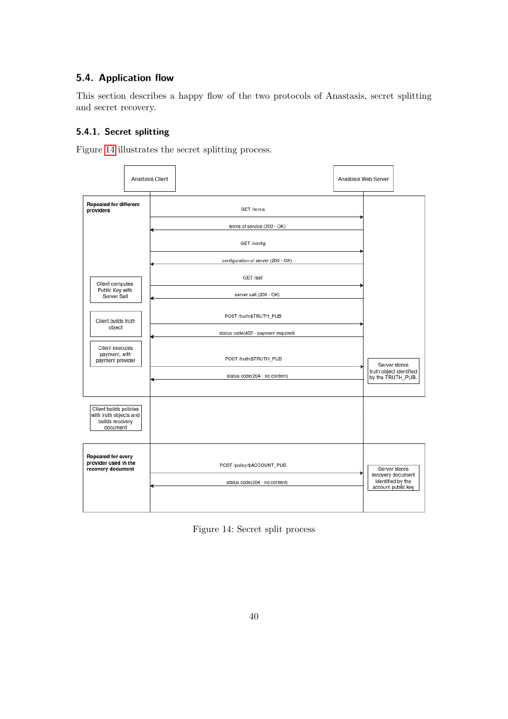## **5.4. Application flow**

This section describes a happy flow of the two protocols of Anastasis, secret splitting and secret recovery.

## **5.4.1. Secret splitting**

Figure [14](#page-44-0) illustrates the secret splitting process.



<span id="page-44-0"></span>Figure 14: Secret split process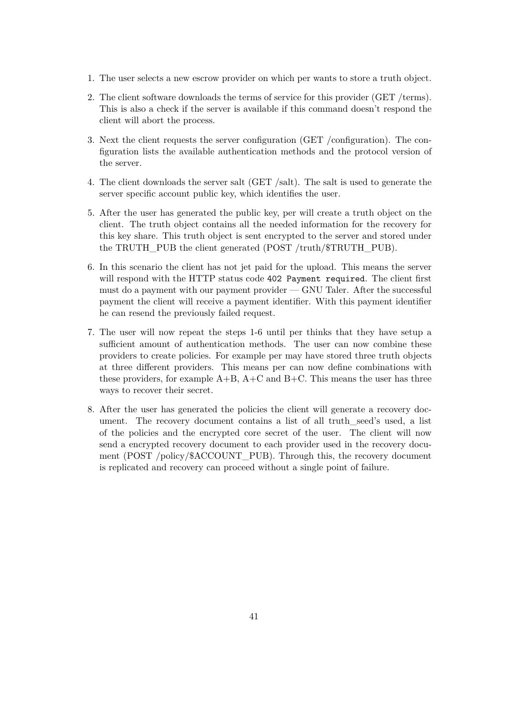- 1. The user selects a new escrow provider on which per wants to store a truth object.
- 2. The client software downloads the terms of service for this provider (GET /terms). This is also a check if the server is available if this command doesn't respond the client will abort the process.
- 3. Next the client requests the server configuration (GET /configuration). The configuration lists the available authentication methods and the protocol version of the server.
- 4. The client downloads the server salt (GET /salt). The salt is used to generate the server specific account public key, which identifies the user.
- 5. After the user has generated the public key, per will create a truth object on the client. The truth object contains all the needed information for the recovery for this key share. This truth object is sent encrypted to the server and stored under the TRUTH PUB the client generated (POST /truth/\$TRUTH\_PUB).
- 6. In this scenario the client has not jet paid for the upload. This means the server will respond with the HTTP status code 402 Payment required. The client first must do a payment with our payment provider — GNU Taler. After the successful payment the client will receive a payment identifier. With this payment identifier he can resend the previously failed request.
- 7. The user will now repeat the steps 1-6 until per thinks that they have setup a sufficient amount of authentication methods. The user can now combine these providers to create policies. For example per may have stored three truth objects at three different providers. This means per can now define combinations with these providers, for example  $A+B$ ,  $A+C$  and  $B+C$ . This means the user has three ways to recover their secret.
- 8. After the user has generated the policies the client will generate a recovery document. The recovery document contains a list of all truth\_seed's used, a list of the policies and the encrypted core secret of the user. The client will now send a encrypted recovery document to each provider used in the recovery document (POST /policy/\$ACCOUNT\_PUB). Through this, the recovery document is replicated and recovery can proceed without a single point of failure.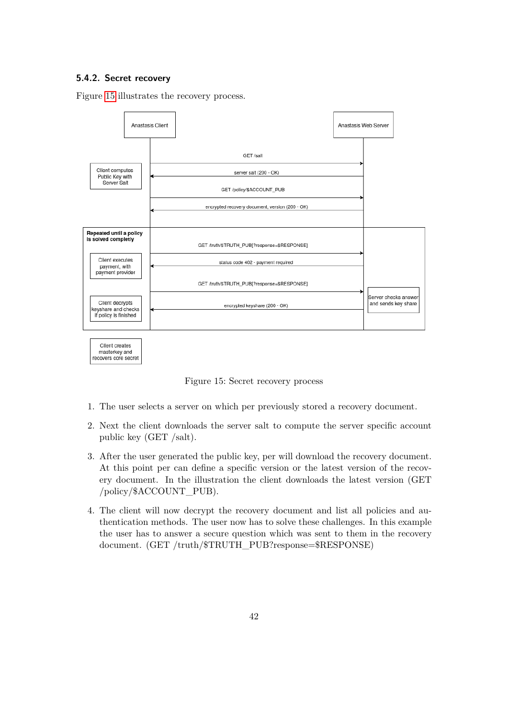### **5.4.2. Secret recovery**

Figure [15](#page-46-0) illustrates the recovery process.



<span id="page-46-0"></span>Figure 15: Secret recovery process

- 1. The user selects a server on which per previously stored a recovery document.
- 2. Next the client downloads the server salt to compute the server specific account public key (GET /salt).
- 3. After the user generated the public key, per will download the recovery document. At this point per can define a specific version or the latest version of the recovery document. In the illustration the client downloads the latest version (GET /policy/\$ACCOUNT\_PUB).
- 4. The client will now decrypt the recovery document and list all policies and authentication methods. The user now has to solve these challenges. In this example the user has to answer a secure question which was sent to them in the recovery document. (GET /truth/\$TRUTH\_PUB?response=\$RESPONSE)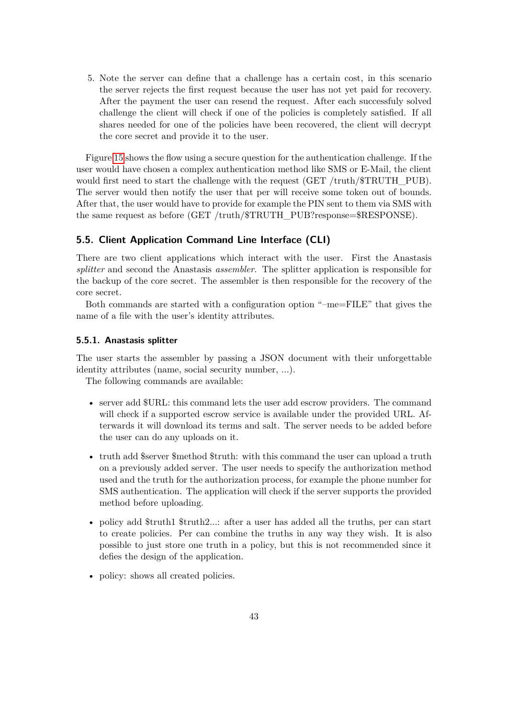5. Note the server can define that a challenge has a certain cost, in this scenario the server rejects the first request because the user has not yet paid for recovery. After the payment the user can resend the request. After each successfuly solved challenge the client will check if one of the policies is completely satisfied. If all shares needed for one of the policies have been recovered, the client will decrypt the core secret and provide it to the user.

Figure [15](#page-46-0) shows the flow using a secure question for the authentication challenge. If the user would have chosen a complex authentication method like SMS or E-Mail, the client would first need to start the challenge with the request (GET /truth/\$TRUTH\_PUB). The server would then notify the user that per will receive some token out of bounds. After that, the user would have to provide for example the PIN sent to them via SMS with the same request as before (GET /truth/\$TRUTH\_PUB?response=\$RESPONSE).

## **5.5. Client Application Command Line Interface (CLI)**

There are two client applications which interact with the user. First the Anastasis *splitter* and second the Anastasis *assembler*. The splitter application is responsible for the backup of the core secret. The assembler is then responsible for the recovery of the core secret.

Both commands are started with a configuration option "–me=FILE" that gives the name of a file with the user's identity attributes.

#### **5.5.1. Anastasis splitter**

The user starts the assembler by passing a JSON document with their unforgettable identity attributes (name, social security number, ...).

The following commands are available:

- server add  $\text{FURL}:$  this command lets the user add escrow providers. The command will check if a supported escrow service is available under the provided URL. Afterwards it will download its terms and salt. The server needs to be added before the user can do any uploads on it.
- truth add \$server \$method \$truth: with this command the user can upload a truth on a previously added server. The user needs to specify the authorization method used and the truth for the authorization process, for example the phone number for SMS authentication. The application will check if the server supports the provided method before uploading.
- policy add \$truth1 \$truth2...: after a user has added all the truths, per can start to create policies. Per can combine the truths in any way they wish. It is also possible to just store one truth in a policy, but this is not recommended since it defies the design of the application.
- policy: shows all created policies.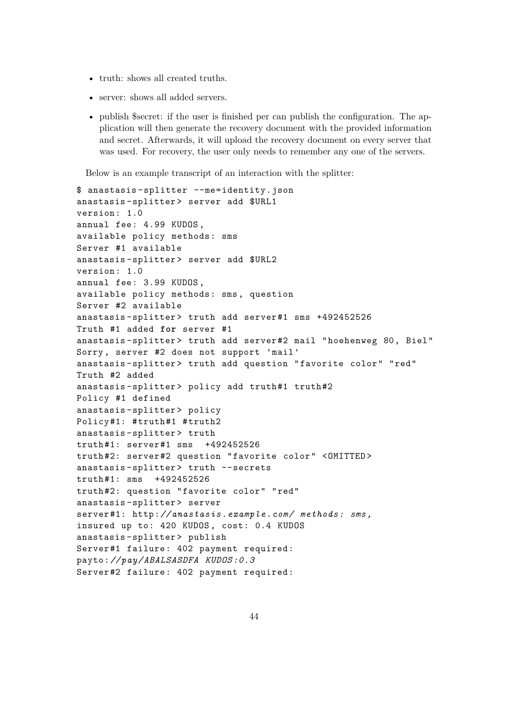- truth: shows all created truths.
- server: shows all added servers.
- publish \$secret: if the user is finished per can publish the configuration. The application will then generate the recovery document with the provided information and secret. Afterwards, it will upload the recovery document on every server that was used. For recovery, the user only needs to remember any one of the servers.

Below is an example transcript of an interaction with the splitter:

```
$ anastasis -splitter --me=identity.json
anastasis -splitter > server add $URL1
version: 1.0
annual fee: 4.99 KUDOS ,
available policy methods: sms
Server #1 available
anastasis-splitter> server add $URL2
version: 1.0
annual fee: 3.99 KUDOS ,
available policy methods: sms , question
Server #2 available
anastasis-splitter> truth add server#1 sms +492452526
Truth #1 added for server #1
anastasis -splitter > truth add server #2 mail " hoehenweg 80, Biel"
Sorry , server #2 does not support 'mail '
anastasis -splitter > truth add question "favorite color" "red"
Truth #2 added
anastasis-splitter> policy add truth#1 truth#2
Policy #1 defined
anastasis -splitter > policy
Policy#1: #truth#1 #truth2
anastasis-splitter> truth
truth #1: server #1 sms +492452526
truth #2: server #2 question "favorite color" <OMITTED >
anastasis-splitter> truth --secrets
truth #1: sms +492452526
truth #2: question "favorite color" "red"
anastasis -splitter > server
server #1: http:// anastasis .example.com/ methods: sms ,
insured up to: 420 KUDOS , cost: 0.4 KUDOS
anastasis -splitter > publish
Server #1 failure: 402 payment required:
payto:// pay/ ABALSASDFA KUDOS :0.3
Server #2 failure: 402 payment required:
```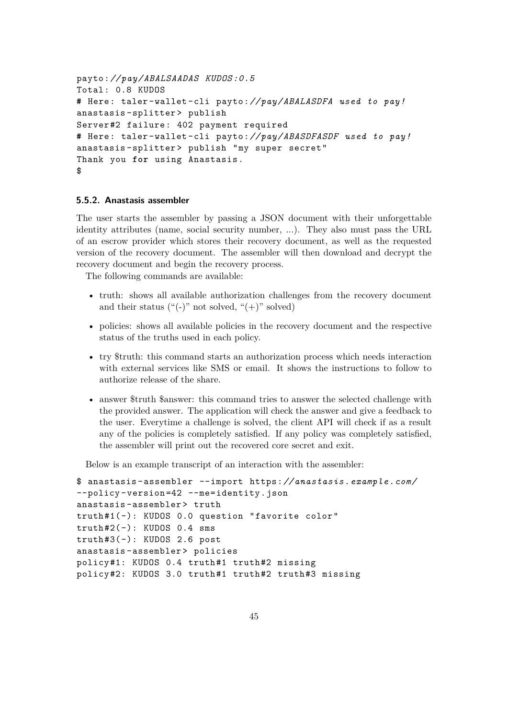```
payto:// pay/ ABALSAADAS KUDOS :0.5
Total: 0.8 KUDOS
# Here: taler -wallet -cli payto:// pay/ ABALASDFA used to pay!
anastasis -splitter > publish
Server #2 failure: 402 payment required
# Here: taler -wallet -cli payto:// pay/ ABASDFASDF used to pay!
anastasis-splitter> publish "my super secret"
Thank you for using Anastasis .
$
```
### **5.5.2. Anastasis assembler**

The user starts the assembler by passing a JSON document with their unforgettable identity attributes (name, social security number, ...). They also must pass the URL of an escrow provider which stores their recovery document, as well as the requested version of the recovery document. The assembler will then download and decrypt the recovery document and begin the recovery process.

The following commands are available:

- truth: shows all available authorization challenges from the recovery document and their status  $($ "(-)" not solved, " $(+)$ " solved)
- policies: shows all available policies in the recovery document and the respective status of the truths used in each policy.
- try \$truth: this command starts an authorization process which needs interaction with external services like SMS or email. It shows the instructions to follow to authorize release of the share.
- answer \$truth \$answer: this command tries to answer the selected challenge with the provided answer. The application will check the answer and give a feedback to the user. Everytime a challenge is solved, the client API will check if as a result any of the policies is completely satisfied. If any policy was completely satisfied, the assembler will print out the recovered core secret and exit.

Below is an example transcript of an interaction with the assembler:

```
$ anastasis - assembler --import https:// anastasis .example.com/
--policy -version =42 --me=identity.json
anastasis -assembler > truth
truth #1( -): KUDOS 0.0 question "favorite color"
truth#2(-): KUDOS 0.4 smstruth #3( -): KUDOS 2.6 post
anastasis -assembler > policies
policy#1: KUDOS 0.4 truth#1 truth#2 missing
policy#2: KUDOS 3.0 truth#1 truth#2 truth#3 missing
```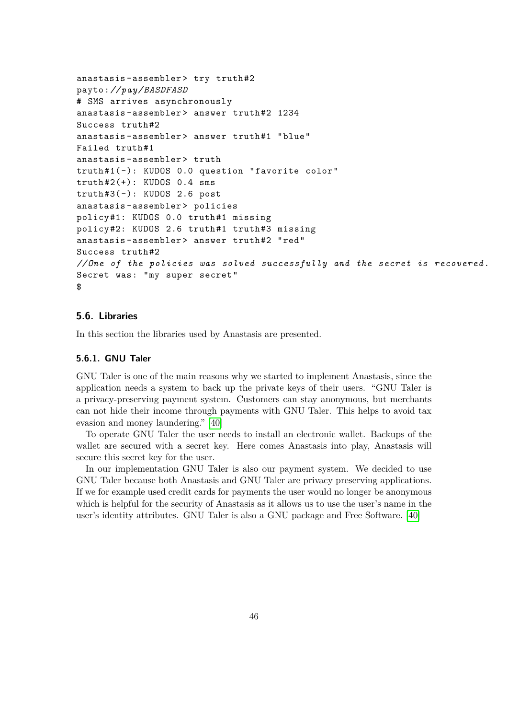```
anastasis-assembler> try truth#2
payto:// pay/BASDFASD
# SMS arrives asynchronously
anastasis-assembler> answer truth#2 1234
Success truth#2
anastasis-assembler> answer truth#1 "blue"
Failed truth #1
anastasis -assembler > truth
truth #1( -): KUDOS 0.0 question "favorite color"
truth #2(+): KUDOS 0.4 sms
truth #3( -): KUDOS 2.6 post
anastasis -assembler > policies
policy#1: KUDOS 0.0 truth#1 missing
policy#2: KUDOS 2.6 truth#1 truth#3 missing
anastasis-assembler> answer truth#2 "red"
Success truth #2
// One of the policies was solved successfully and the secret is recovered .
Secret was: "my super secret"
$
```
## **5.6. Libraries**

In this section the libraries used by Anastasis are presented.

#### **5.6.1. GNU Taler**

GNU Taler is one of the main reasons why we started to implement Anastasis, since the application needs a system to back up the private keys of their users. "GNU Taler is a privacy-preserving payment system. Customers can stay anonymous, but merchants can not hide their income through payments with GNU Taler. This helps to avoid tax evasion and money laundering." [\[40\]](#page-81-0)

To operate GNU Taler the user needs to install an electronic wallet. Backups of the wallet are secured with a secret key. Here comes Anastasis into play, Anastasis will secure this secret key for the user.

In our implementation GNU Taler is also our payment system. We decided to use GNU Taler because both Anastasis and GNU Taler are privacy preserving applications. If we for example used credit cards for payments the user would no longer be anonymous which is helpful for the security of Anastasis as it allows us to use the user's name in the user's identity attributes. GNU Taler is also a GNU package and Free Software. [\[40\]](#page-81-0)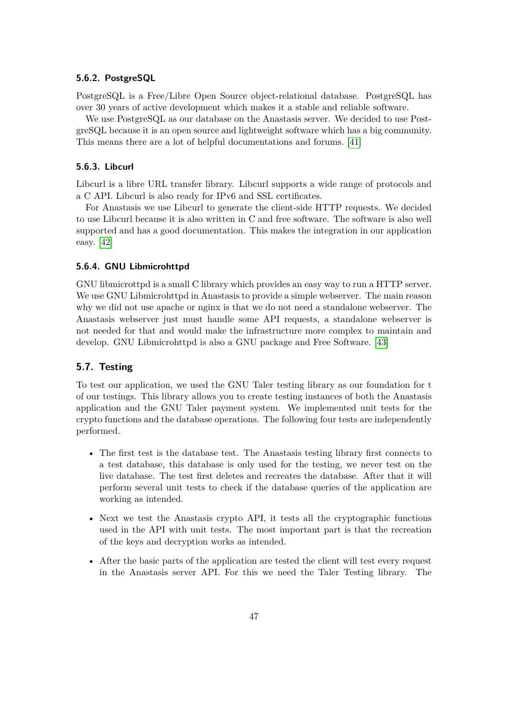### **5.6.2. PostgreSQL**

PostgreSQL is a Free/Libre Open Source object-relational database. PostgreSQL has over 30 years of active development which makes it a stable and reliable software.

We use PostgreSQL as our database on the Anastasis server. We decided to use PostgreSQL because it is an open source and lightweight software which has a big community. This means there are a lot of helpful documentations and forums. [\[41\]](#page-81-1)

## **5.6.3. Libcurl**

Libcurl is a libre URL transfer library. Libcurl supports a wide range of protocols and a C API. Libcurl is also ready for IPv6 and SSL certificates.

For Anastasis we use Libcurl to generate the client-side HTTP requests. We decided to use Libcurl because it is also written in C and free software. The software is also well supported and has a good documentation. This makes the integration in our application easy. [\[42\]](#page-81-2)

#### **5.6.4. GNU Libmicrohttpd**

GNU libmicrottpd is a small C library which provides an easy way to run a HTTP server. We use GNU Libmicrohttpd in Anastasis to provide a simple webserver. The main reason why we did not use apache or nginx is that we do not need a standalone webserver. The Anastasis webserver just must handle some API requests, a standalone webserver is not needed for that and would make the infrastructure more complex to maintain and develop. GNU Libmicrohttpd is also a GNU package and Free Software. [\[43\]](#page-81-3)

### **5.7. Testing**

To test our application, we used the GNU Taler testing library as our foundation for t of our testings. This library allows you to create testing instances of both the Anastasis application and the GNU Taler payment system. We implemented unit tests for the crypto functions and the database operations. The following four tests are independently performed.

- The first test is the database test. The Anastasis testing library first connects to a test database, this database is only used for the testing, we never test on the live database. The test first deletes and recreates the database. After that it will perform several unit tests to check if the database queries of the application are working as intended.
- Next we test the Anastasis crypto API, it tests all the cryptographic functions used in the API with unit tests. The most important part is that the recreation of the keys and decryption works as intended.
- After the basic parts of the application are tested the client will test every request in the Anastasis server API. For this we need the Taler Testing library. The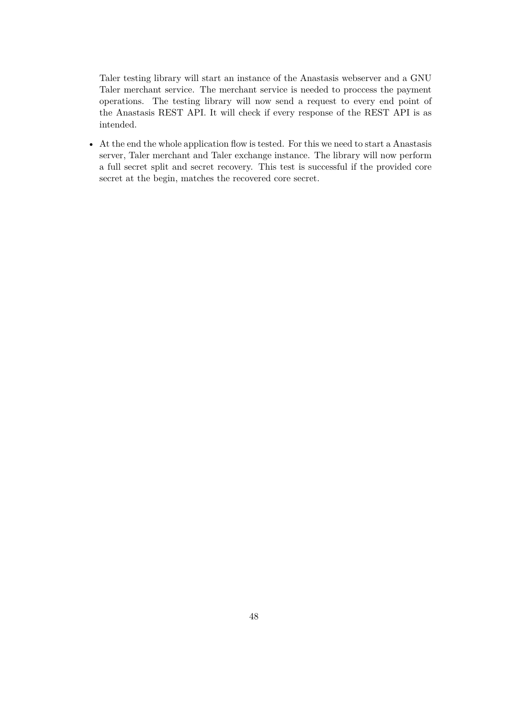Taler testing library will start an instance of the Anastasis webserver and a GNU Taler merchant service. The merchant service is needed to proccess the payment operations. The testing library will now send a request to every end point of the Anastasis REST API. It will check if every response of the REST API is as intended.

• At the end the whole application flow is tested. For this we need to start a Anastasis server, Taler merchant and Taler exchange instance. The library will now perform a full secret split and secret recovery. This test is successful if the provided core secret at the begin, matches the recovered core secret.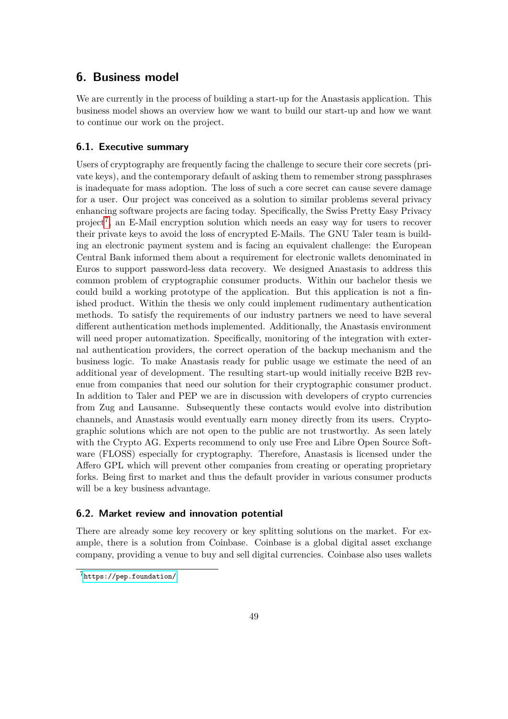# **6. Business model**

We are currently in the process of building a start-up for the Anastasis application. This business model shows an overview how we want to build our start-up and how we want to continue our work on the project.

## **6.1. Executive summary**

Users of cryptography are frequently facing the challenge to secure their core secrets (private keys), and the contemporary default of asking them to remember strong passphrases is inadequate for mass adoption. The loss of such a core secret can cause severe damage for a user. Our project was conceived as a solution to similar problems several privacy enhancing software projects are facing today. Specifically, the Swiss Pretty Easy Privacy project<sup>[7](#page-53-0)</sup>, an E-Mail encryption solution which needs an easy way for users to recover their private keys to avoid the loss of encrypted E-Mails. The GNU Taler team is building an electronic payment system and is facing an equivalent challenge: the European Central Bank informed them about a requirement for electronic wallets denominated in Euros to support password-less data recovery. We designed Anastasis to address this common problem of cryptographic consumer products. Within our bachelor thesis we could build a working prototype of the application. But this application is not a finished product. Within the thesis we only could implement rudimentary authentication methods. To satisfy the requirements of our industry partners we need to have several different authentication methods implemented. Additionally, the Anastasis environment will need proper automatization. Specifically, monitoring of the integration with external authentication providers, the correct operation of the backup mechanism and the business logic. To make Anastasis ready for public usage we estimate the need of an additional year of development. The resulting start-up would initially receive B2B revenue from companies that need our solution for their cryptographic consumer product. In addition to Taler and PEP we are in discussion with developers of crypto currencies from Zug and Lausanne. Subsequently these contacts would evolve into distribution channels, and Anastasis would eventually earn money directly from its users. Cryptographic solutions which are not open to the public are not trustworthy. As seen lately with the Crypto AG. Experts recommend to only use Free and Libre Open Source Software (FLOSS) especially for cryptography. Therefore, Anastasis is licensed under the Affero GPL which will prevent other companies from creating or operating proprietary forks. Being first to market and thus the default provider in various consumer products will be a key business advantage.

## **6.2. Market review and innovation potential**

There are already some key recovery or key splitting solutions on the market. For example, there is a solution from Coinbase. Coinbase is a global digital asset exchange company, providing a venue to buy and sell digital currencies. Coinbase also uses wallets

<span id="page-53-0"></span><sup>7</sup><https://pep.foundation/>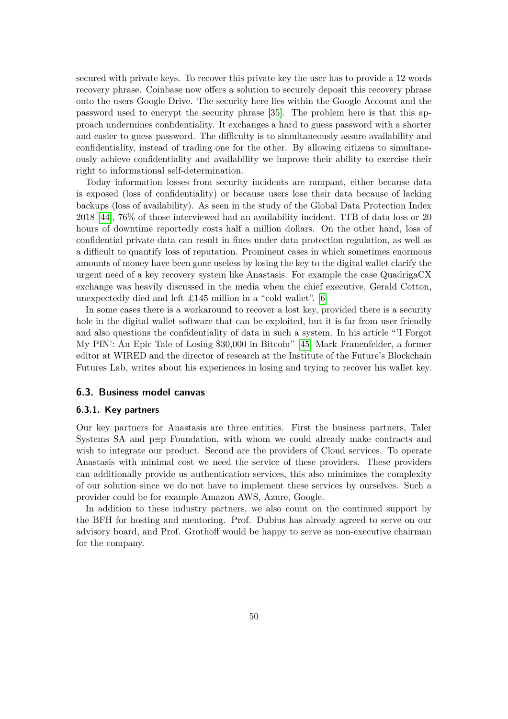secured with private keys. To recover this private key the user has to provide a 12 words recovery phrase. Coinbase now offers a solution to securely deposit this recovery phrase onto the users Google Drive. The security here lies within the Google Account and the password used to encrypt the security phrase [\[35\]](#page-81-4). The problem here is that this approach undermines confidentiality. It exchanges a hard to guess password with a shorter and easier to guess password. The difficulty is to simultaneously assure availability and confidentiality, instead of trading one for the other. By allowing citizens to simultaneously achieve confidentiality and availability we improve their ability to exercise their right to informational self-determination.

Today information losses from security incidents are rampant, either because data is exposed (loss of confidentiality) or because users lose their data because of lacking backups (loss of availability). As seen in the study of the Global Data Protection Index 2018 [\[44\]](#page-82-0), 76% of those interviewed had an availability incident. 1TB of data loss or 20 hours of downtime reportedly costs half a million dollars. On the other hand, loss of confidential private data can result in fines under data protection regulation, as well as a difficult to quantify loss of reputation. Prominent cases in which sometimes enormous amounts of money have been gone useless by losing the key to the digital wallet clarify the urgent need of a key recovery system like Anastasis. For example the case QuadrigaCX exchange was heavily discussed in the media when the chief executive, Gerald Cotton, unexpectedly died and left £145 million in a "cold wallet". [\[6\]](#page-79-0)

In some cases there is a workaround to recover a lost key, provided there is a security hole in the digital wallet software that can be exploited, but it is far from user friendly and also questions the confidentiality of data in such a system. In his article "'I Forgot My PIN': An Epic Tale of Losing \$30,000 in Bitcoin" [\[45\]](#page-82-1) Mark Frauenfelder, a former editor at WIRED and the director of research at the Institute of the Future's Blockchain Futures Lab, writes about his experiences in losing and trying to recover his wallet key.

#### **6.3. Business model canvas**

#### **6.3.1. Key partners**

Our key partners for Anastasis are three entities. First the business partners, Taler Systems SA and p≡p Foundation, with whom we could already make contracts and wish to integrate our product. Second are the providers of Cloud services. To operate Anastasis with minimal cost we need the service of these providers. These providers can additionally provide us authentication services, this also minimizes the complexity of our solution since we do not have to implement these services by ourselves. Such a provider could be for example Amazon AWS, Azure, Google.

In addition to these industry partners, we also count on the continued support by the BFH for hosting and mentoring. Prof. Dubius has already agreed to serve on our advisory board, and Prof. Grothoff would be happy to serve as non-executive chairman for the company.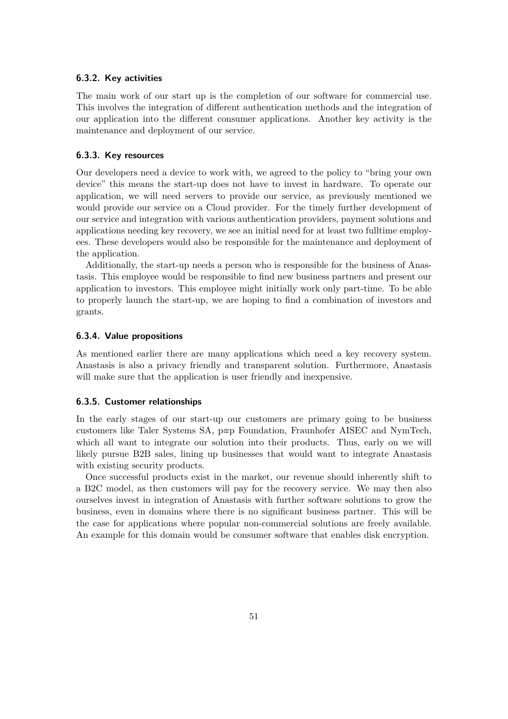### **6.3.2. Key activities**

The main work of our start up is the completion of our software for commercial use. This involves the integration of different authentication methods and the integration of our application into the different consumer applications. Another key activity is the maintenance and deployment of our service.

#### **6.3.3. Key resources**

Our developers need a device to work with, we agreed to the policy to "bring your own device" this means the start-up does not have to invest in hardware. To operate our application, we will need servers to provide our service, as previously mentioned we would provide our service on a Cloud provider. For the timely further development of our service and integration with various authentication providers, payment solutions and applications needing key recovery, we see an initial need for at least two fulltime employees. These developers would also be responsible for the maintenance and deployment of the application.

Additionally, the start-up needs a person who is responsible for the business of Anastasis. This employee would be responsible to find new business partners and present our application to investors. This employee might initially work only part-time. To be able to properly launch the start-up, we are hoping to find a combination of investors and grants.

#### **6.3.4. Value propositions**

As mentioned earlier there are many applications which need a key recovery system. Anastasis is also a privacy friendly and transparent solution. Furthermore, Anastasis will make sure that the application is user friendly and inexpensive.

#### **6.3.5. Customer relationships**

In the early stages of our start-up our customers are primary going to be business customers like Taler Systems SA, p≡p Foundation, Fraunhofer AISEC and NymTech, which all want to integrate our solution into their products. Thus, early on we will likely pursue B2B sales, lining up businesses that would want to integrate Anastasis with existing security products.

Once successful products exist in the market, our revenue should inherently shift to a B2C model, as then customers will pay for the recovery service. We may then also ourselves invest in integration of Anastasis with further software solutions to grow the business, even in domains where there is no significant business partner. This will be the case for applications where popular non-commercial solutions are freely available. An example for this domain would be consumer software that enables disk encryption.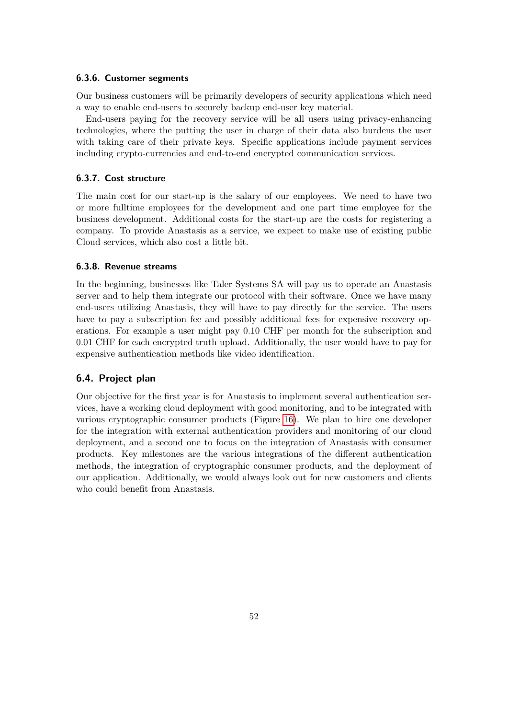#### **6.3.6. Customer segments**

Our business customers will be primarily developers of security applications which need a way to enable end-users to securely backup end-user key material.

End-users paying for the recovery service will be all users using privacy-enhancing technologies, where the putting the user in charge of their data also burdens the user with taking care of their private keys. Specific applications include payment services including crypto-currencies and end-to-end encrypted communication services.

### **6.3.7. Cost structure**

The main cost for our start-up is the salary of our employees. We need to have two or more fulltime employees for the development and one part time employee for the business development. Additional costs for the start-up are the costs for registering a company. To provide Anastasis as a service, we expect to make use of existing public Cloud services, which also cost a little bit.

#### **6.3.8. Revenue streams**

In the beginning, businesses like Taler Systems SA will pay us to operate an Anastasis server and to help them integrate our protocol with their software. Once we have many end-users utilizing Anastasis, they will have to pay directly for the service. The users have to pay a subscription fee and possibly additional fees for expensive recovery operations. For example a user might pay 0.10 CHF per month for the subscription and 0.01 CHF for each encrypted truth upload. Additionally, the user would have to pay for expensive authentication methods like video identification.

### **6.4. Project plan**

Our objective for the first year is for Anastasis to implement several authentication services, have a working cloud deployment with good monitoring, and to be integrated with various cryptographic consumer products (Figure [16\)](#page-57-0). We plan to hire one developer for the integration with external authentication providers and monitoring of our cloud deployment, and a second one to focus on the integration of Anastasis with consumer products. Key milestones are the various integrations of the different authentication methods, the integration of cryptographic consumer products, and the deployment of our application. Additionally, we would always look out for new customers and clients who could benefit from Anastasis.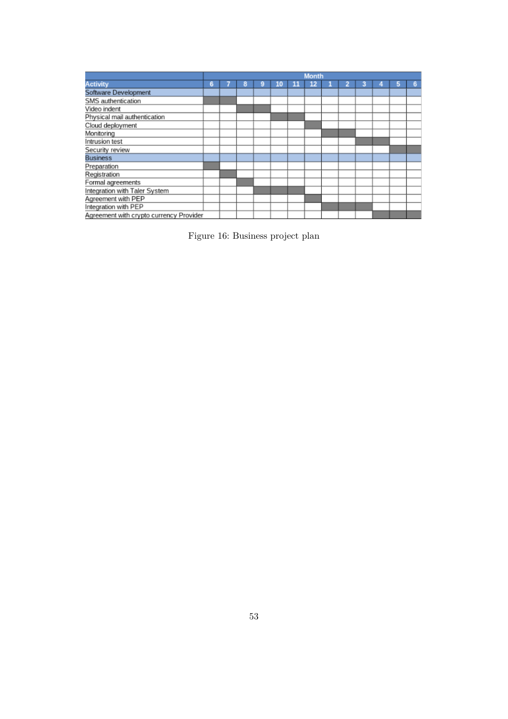|                                         | <b>Month</b> |  |   |   |    |    |    |  |  |  |   |   |   |
|-----------------------------------------|--------------|--|---|---|----|----|----|--|--|--|---|---|---|
| <b>Activity</b>                         | 6            |  | 8 | 9 | 10 | 11 | 12 |  |  |  | o | 5 | 6 |
| Software Development                    |              |  |   |   |    |    |    |  |  |  |   |   |   |
| SMS authentication                      |              |  |   |   |    |    |    |  |  |  |   |   |   |
| Video indent                            |              |  |   |   |    |    |    |  |  |  |   |   |   |
| Physical mail authentication            |              |  |   |   |    |    |    |  |  |  |   |   |   |
| Cloud deployment                        |              |  |   |   |    |    |    |  |  |  |   |   |   |
| Monitoring                              |              |  |   |   |    |    |    |  |  |  |   |   |   |
| Intrusion test                          |              |  |   |   |    |    |    |  |  |  |   |   |   |
| Security review                         |              |  |   |   |    |    |    |  |  |  |   |   |   |
| <b>Business</b>                         |              |  |   |   |    |    |    |  |  |  |   |   |   |
| Preparation                             |              |  |   |   |    |    |    |  |  |  |   |   |   |
| Registration                            |              |  |   |   |    |    |    |  |  |  |   |   |   |
| Formal agreements                       |              |  |   |   |    |    |    |  |  |  |   |   |   |
| Integration with Taler System           |              |  |   |   |    |    |    |  |  |  |   |   |   |
| Agreement with PEP                      |              |  |   |   |    |    |    |  |  |  |   |   |   |
| Integration with PEP                    |              |  |   |   |    |    |    |  |  |  |   |   |   |
| Agreement with crypto currency Provider |              |  |   |   |    |    |    |  |  |  |   |   |   |

<span id="page-57-0"></span>Figure 16: Business project plan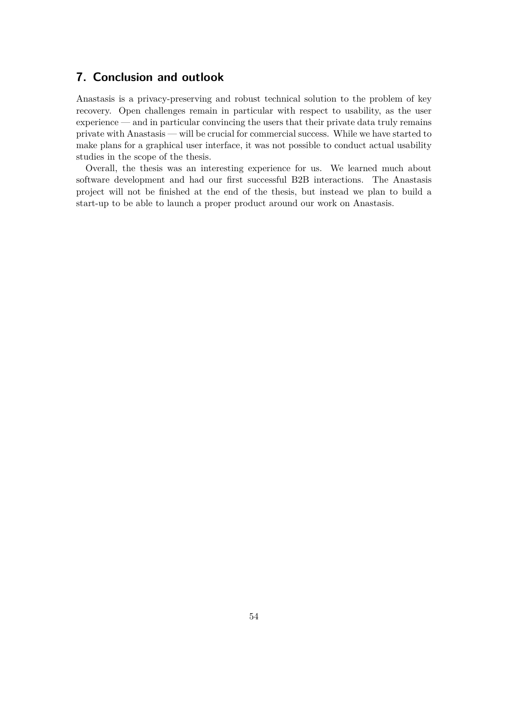# **7. Conclusion and outlook**

Anastasis is a privacy-preserving and robust technical solution to the problem of key recovery. Open challenges remain in particular with respect to usability, as the user experience — and in particular convincing the users that their private data truly remains private with Anastasis — will be crucial for commercial success. While we have started to make plans for a graphical user interface, it was not possible to conduct actual usability studies in the scope of the thesis.

Overall, the thesis was an interesting experience for us. We learned much about software development and had our first successful B2B interactions. The Anastasis project will not be finished at the end of the thesis, but instead we plan to build a start-up to be able to launch a proper product around our work on Anastasis.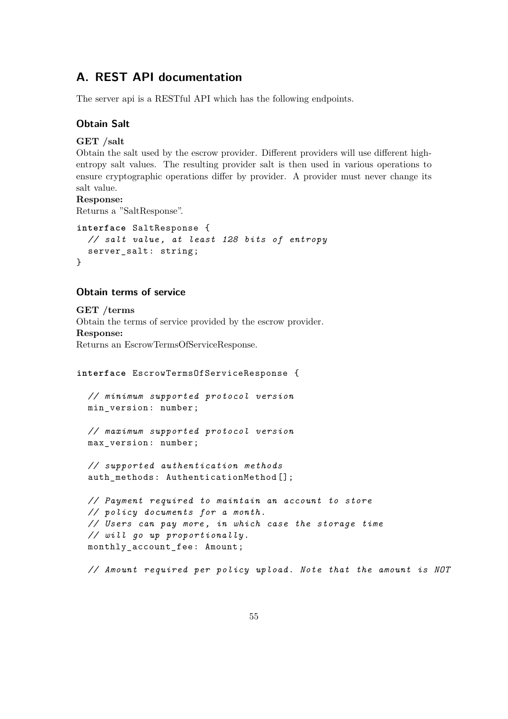# <span id="page-59-0"></span>**A. REST API documentation**

The server api is a RESTful API which has the following endpoints.

### **Obtain Salt**

### **GET /salt**

Obtain the salt used by the escrow provider. Different providers will use different highentropy salt values. The resulting provider salt is then used in various operations to ensure cryptographic operations differ by provider. A provider must never change its salt value.

#### **Response:**

Returns a "SaltResponse".

```
interface SaltResponse {
 // salt value , at least 128 bits of entropy
 server_salt: string;
}
```
### **Obtain terms of service**

**GET /terms** Obtain the terms of service provided by the escrow provider. **Response:** Returns an EscrowTermsOfServiceResponse.

```
interface EscrowTermsOfServiceResponse {
 // minimum supported protocol version
 min_version : number;
  // maximum supported protocol version
 max_version : number;
 // supported authentication methods
  auth_methods : AuthenticationMethod [];
```

```
// Payment required to maintain an account to store
// policy documents for a month.
// Users can pay more , in which case the storage time
// will go up proportionally .
monthly account fee: Amount;
```
*// Amount required per policy upload. Note that the amount is NOT*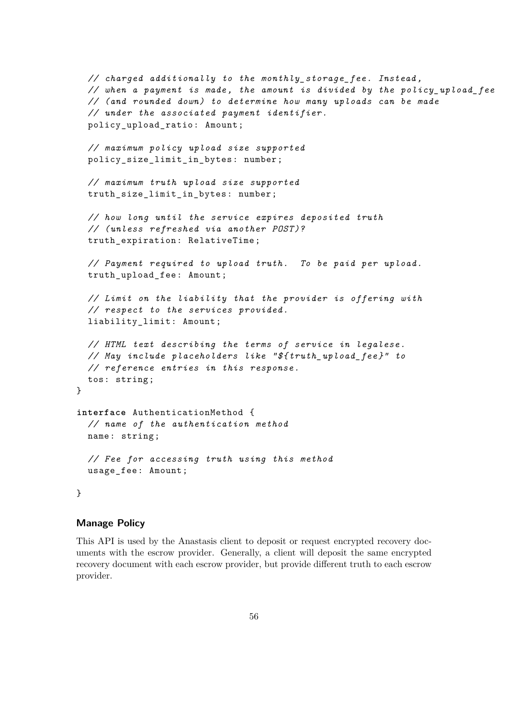```
// charged additionally to the monthly_storage_fee . Instead ,
  // when a payment is made , the amount is divided by the policy_upload_fee
  // (and rounded down) to determine how many uploads can be made
  // under the associated payment identifier .
  policy_upload_ratio : Amount;
  // maximum policy upload size supported
  policy size limit in bytes: number;
  // maximum truth upload size supported
  truth_size_limit_in_bytes : number;
  // how long until the service expires deposited truth
  // (unless refreshed via another POST )?
  truth_expiration : RelativeTime ;
  // Payment required to upload truth. To be paid per upload.
  truth_upload_fee : Amount;
  // Limit on the liability that the provider is offering with
  // respect to the services provided.
  liability_limit : Amount;
  // HTML text describing the terms of service in legalese.
  // May include placeholders like "${ truth_upload_fee }" to
  // reference entries in this response.
  tos: string;
}
interface AuthenticationMethod {
  // name of the authentication method
  name: string;
  // Fee for accessing truth using this method
  usage_fee : Amount;
}
```
## **Manage Policy**

This API is used by the Anastasis client to deposit or request encrypted recovery documents with the escrow provider. Generally, a client will deposit the same encrypted recovery document with each escrow provider, but provide different truth to each escrow provider.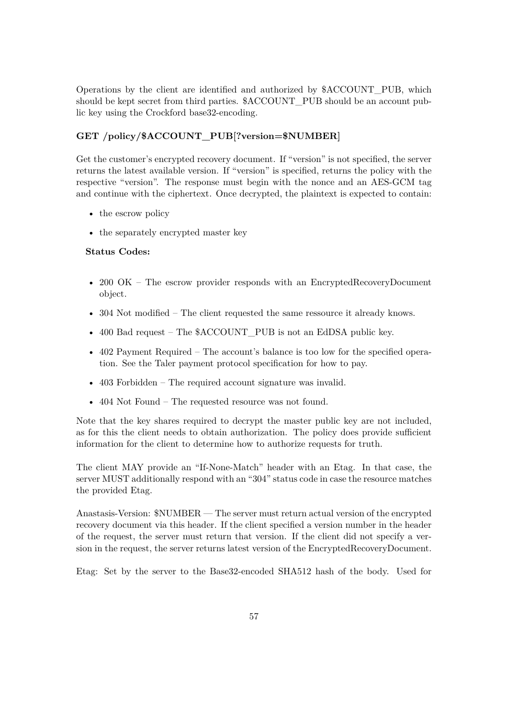Operations by the client are identified and authorized by \$ACCOUNT\_PUB, which should be kept secret from third parties. \$ACCOUNT\_PUB should be an account public key using the Crockford base32-encoding.

## **GET /policy/\$ACCOUNT\_PUB[?version=\$NUMBER]**

Get the customer's encrypted recovery document. If "version" is not specified, the server returns the latest available version. If "version" is specified, returns the policy with the respective "version". The response must begin with the nonce and an AES-GCM tag and continue with the ciphertext. Once decrypted, the plaintext is expected to contain:

- the escrow policy
- the separately encrypted master key

### **Status Codes:**

- 200 OK The escrow provider responds with an EncryptedRecoveryDocument object.
- 304 Not modified The client requested the same ressource it already knows.
- 400 Bad request The \$ACCOUNT\_PUB is not an EdDSA public key.
- 402 Payment Required The account's balance is too low for the specified operation. See the Taler payment protocol specification for how to pay.
- 403 Forbidden The required account signature was invalid.
- 404 Not Found The requested resource was not found.

Note that the key shares required to decrypt the master public key are not included, as for this the client needs to obtain authorization. The policy does provide sufficient information for the client to determine how to authorize requests for truth.

The client MAY provide an "If-None-Match" header with an Etag. In that case, the server MUST additionally respond with an "304" status code in case the resource matches the provided Etag.

Anastasis-Version: \$NUMBER — The server must return actual version of the encrypted recovery document via this header. If the client specified a version number in the header of the request, the server must return that version. If the client did not specify a version in the request, the server returns latest version of the EncryptedRecoveryDocument.

Etag: Set by the server to the Base32-encoded SHA512 hash of the body. Used for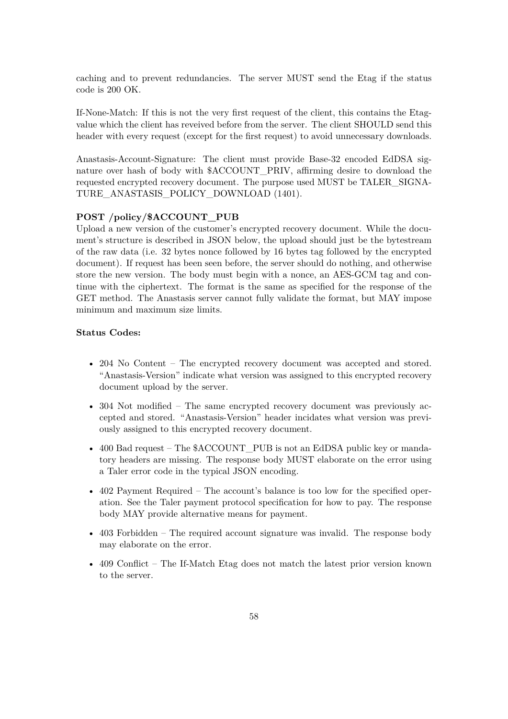caching and to prevent redundancies. The server MUST send the Etag if the status code is 200 OK.

If-None-Match: If this is not the very first request of the client, this contains the Etagvalue which the client has reveived before from the server. The client SHOULD send this header with every request (except for the first request) to avoid unnecessary downloads.

Anastasis-Account-Signature: The client must provide Base-32 encoded EdDSA signature over hash of body with \$ACCOUNT\_PRIV, affirming desire to download the requested encrypted recovery document. The purpose used MUST be TALER\_SIGNA-TURE\_ANASTASIS\_POLICY\_DOWNLOAD (1401).

#### **POST /policy/\$ACCOUNT\_PUB**

Upload a new version of the customer's encrypted recovery document. While the document's structure is described in JSON below, the upload should just be the bytestream of the raw data (i.e. 32 bytes nonce followed by 16 bytes tag followed by the encrypted document). If request has been seen before, the server should do nothing, and otherwise store the new version. The body must begin with a nonce, an AES-GCM tag and continue with the ciphertext. The format is the same as specified for the response of the GET method. The Anastasis server cannot fully validate the format, but MAY impose minimum and maximum size limits.

### **Status Codes:**

- 204 No Content The encrypted recovery document was accepted and stored. "Anastasis-Version" indicate what version was assigned to this encrypted recovery document upload by the server.
- 304 Not modified The same encrypted recovery document was previously accepted and stored. "Anastasis-Version" header incidates what version was previously assigned to this encrypted recovery document.
- 400 Bad request The \$ACCOUNT PUB is not an EdDSA public key or mandatory headers are missing. The response body MUST elaborate on the error using a Taler error code in the typical JSON encoding.
- 402 Payment Required The account's balance is too low for the specified operation. See the Taler payment protocol specification for how to pay. The response body MAY provide alternative means for payment.
- 403 Forbidden The required account signature was invalid. The response body may elaborate on the error.
- 409 Conflict The If-Match Etag does not match the latest prior version known to the server.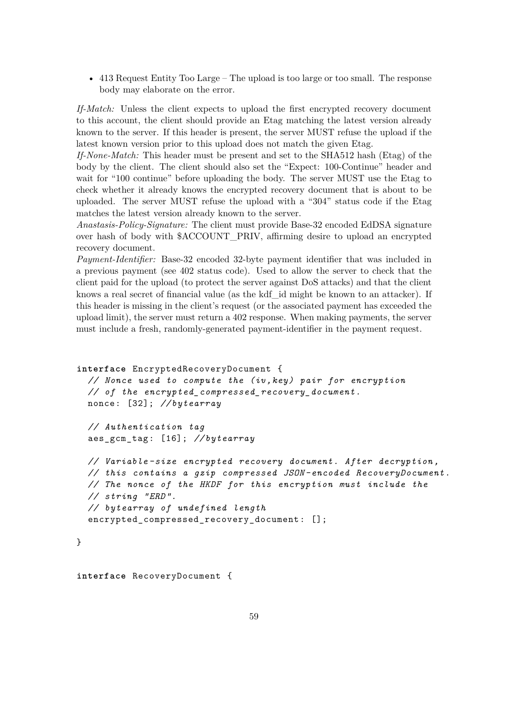• 413 Request Entity Too Large – The upload is too large or too small. The response body may elaborate on the error.

*If-Match:* Unless the client expects to upload the first encrypted recovery document to this account, the client should provide an Etag matching the latest version already known to the server. If this header is present, the server MUST refuse the upload if the latest known version prior to this upload does not match the given Etag.

*If-None-Match:* This header must be present and set to the SHA512 hash (Etag) of the body by the client. The client should also set the "Expect: 100-Continue" header and wait for "100 continue" before uploading the body. The server MUST use the Etag to check whether it already knows the encrypted recovery document that is about to be uploaded. The server MUST refuse the upload with a "304" status code if the Etag matches the latest version already known to the server.

*Anastasis-Policy-Signature:* The client must provide Base-32 encoded EdDSA signature over hash of body with \$ACCOUNT\_PRIV, affirming desire to upload an encrypted recovery document.

*Payment-Identifier:* Base-32 encoded 32-byte payment identifier that was included in a previous payment (see 402 status code). Used to allow the server to check that the client paid for the upload (to protect the server against DoS attacks) and that the client knows a real secret of financial value (as the kdf\_id might be known to an attacker). If this header is missing in the client's request (or the associated payment has exceeded the upload limit), the server must return a 402 response. When making payments, the server must include a fresh, randomly-generated payment-identifier in the payment request.

```
interface EncryptedRecoveryDocument {
  // Nonce used to compute the (iv ,key) pair for encryption
  // of the encrypted_compressed_recovery_document .
 nonce: [32]; // bytearray
  // Authentication tag
  aes_gcm_tag : [16]; // bytearray
 // Variable -size encrypted recovery document. After decryption ,
 // this contains a gzip compressed JSON -encoded RecoveryDocument .
  // The nonce of the HKDF for this encryption must include the
  // string "ERD ".
  // bytearray of undefined length
  encrypted compressed recovery document: [];
}
```

```
interface RecoveryDocument {
```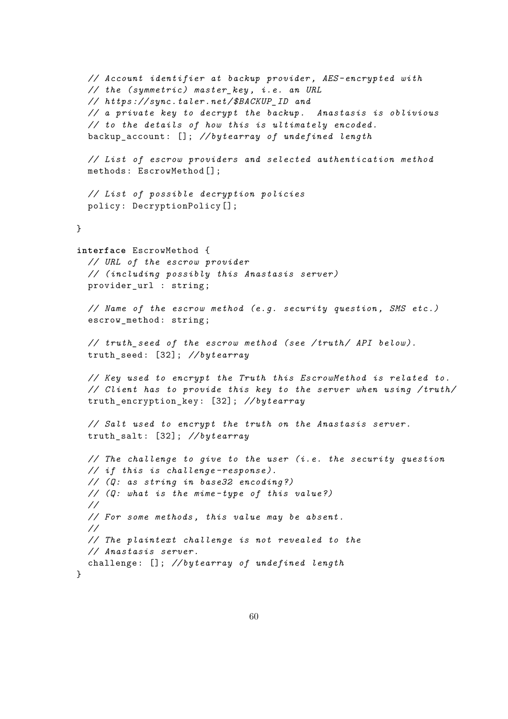```
// Account identifier at backup provider , AES - encrypted with
  // the ( symmetric ) master_key , i.e. an URL
  // https :// sync.taler.net/ $BACKUP_ID and
  // a private key to decrypt the backup. Anastasis is oblivious
  // to the details of how this is ultimately encoded.
  backup_account : []; // bytearray of undefined length
  // List of escrow providers and selected authentication method
  methods: EscrowMethod [];
  // List of possible decryption policies
  policy: DecryptionPolicy [];
}
interface EscrowMethod {
  // URL of the escrow provider
  // ( including possibly this Anastasis server)
  provider_url : string;
  // Name of the escrow method (e.g. security question , SMS etc .)
  escrow method: string;
  // truth_seed of the escrow method (see /truth/ API below ).
  truth_seed : [32]; // bytearray
  // Key used to encrypt the Truth this EscrowMethod is related to.
  // Client has to provide this key to the server when using /truth/
  truth_encryption_key : [32]; // bytearray
  // Salt used to encrypt the truth on the Anastasis server.
  truth_salt : [32]; // bytearray
  // The challenge to give to the user (i.e. the security question
  // if this is challenge -response ).
  // (Q: as string in base32 encoding ?)
  // (Q: what is the mime -type of this value ?)
  //
  // For some methods , this value may be absent.
  //
  // The plaintext challenge is not revealed to the
  // Anastasis server.
 challenge : []; // bytearray of undefined length
}
```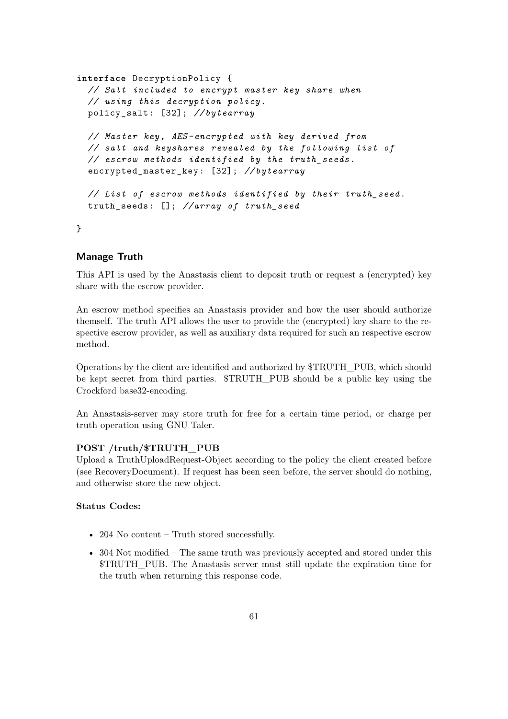```
interface DecryptionPolicy {
 // Salt included to encrypt master key share when
 // using this decryption policy.
 policy_salt : [32]; // bytearray
 // Master key , AES - encrypted with key derived from
 // salt and keyshares revealed by the following list of
 // escrow methods identified by the truth_seeds .
  encrypted_master_key : [32]; // bytearray
 // List of escrow methods identified by their truth_seed .
 truth_seeds : []; // array of truth_seed
```
}

### **Manage Truth**

This API is used by the Anastasis client to deposit truth or request a (encrypted) key share with the escrow provider.

An escrow method specifies an Anastasis provider and how the user should authorize themself. The truth API allows the user to provide the (encrypted) key share to the respective escrow provider, as well as auxiliary data required for such an respective escrow method.

Operations by the client are identified and authorized by \$TRUTH\_PUB, which should be kept secret from third parties. \$TRUTH\_PUB should be a public key using the Crockford base32-encoding.

An Anastasis-server may store truth for free for a certain time period, or charge per truth operation using GNU Taler.

### **POST /truth/\$TRUTH\_PUB**

Upload a TruthUploadRequest-Object according to the policy the client created before (see RecoveryDocument). If request has been seen before, the server should do nothing, and otherwise store the new object.

### **Status Codes:**

- 204 No content Truth stored successfully.
- 304 Not modified The same truth was previously accepted and stored under this \$TRUTH\_PUB. The Anastasis server must still update the expiration time for the truth when returning this response code.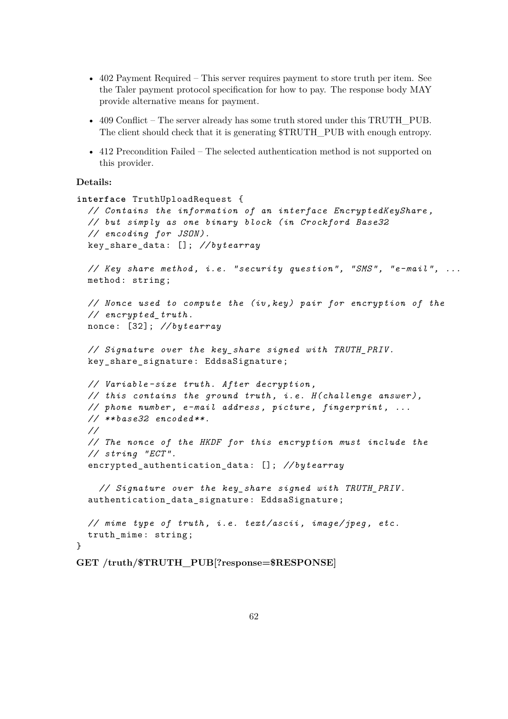- 402 Payment Required This server requires payment to store truth per item. See the Taler payment protocol specification for how to pay. The response body MAY provide alternative means for payment.
- 409 Conflict The server already has some truth stored under this TRUTH\_PUB. The client should check that it is generating \$TRUTH\_PUB with enough entropy.
- 412 Precondition Failed The selected authentication method is not supported on this provider.

### **Details:**

```
interface TruthUploadRequest {
  // Contains the information of an interface EncryptedKeyShare ,
 // but simply as one binary block (in Crockford Base32
 // encoding for JSON ).
 key_share_data : []; // bytearray
  // Key share method , i.e. "security question", "SMS", "e-mail", ...
 method: string;
 // Nonce used to compute the (iv ,key) pair for encryption of the
 // encrypted_truth .
 nonce: [32]; // bytearray
 // Signature over the key_share signed with TRUTH_PRIV .
 key_share_signature : EddsaSignature ;
 // Variable -size truth. After decryption ,
 // this contains the ground truth , i.e. H( challenge answer),
 // phone number , e-mail address , picture , fingerprint , ...
 // ** base32 encoded **.
 //
 // The nonce of the HKDF for this encryption must include the
 // string "ECT ".
  encrypted_authentication_data : []; // bytearray
    // Signature over the key_share signed with TRUTH_PRIV .
  authentication data signature: EddsaSignature;
 // mime type of truth , i.e. text/ascii , image/jpeg , etc.
 truth_mime : string;
}
GET /truth/$TRUTH_PUB[?response=$RESPONSE]
```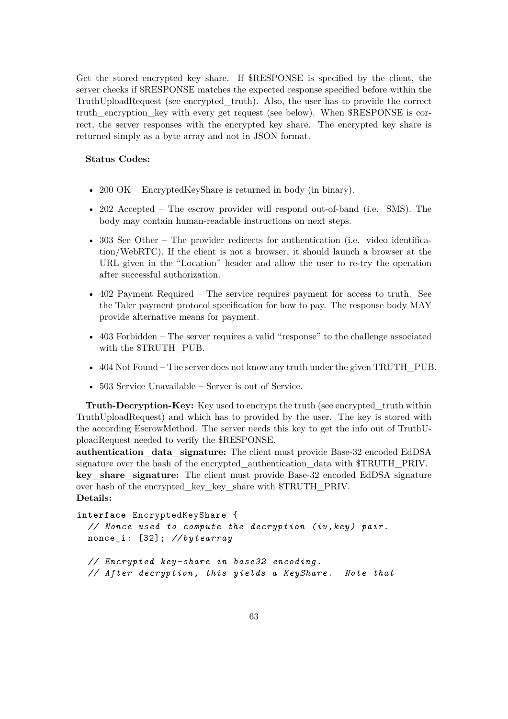Get the stored encrypted key share. If \$RESPONSE is specified by the client, the server checks if \$RESPONSE matches the expected response specified before within the TruthUploadRequest (see encrypted\_truth). Also, the user has to provide the correct truth\_encryption\_key with every get request (see below). When \$RESPONSE is correct, the server responses with the encrypted key share. The encrypted key share is returned simply as a byte array and not in JSON format.

#### **Status Codes:**

- 200 OK EncryptedKeyShare is returned in body (in binary).
- 202 Accepted The escrow provider will respond out-of-band (i.e. SMS). The body may contain human-readable instructions on next steps.
- 303 See Other The provider redirects for authentication (i.e. video identification/WebRTC). If the client is not a browser, it should launch a browser at the URL given in the "Location" header and allow the user to re-try the operation after successful authorization.
- 402 Payment Required The service requires payment for access to truth. See the Taler payment protocol specification for how to pay. The response body MAY provide alternative means for payment.
- 403 Forbidden The server requires a valid "response" to the challenge associated with the \$TRUTH\_PUB.
- 404 Not Found The server does not know any truth under the given TRUTH\_PUB.
- 503 Service Unavailable Server is out of Service.

**Truth-Decryption-Key:** Key used to encrypt the truth (see encrypted\_truth within TruthUploadRequest) and which has to provided by the user. The key is stored with the according EscrowMethod. The server needs this key to get the info out of TruthUploadRequest needed to verify the \$RESPONSE.

**authentication\_data\_signature:** The client must provide Base-32 encoded EdDSA signature over the hash of the encrypted authentication data with  $TRTW$ TH PRIV. **key\_share\_signature:** The client must provide Base-32 encoded EdDSA signature over hash of the encrypted\_key\_key\_share with \$TRUTH\_PRIV. **Details:**

```
interface EncryptedKeyShare {
  // Nonce used to compute the decryption (iv ,key) pair.
 nonce_i: [32]; // bytearray
 // Encrypted key -share in base32 encoding.
  // After decryption , this yields a KeyShare. Note that
```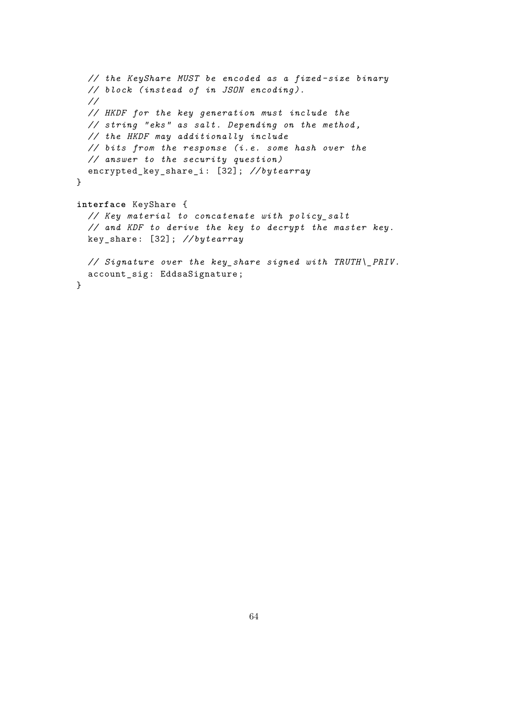```
// the KeyShare MUST be encoded as a fixed -size binary
  // block (instead of in JSON encoding ).
  //
  // HKDF for the key generation must include the
  // string "eks" as salt. Depending on the method ,
  // the HKDF may additionally include
  // bits from the response (i.e. some hash over the
  // answer to the security question)
 encrypted_key_share_i : [32]; // bytearray
}
interface KeyShare {
  // Key material to concatenate with policy_salt
  // and KDF to derive the key to decrypt the master key.
 key_share : [32]; // bytearray
 // Signature over the key_share signed with TRUTH\_PRIV.
 account_sig : EddsaSignature ;
}
```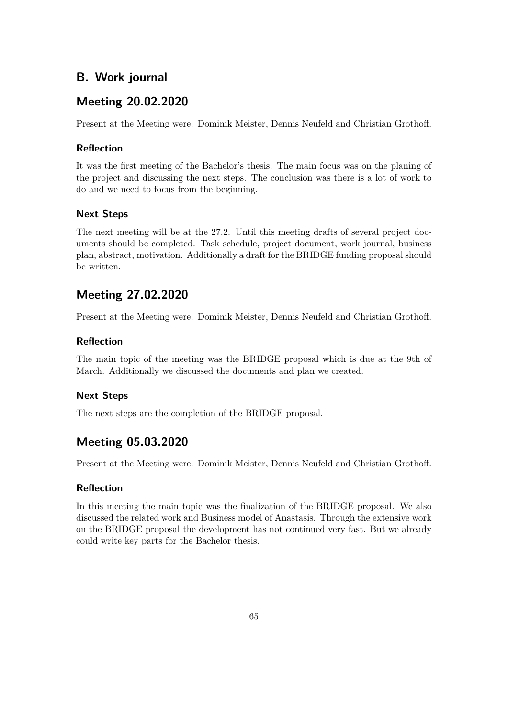# **B. Work journal**

# **Meeting 20.02.2020**

Present at the Meeting were: Dominik Meister, Dennis Neufeld and Christian Grothoff.

## **Reflection**

It was the first meeting of the Bachelor's thesis. The main focus was on the planing of the project and discussing the next steps. The conclusion was there is a lot of work to do and we need to focus from the beginning.

## **Next Steps**

The next meeting will be at the 27.2. Until this meeting drafts of several project documents should be completed. Task schedule, project document, work journal, business plan, abstract, motivation. Additionally a draft for the BRIDGE funding proposal should be written.

# **Meeting 27.02.2020**

Present at the Meeting were: Dominik Meister, Dennis Neufeld and Christian Grothoff.

## **Reflection**

The main topic of the meeting was the BRIDGE proposal which is due at the 9th of March. Additionally we discussed the documents and plan we created.

## **Next Steps**

The next steps are the completion of the BRIDGE proposal.

# **Meeting 05.03.2020**

Present at the Meeting were: Dominik Meister, Dennis Neufeld and Christian Grothoff.

## **Reflection**

In this meeting the main topic was the finalization of the BRIDGE proposal. We also discussed the related work and Business model of Anastasis. Through the extensive work on the BRIDGE proposal the development has not continued very fast. But we already could write key parts for the Bachelor thesis.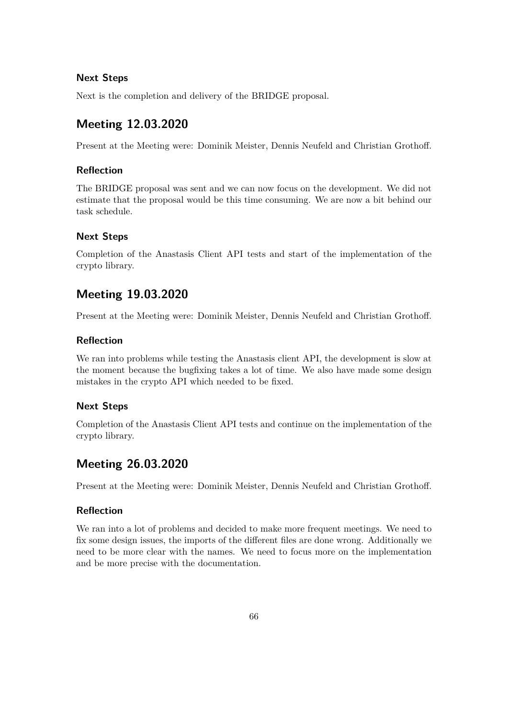## **Next Steps**

Next is the completion and delivery of the BRIDGE proposal.

# **Meeting 12.03.2020**

Present at the Meeting were: Dominik Meister, Dennis Neufeld and Christian Grothoff.

## **Reflection**

The BRIDGE proposal was sent and we can now focus on the development. We did not estimate that the proposal would be this time consuming. We are now a bit behind our task schedule.

## **Next Steps**

Completion of the Anastasis Client API tests and start of the implementation of the crypto library.

# **Meeting 19.03.2020**

Present at the Meeting were: Dominik Meister, Dennis Neufeld and Christian Grothoff.

### **Reflection**

We ran into problems while testing the Anastasis client API, the development is slow at the moment because the bugfixing takes a lot of time. We also have made some design mistakes in the crypto API which needed to be fixed.

## **Next Steps**

Completion of the Anastasis Client API tests and continue on the implementation of the crypto library.

# **Meeting 26.03.2020**

Present at the Meeting were: Dominik Meister, Dennis Neufeld and Christian Grothoff.

## **Reflection**

We ran into a lot of problems and decided to make more frequent meetings. We need to fix some design issues, the imports of the different files are done wrong. Additionally we need to be more clear with the names. We need to focus more on the implementation and be more precise with the documentation.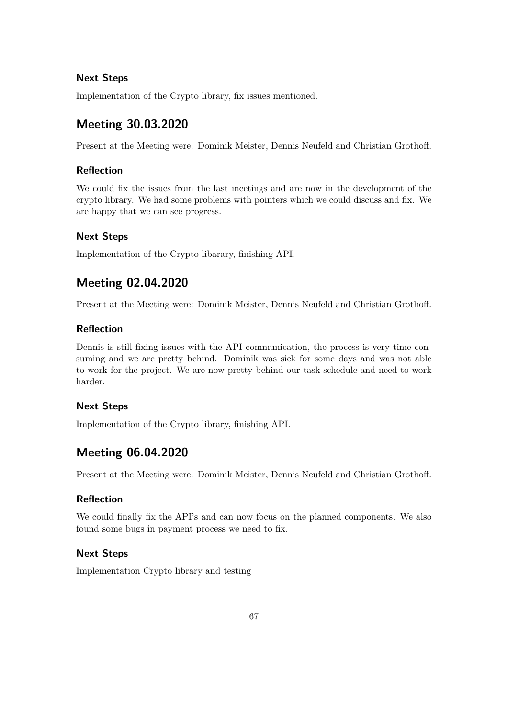## **Next Steps**

Implementation of the Crypto library, fix issues mentioned.

# **Meeting 30.03.2020**

Present at the Meeting were: Dominik Meister, Dennis Neufeld and Christian Grothoff.

## **Reflection**

We could fix the issues from the last meetings and are now in the development of the crypto library. We had some problems with pointers which we could discuss and fix. We are happy that we can see progress.

## **Next Steps**

Implementation of the Crypto libarary, finishing API.

# **Meeting 02.04.2020**

Present at the Meeting were: Dominik Meister, Dennis Neufeld and Christian Grothoff.

## **Reflection**

Dennis is still fixing issues with the API communication, the process is very time consuming and we are pretty behind. Dominik was sick for some days and was not able to work for the project. We are now pretty behind our task schedule and need to work harder.

## **Next Steps**

Implementation of the Crypto library, finishing API.

# **Meeting 06.04.2020**

Present at the Meeting were: Dominik Meister, Dennis Neufeld and Christian Grothoff.

## **Reflection**

We could finally fix the API's and can now focus on the planned components. We also found some bugs in payment process we need to fix.

## **Next Steps**

Implementation Crypto library and testing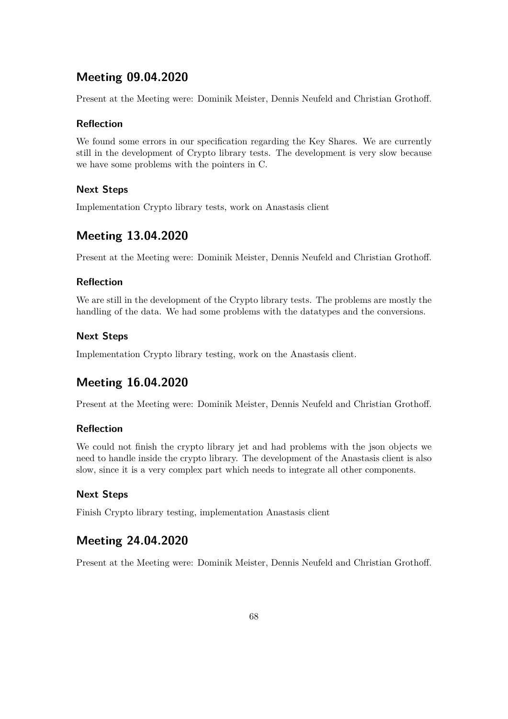# **Meeting 09.04.2020**

Present at the Meeting were: Dominik Meister, Dennis Neufeld and Christian Grothoff.

### **Reflection**

We found some errors in our specification regarding the Key Shares. We are currently still in the development of Crypto library tests. The development is very slow because we have some problems with the pointers in C.

### **Next Steps**

Implementation Crypto library tests, work on Anastasis client

# **Meeting 13.04.2020**

Present at the Meeting were: Dominik Meister, Dennis Neufeld and Christian Grothoff.

### **Reflection**

We are still in the development of the Crypto library tests. The problems are mostly the handling of the data. We had some problems with the datatypes and the conversions.

### **Next Steps**

Implementation Crypto library testing, work on the Anastasis client.

### **Meeting 16.04.2020**

Present at the Meeting were: Dominik Meister, Dennis Neufeld and Christian Grothoff.

### **Reflection**

We could not finish the crypto library jet and had problems with the json objects we need to handle inside the crypto library. The development of the Anastasis client is also slow, since it is a very complex part which needs to integrate all other components.

### **Next Steps**

Finish Crypto library testing, implementation Anastasis client

### **Meeting 24.04.2020**

Present at the Meeting were: Dominik Meister, Dennis Neufeld and Christian Grothoff.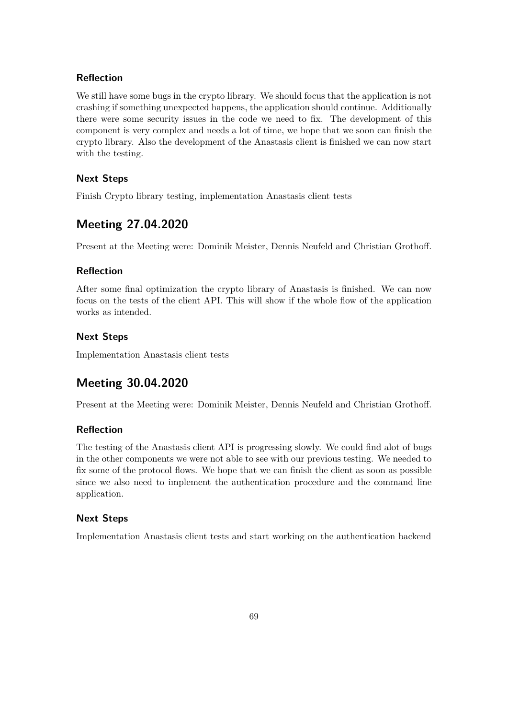#### **Reflection**

We still have some bugs in the crypto library. We should focus that the application is not crashing if something unexpected happens, the application should continue. Additionally there were some security issues in the code we need to fix. The development of this component is very complex and needs a lot of time, we hope that we soon can finish the crypto library. Also the development of the Anastasis client is finished we can now start with the testing.

#### **Next Steps**

Finish Crypto library testing, implementation Anastasis client tests

### **Meeting 27.04.2020**

Present at the Meeting were: Dominik Meister, Dennis Neufeld and Christian Grothoff.

#### **Reflection**

After some final optimization the crypto library of Anastasis is finished. We can now focus on the tests of the client API. This will show if the whole flow of the application works as intended.

### **Next Steps**

Implementation Anastasis client tests

### **Meeting 30.04.2020**

Present at the Meeting were: Dominik Meister, Dennis Neufeld and Christian Grothoff.

### **Reflection**

The testing of the Anastasis client API is progressing slowly. We could find alot of bugs in the other components we were not able to see with our previous testing. We needed to fix some of the protocol flows. We hope that we can finish the client as soon as possible since we also need to implement the authentication procedure and the command line application.

### **Next Steps**

Implementation Anastasis client tests and start working on the authentication backend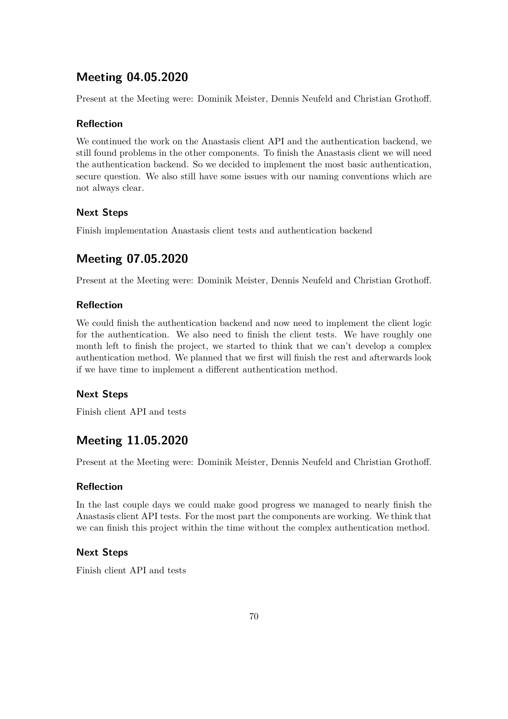### **Meeting 04.05.2020**

Present at the Meeting were: Dominik Meister, Dennis Neufeld and Christian Grothoff.

#### **Reflection**

We continued the work on the Anastasis client API and the authentication backend, we still found problems in the other components. To finish the Anastasis client we will need the authentication backend. So we decided to implement the most basic authentication, secure question. We also still have some issues with our naming conventions which are not always clear.

#### **Next Steps**

Finish implementation Anastasis client tests and authentication backend

### **Meeting 07.05.2020**

Present at the Meeting were: Dominik Meister, Dennis Neufeld and Christian Grothoff.

#### **Reflection**

We could finish the authentication backend and now need to implement the client logic for the authentication. We also need to finish the client tests. We have roughly one month left to finish the project, we started to think that we can't develop a complex authentication method. We planned that we first will finish the rest and afterwards look if we have time to implement a different authentication method.

### **Next Steps**

Finish client API and tests

# **Meeting 11.05.2020**

Present at the Meeting were: Dominik Meister, Dennis Neufeld and Christian Grothoff.

### **Reflection**

In the last couple days we could make good progress we managed to nearly finish the Anastasis client API tests. For the most part the components are working. We think that we can finish this project within the time without the complex authentication method.

#### **Next Steps**

Finish client API and tests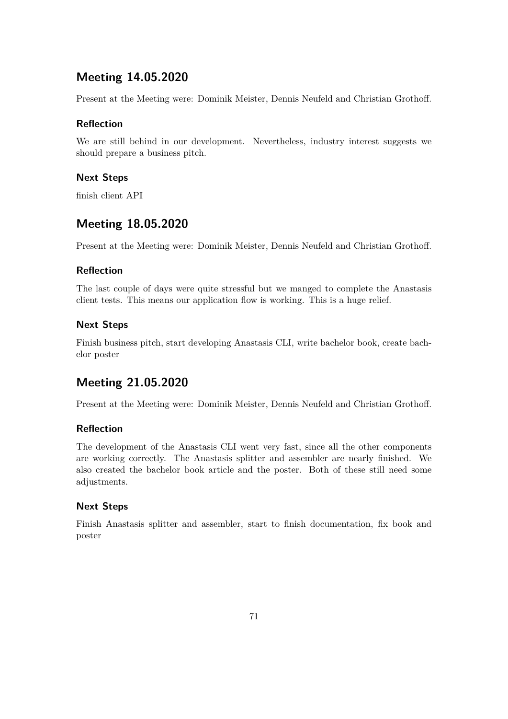### **Meeting 14.05.2020**

Present at the Meeting were: Dominik Meister, Dennis Neufeld and Christian Grothoff.

### **Reflection**

We are still behind in our development. Nevertheless, industry interest suggests we should prepare a business pitch.

### **Next Steps**

finish client API

### **Meeting 18.05.2020**

Present at the Meeting were: Dominik Meister, Dennis Neufeld and Christian Grothoff.

### **Reflection**

The last couple of days were quite stressful but we manged to complete the Anastasis client tests. This means our application flow is working. This is a huge relief.

### **Next Steps**

Finish business pitch, start developing Anastasis CLI, write bachelor book, create bachelor poster

### **Meeting 21.05.2020**

Present at the Meeting were: Dominik Meister, Dennis Neufeld and Christian Grothoff.

### **Reflection**

The development of the Anastasis CLI went very fast, since all the other components are working correctly. The Anastasis splitter and assembler are nearly finished. We also created the bachelor book article and the poster. Both of these still need some adjustments.

### **Next Steps**

Finish Anastasis splitter and assembler, start to finish documentation, fix book and poster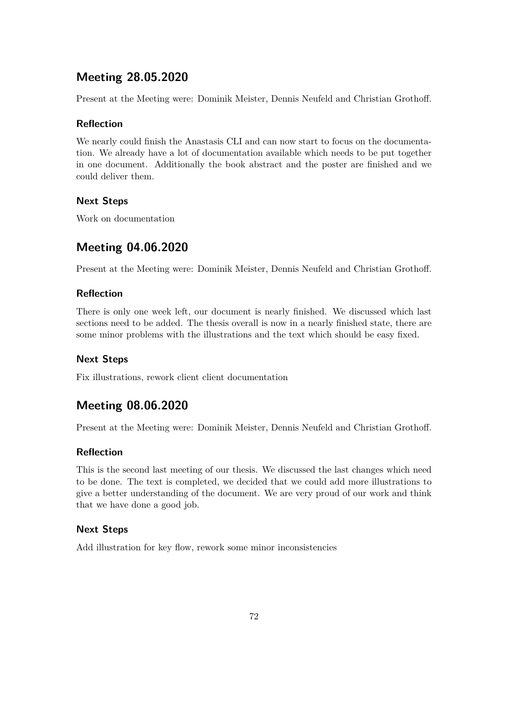# **Meeting 28.05.2020**

Present at the Meeting were: Dominik Meister, Dennis Neufeld and Christian Grothoff.

### **Reflection**

We nearly could finish the Anastasis CLI and can now start to focus on the documentation. We already have a lot of documentation available which needs to be put together in one document. Additionally the book abstract and the poster are finished and we could deliver them.

### **Next Steps**

Work on documentation

# **Meeting 04.06.2020**

Present at the Meeting were: Dominik Meister, Dennis Neufeld and Christian Grothoff.

### **Reflection**

There is only one week left, our document is nearly finished. We discussed which last sections need to be added. The thesis overall is now in a nearly finished state, there are some minor problems with the illustrations and the text which should be easy fixed.

### **Next Steps**

Fix illustrations, rework client client documentation

### **Meeting 08.06.2020**

Present at the Meeting were: Dominik Meister, Dennis Neufeld and Christian Grothoff.

### **Reflection**

This is the second last meeting of our thesis. We discussed the last changes which need to be done. The text is completed, we decided that we could add more illustrations to give a better understanding of the document. We are very proud of our work and think that we have done a good job.

### **Next Steps**

Add illustration for key flow, rework some minor inconsistencies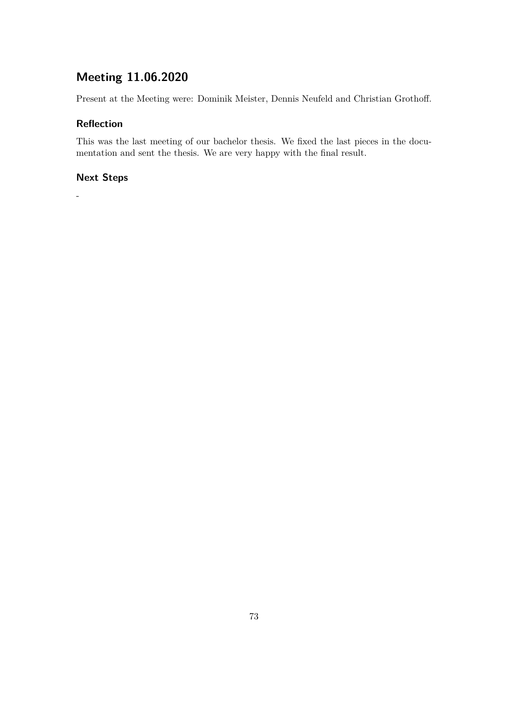# **Meeting 11.06.2020**

Present at the Meeting were: Dominik Meister, Dennis Neufeld and Christian Grothoff.

### **Reflection**

This was the last meeting of our bachelor thesis. We fixed the last pieces in the documentation and sent the thesis. We are very happy with the final result.

### **Next Steps**

-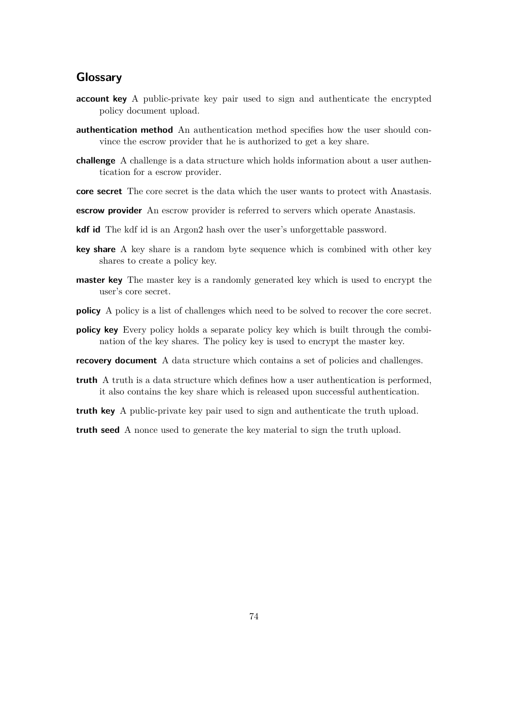### **Glossary**

- **account key** A public-private key pair used to sign and authenticate the encrypted policy document upload.
- **authentication method** An authentication method specifies how the user should convince the escrow provider that he is authorized to get a key share.
- **challenge** A challenge is a data structure which holds information about a user authentication for a escrow provider.
- **core secret** The core secret is the data which the user wants to protect with Anastasis.
- **escrow provider** An escrow provider is referred to servers which operate Anastasis.
- **kdf id** The kdf id is an Argon2 hash over the user's unforgettable password.
- **key share** A key share is a random byte sequence which is combined with other key shares to create a policy key.
- **master key** The master key is a randomly generated key which is used to encrypt the user's core secret.
- **policy** A policy is a list of challenges which need to be solved to recover the core secret.
- **policy key** Every policy holds a separate policy key which is built through the combination of the key shares. The policy key is used to encrypt the master key.
- **recovery document** A data structure which contains a set of policies and challenges.
- **truth** A truth is a data structure which defines how a user authentication is performed, it also contains the key share which is released upon successful authentication.
- **truth key** A public-private key pair used to sign and authenticate the truth upload.

**truth seed** A nonce used to generate the key material to sign the truth upload.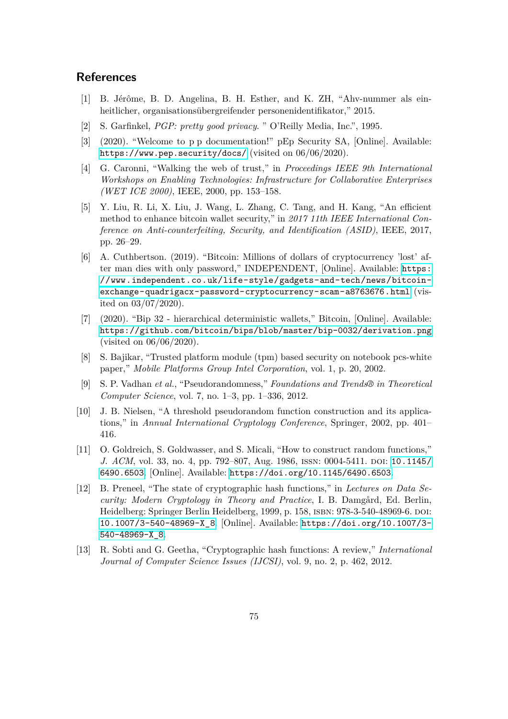### **References**

- [1] B. Jérôme, B. D. Angelina, B. H. Esther, and K. ZH, "Ahv-nummer als einheitlicher, organisationsübergreifender personenidentifikator," 2015.
- [2] S. Garfinkel, *PGP: pretty good privacy*. " O'Reilly Media, Inc.", 1995.
- [3] (2020). "Welcome to p p documentation!" pEp Security SA, [Online]. Available: <https://www.pep.security/docs/> (visited on 06/06/2020).
- [4] G. Caronni, "Walking the web of trust," in *Proceedings IEEE 9th International Workshops on Enabling Technologies: Infrastructure for Collaborative Enterprises (WET ICE 2000)*, IEEE, 2000, pp. 153–158.
- [5] Y. Liu, R. Li, X. Liu, J. Wang, L. Zhang, C. Tang, and H. Kang, "An efficient method to enhance bitcoin wallet security," in *2017 11th IEEE International Conference on Anti-counterfeiting, Security, and Identification (ASID)*, IEEE, 2017, pp. 26–29.
- [6] A. Cuthbertson. (2019). "Bitcoin: Millions of dollars of cryptocurrency 'lost' after man dies with only password," INDEPENDENT, [Online]. Available: [https:](https://www.independent.co.uk/life-style/gadgets-and-tech/news/bitcoin-exchange-quadrigacx-password-cryptocurrency-scam-a8763676.html) [//www.independent.co.uk/life-style/gadgets-and-tech/news/bitcoin](https://www.independent.co.uk/life-style/gadgets-and-tech/news/bitcoin-exchange-quadrigacx-password-cryptocurrency-scam-a8763676.html)[exchange-quadrigacx-password-cryptocurrency-scam-a8763676.html](https://www.independent.co.uk/life-style/gadgets-and-tech/news/bitcoin-exchange-quadrigacx-password-cryptocurrency-scam-a8763676.html) (visited on 03/07/2020).
- [7] (2020). "Bip 32 hierarchical deterministic wallets," Bitcoin, [Online]. Available: <https://github.com/bitcoin/bips/blob/master/bip-0032/derivation.png> (visited on 06/06/2020).
- [8] S. Bajikar, "Trusted platform module (tpm) based security on notebook pcs-white paper," *Mobile Platforms Group Intel Corporation*, vol. 1, p. 20, 2002.
- [9] S. P. Vadhan *et al.*, "Pseudorandomness," *Foundations and Trends® in Theoretical Computer Science*, vol. 7, no. 1–3, pp. 1–336, 2012.
- [10] J. B. Nielsen, "A threshold pseudorandom function construction and its applications," in *Annual International Cryptology Conference*, Springer, 2002, pp. 401– 416.
- [11] O. Goldreich, S. Goldwasser, and S. Micali, "How to construct random functions," *J. ACM*, vol. 33, no. 4, pp. 792–807, Aug. 1986, ISSN: 0004-5411. DOI: [10.1145/](https://doi.org/10.1145/6490.6503) [6490.6503](https://doi.org/10.1145/6490.6503). [Online]. Available: <https://doi.org/10.1145/6490.6503>.
- [12] B. Preneel, "The state of cryptographic hash functions," in *Lectures on Data Security: Modern Cryptology in Theory and Practice*, I. B. Damgård, Ed. Berlin, Heidelberg: Springer Berlin Heidelberg, 1999, p. 158, isbn: 978-3-540-48969-6. doi: [10.1007/3-540-48969-X\\_8](https://doi.org/10.1007/3-540-48969-X_8). [Online]. Available: [https://doi.org/10.1007/3-](https://doi.org/10.1007/3-540-48969-X_8) [540-48969-X\\_8](https://doi.org/10.1007/3-540-48969-X_8).
- [13] R. Sobti and G. Geetha, "Cryptographic hash functions: A review," *International Journal of Computer Science Issues (IJCSI)*, vol. 9, no. 2, p. 462, 2012.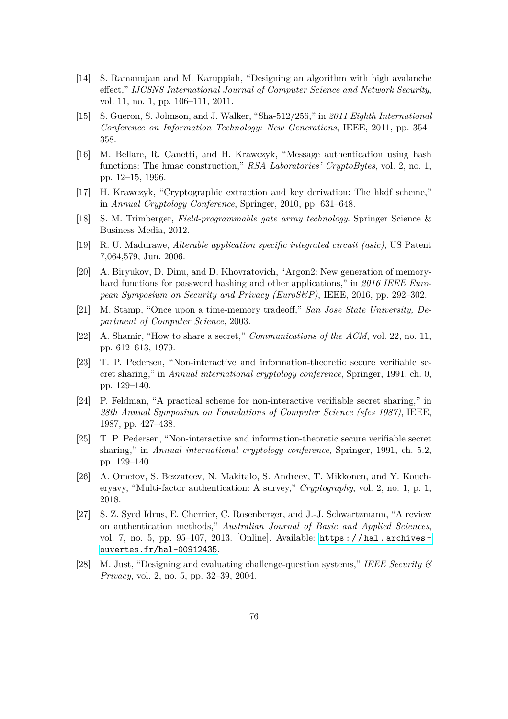- [14] S. Ramanujam and M. Karuppiah, "Designing an algorithm with high avalanche effect," *IJCSNS International Journal of Computer Science and Network Security*, vol. 11, no. 1, pp. 106–111, 2011.
- [15] S. Gueron, S. Johnson, and J. Walker, "Sha-512/256," in *2011 Eighth International Conference on Information Technology: New Generations*, IEEE, 2011, pp. 354– 358.
- [16] M. Bellare, R. Canetti, and H. Krawczyk, "Message authentication using hash functions: The hmac construction," *RSA Laboratories' CryptoBytes*, vol. 2, no. 1, pp. 12–15, 1996.
- [17] H. Krawczyk, "Cryptographic extraction and key derivation: The hkdf scheme," in *Annual Cryptology Conference*, Springer, 2010, pp. 631–648.
- [18] S. M. Trimberger, *Field-programmable gate array technology*. Springer Science & Business Media, 2012.
- [19] R. U. Madurawe, *Alterable application specific integrated circuit (asic)*, US Patent 7,064,579, Jun. 2006.
- [20] A. Biryukov, D. Dinu, and D. Khovratovich, "Argon2: New generation of memoryhard functions for password hashing and other applications," in *2016 IEEE European Symposium on Security and Privacy (EuroS&P)*, IEEE, 2016, pp. 292–302.
- [21] M. Stamp, "Once upon a time-memory tradeoff," *San Jose State University, Department of Computer Science*, 2003.
- [22] A. Shamir, "How to share a secret," *Communications of the ACM*, vol. 22, no. 11, pp. 612–613, 1979.
- [23] T. P. Pedersen, "Non-interactive and information-theoretic secure verifiable secret sharing," in *Annual international cryptology conference*, Springer, 1991, ch. 0, pp. 129–140.
- [24] P. Feldman, "A practical scheme for non-interactive verifiable secret sharing," in *28th Annual Symposium on Foundations of Computer Science (sfcs 1987)*, IEEE, 1987, pp. 427–438.
- [25] T. P. Pedersen, "Non-interactive and information-theoretic secure verifiable secret sharing," in *Annual international cryptology conference*, Springer, 1991, ch. 5.2, pp. 129–140.
- [26] A. Ometov, S. Bezzateev, N. Makitalo, S. Andreev, T. Mikkonen, and Y. Koucheryavy, "Multi-factor authentication: A survey," *Cryptography*, vol. 2, no. 1, p. 1, 2018.
- [27] S. Z. Syed Idrus, E. Cherrier, C. Rosenberger, and J.-J. Schwartzmann, "A review on authentication methods," *Australian Journal of Basic and Applied Sciences*, vol. 7, no. 5, pp. 95–107, 2013. [Online]. Available: [https : / / hal . archives](https://hal.archives-ouvertes.fr/hal-00912435)  [ouvertes.fr/hal-00912435](https://hal.archives-ouvertes.fr/hal-00912435).
- [28] M. Just, "Designing and evaluating challenge-question systems," *IEEE Security & Privacy*, vol. 2, no. 5, pp. 32–39, 2004.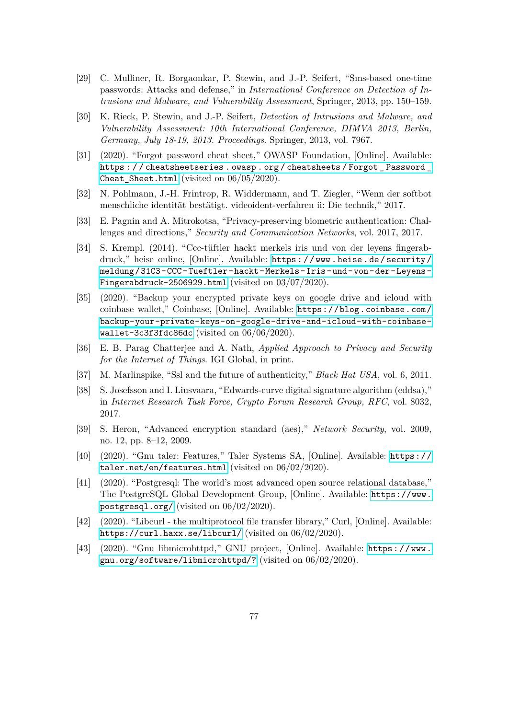- [29] C. Mulliner, R. Borgaonkar, P. Stewin, and J.-P. Seifert, "Sms-based one-time passwords: Attacks and defense," in *International Conference on Detection of Intrusions and Malware, and Vulnerability Assessment*, Springer, 2013, pp. 150–159.
- [30] K. Rieck, P. Stewin, and J.-P. Seifert, *Detection of Intrusions and Malware, and Vulnerability Assessment: 10th International Conference, DIMVA 2013, Berlin, Germany, July 18-19, 2013. Proceedings*. Springer, 2013, vol. 7967.
- [31] (2020). "Forgot password cheat sheet," OWASP Foundation, [Online]. Available: [https : / / cheatsheetseries . owasp . org / cheatsheets / Forgot \\_ Password \\_](https://cheatsheetseries.owasp.org/cheatsheets/Forgot_Password_Cheat_Sheet.html) [Cheat\\_Sheet.html](https://cheatsheetseries.owasp.org/cheatsheets/Forgot_Password_Cheat_Sheet.html) (visited on 06/05/2020).
- [32] N. Pohlmann, J.-H. Frintrop, R. Widdermann, and T. Ziegler, "Wenn der softbot menschliche identität bestätigt. videoident-verfahren ii: Die technik," 2017.
- [33] E. Pagnin and A. Mitrokotsa, "Privacy-preserving biometric authentication: Challenges and directions," *Security and Communication Networks*, vol. 2017, 2017.
- [34] S. Krempl. (2014). "Ccc-tüftler hackt merkels iris und von der leyens fingerabdruck," heise online, [Online]. Available: [https : / / www . heise . de / security /](https://www.heise.de/security/meldung/31C3-CCC-Tueftler-hackt-Merkels-Iris-und-von-der-Leyens-Fingerabdruck-2506929.html) [meldung/31C3-CCC-Tueftler-hackt-Merkels-Iris-und-von-der-Leyens-](https://www.heise.de/security/meldung/31C3-CCC-Tueftler-hackt-Merkels-Iris-und-von-der-Leyens-Fingerabdruck-2506929.html)[Fingerabdruck-2506929.html](https://www.heise.de/security/meldung/31C3-CCC-Tueftler-hackt-Merkels-Iris-und-von-der-Leyens-Fingerabdruck-2506929.html) (visited on 03/07/2020).
- [35] (2020). "Backup your encrypted private keys on google drive and icloud with coinbase wallet," Coinbase, [Online]. Available: [https://blog.coinbase.com/](https://blog.coinbase.com/backup-your-private-keys-on-google-drive-and-icloud-with-coinbase-wallet-3c3f3fdc86dc) [backup-your-private-keys-on-google-drive-and-icloud-with-coinbase](https://blog.coinbase.com/backup-your-private-keys-on-google-drive-and-icloud-with-coinbase-wallet-3c3f3fdc86dc)[wallet-3c3f3fdc86dc](https://blog.coinbase.com/backup-your-private-keys-on-google-drive-and-icloud-with-coinbase-wallet-3c3f3fdc86dc) (visited on 06/06/2020).
- [36] E. B. Parag Chatterjee and A. Nath, *Applied Approach to Privacy and Security for the Internet of Things*. IGI Global, in print.
- [37] M. Marlinspike, "Ssl and the future of authenticity," *Black Hat USA*, vol. 6, 2011.
- [38] S. Josefsson and I. Liusvaara, "Edwards-curve digital signature algorithm (eddsa)," in *Internet Research Task Force, Crypto Forum Research Group, RFC*, vol. 8032, 2017.
- [39] S. Heron, "Advanced encryption standard (aes)," *Network Security*, vol. 2009, no. 12, pp. 8–12, 2009.
- [40] (2020). "Gnu taler: Features," Taler Systems SA, [Online]. Available: [https://](https://taler.net/en/features.html) [taler.net/en/features.html](https://taler.net/en/features.html) (visited on 06/02/2020).
- [41] (2020). "Postgresql: The world's most advanced open source relational database," The PostgreSQL Global Development Group, [Online]. Available: [https://www.](https://www.postgresql.org/) [postgresql.org/](https://www.postgresql.org/) (visited on 06/02/2020).
- [42] (2020). "Libcurl the multiprotocol file transfer library," Curl, [Online]. Available: <https://curl.haxx.se/libcurl/> (visited on 06/02/2020).
- [43] (2020). "Gnu libmicrohttpd," GNU project, [Online]. Available: [https : / / www .](https://www.gnu.org/software/libmicrohttpd/?) [gnu.org/software/libmicrohttpd/?](https://www.gnu.org/software/libmicrohttpd/?) (visited on 06/02/2020).